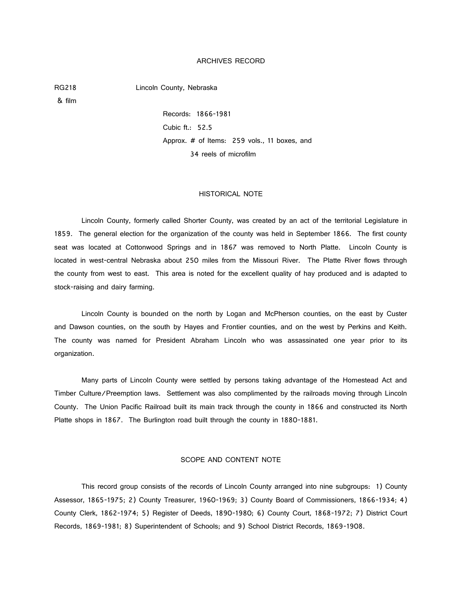#### ARCHIVES RECORD

RG218 Lincoln County, Nebraska

& film

Records: 1866-1981 Cubic ft.: 52.5 Approx. # of Items: 259 vols., 11 boxes, and 34 reels of microfilm

#### HISTORICAL NOTE

Lincoln County, formerly called Shorter County, was created by an act of the territorial Legislature in 1859. The general election for the organization of the county was held in September 1866. The first county seat was located at Cottonwood Springs and in 1867 was removed to North Platte. Lincoln County is located in west-central Nebraska about 250 miles from the Missouri River. The Platte River flows through the county from west to east. This area is noted for the excellent quality of hay produced and is adapted to stock-raising and dairy farming.

Lincoln County is bounded on the north by Logan and McPherson counties, on the east by Custer and Dawson counties, on the south by Hayes and Frontier counties, and on the west by Perkins and Keith. The county was named for President Abraham Lincoln who was assassinated one year prior to its organization.

Many parts of Lincoln County were settled by persons taking advantage of the Homestead Act and Timber Culture/Preemption laws. Settlement was also complimented by the railroads moving through Lincoln County. The Union Pacific Railroad built its main track through the county in 1866 and constructed its North Platte shops in 1867. The Burlington road built through the county in 1880-1881.

#### SCOPE AND CONTENT NOTE

This record group consists of the records of Lincoln County arranged into nine subgroups: 1) County Assessor, 1865-1975; 2) County Treasurer, 1960-1969; 3) County Board of Commissioners, 1866-1934; 4) County Clerk, 1862-1974; 5) Register of Deeds, 1890-1980; 6) County Court, 1868-1972; 7) District Court Records, 1869-1981; 8) Superintendent of Schools; and 9) School District Records, 1869-1908.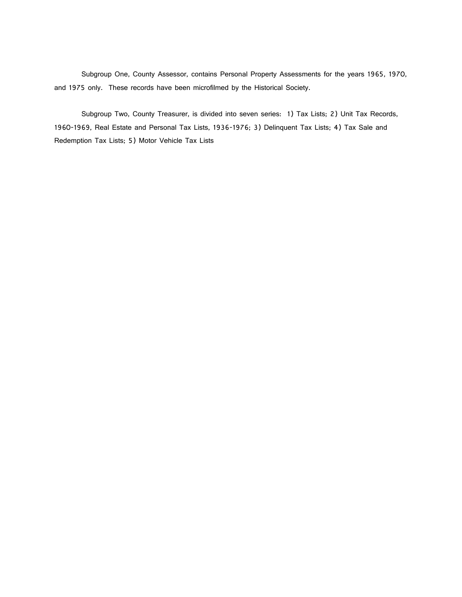Subgroup One, County Assessor, contains Personal Property Assessments for the years 1965, 1970, and 1975 only. These records have been microfilmed by the Historical Society.

Subgroup Two, County Treasurer, is divided into seven series: 1) Tax Lists; 2) Unit Tax Records, 1960-1969, Real Estate and Personal Tax Lists, 1936-1976; 3) Delinquent Tax Lists; 4) Tax Sale and Redemption Tax Lists; 5) Motor Vehicle Tax Lists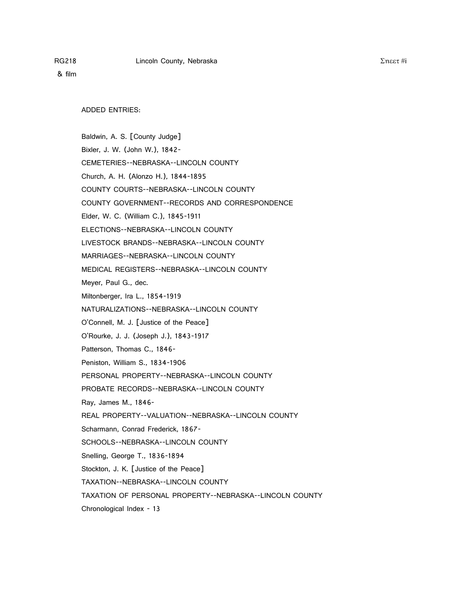ADDED ENTRIES:

Baldwin, A. S. [County Judge] Bixler, J. W. (John W.), 1842- CEMETERIES--NEBRASKA--LINCOLN COUNTY Church, A. H. (Alonzo H.), 1844-1895 COUNTY COURTS--NEBRASKA--LINCOLN COUNTY COUNTY GOVERNMENT--RECORDS AND CORRESPONDENCE Elder, W. C. (William C.), 1845-1911 ELECTIONS--NEBRASKA--LINCOLN COUNTY LIVESTOCK BRANDS--NEBRASKA--LINCOLN COUNTY MARRIAGES--NEBRASKA--LINCOLN COUNTY MEDICAL REGISTERS--NEBRASKA--LINCOLN COUNTY Meyer, Paul G., dec. Miltonberger, Ira L., 1854-1919 NATURALIZATIONS--NEBRASKA--LINCOLN COUNTY O'Connell, M. J. [Justice of the Peace] O'Rourke, J. J. (Joseph J.), 1843-1917 Patterson, Thomas C., 1846- Peniston, William S., 1834-1906 PERSONAL PROPERTY--NEBRASKA--LINCOLN COUNTY PROBATE RECORDS--NEBRASKA--LINCOLN COUNTY Ray, James M., 1846- REAL PROPERTY--VALUATION--NEBRASKA--LINCOLN COUNTY Scharmann, Conrad Frederick, 1867- SCHOOLS--NEBRASKA--LINCOLN COUNTY Snelling, George T., 1836-1894 Stockton, J. K. [Justice of the Peace] TAXATION--NEBRASKA--LINCOLN COUNTY TAXATION OF PERSONAL PROPERTY--NEBRASKA--LINCOLN COUNTY Chronological Index - 13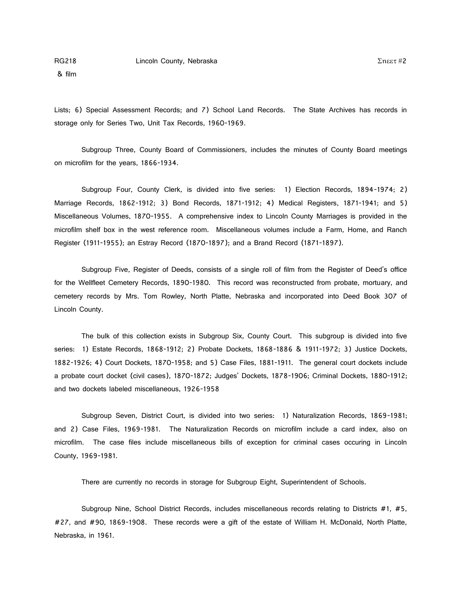Lists; 6) Special Assessment Records; and 7) School Land Records. The State Archives has records in storage only for Series Two, Unit Tax Records, 1960-1969.

Subgroup Three, County Board of Commissioners, includes the minutes of County Board meetings on microfilm for the years, 1866-1934.

Subgroup Four, County Clerk, is divided into five series: 1) Election Records, 1894-1974; 2) Marriage Records, 1862-1912; 3) Bond Records, 1871-1912; 4) Medical Registers, 1871-1941; and 5) Miscellaneous Volumes, 1870-1955. A comprehensive index to Lincoln County Marriages is provided in the microfilm shelf box in the west reference room. Miscellaneous volumes include a Farm, Home, and Ranch Register (1911-1955); an Estray Record (1870-1897); and a Brand Record (1871-1897).

Subgroup Five, Register of Deeds, consists of a single roll of film from the Register of Deed's office for the Wellfleet Cemetery Records, 1890-1980. This record was reconstructed from probate, mortuary, and cemetery records by Mrs. Tom Rowley, North Platte, Nebraska and incorporated into Deed Book 307 of Lincoln County.

The bulk of this collection exists in Subgroup Six, County Court. This subgroup is divided into five series: 1) Estate Records, 1868-1912; 2) Probate Dockets, 1868-1886 & 1911-1972; 3) Justice Dockets, 1882-1926; 4) Court Dockets, 1870-1958; and 5) Case Files, 1881-1911. The general court dockets include a probate court docket (civil cases), 1870-1872; Judges' Dockets, 1878-1906; Criminal Dockets, 1880-1912; and two dockets labeled miscellaneous, 1926-1958

Subgroup Seven, District Court, is divided into two series: 1) Naturalization Records, 1869-1981; and 2) Case Files, 1969-1981. The Naturalization Records on microfilm include a card index, also on microfilm. The case files include miscellaneous bills of exception for criminal cases occuring in Lincoln County, 1969-1981.

There are currently no records in storage for Subgroup Eight, Superintendent of Schools.

Subgroup Nine, School District Records, includes miscellaneous records relating to Districts #1, #5, #27, and #90, 1869-1908. These records were a gift of the estate of William H. McDonald, North Platte, Nebraska, in 1961.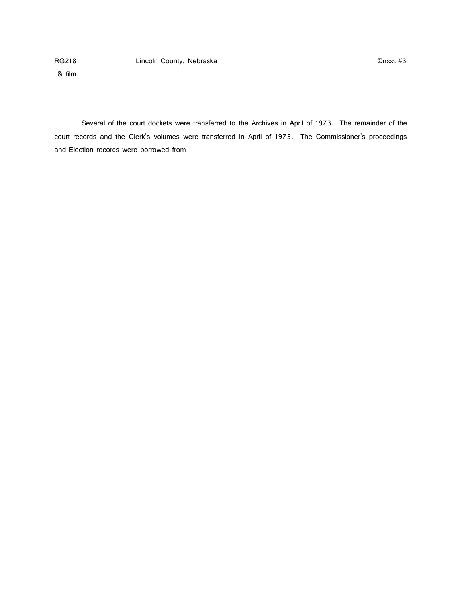& film

Several of the court dockets were transferred to the Archives in April of 1973. The remainder of the court records and the Clerk's volumes were transferred in April of 1975. The Commissioner's proceedings and Election records were borrowed from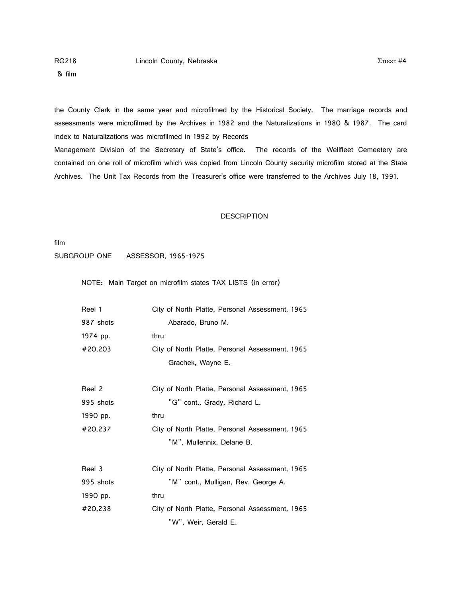& film

the County Clerk in the same year and microfilmed by the Historical Society. The marriage records and assessments were microfilmed by the Archives in 1982 and the Naturalizations in 1980 & 1987. The card index to Naturalizations was microfilmed in 1992 by Records

Management Division of the Secretary of State's office. The records of the Wellfleet Cemeetery are contained on one roll of microfilm which was copied from Lincoln County security microfilm stored at the State Archives. The Unit Tax Records from the Treasurer's office were transferred to the Archives July 18, 1991.

#### **DESCRIPTION**

film

SUBGROUP ONE ASSESSOR, 1965-1975

NOTE: Main Target on microfilm states TAX LISTS (in error)

| Reel 1    | City of North Platte, Personal Assessment, 1965 |
|-----------|-------------------------------------------------|
| 987 shots | Abarado, Bruno M.                               |
| 1974 pp.  | thru                                            |
| #20,203   | City of North Platte, Personal Assessment, 1965 |
|           | Grachek, Wayne E.                               |
| Reel 2    | City of North Platte, Personal Assessment, 1965 |
| 995 shots | "G" cont., Grady, Richard L.                    |
| 1990 pp.  | thru                                            |
| #20,237   | City of North Platte, Personal Assessment, 1965 |
|           | "M", Mullennix, Delane B.                       |
| Reel 3    | City of North Platte, Personal Assessment, 1965 |
| 995 shots | "M" cont., Mulligan, Rev. George A.             |
| 1990 pp.  | thru                                            |
| #20,238   | City of North Platte, Personal Assessment, 1965 |
|           | "W", Weir, Gerald E.                            |

 $Σ$ ηεετ #4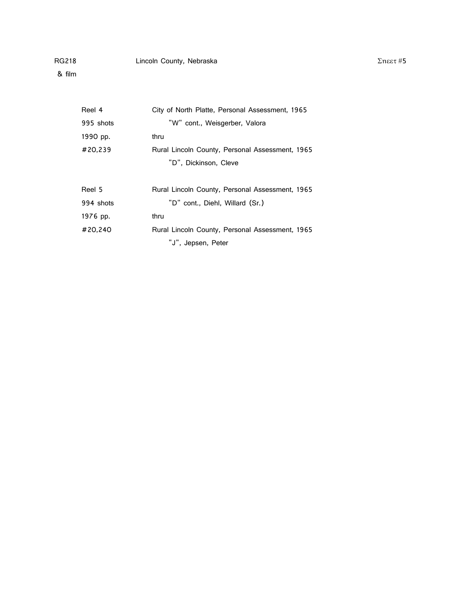| Reel 4    | City of North Platte, Personal Assessment, 1965 |
|-----------|-------------------------------------------------|
| 995 shots | "W" cont., Weisgerber, Valora                   |
| 1990 pp.  | thru                                            |
| #20,239   | Rural Lincoln County, Personal Assessment, 1965 |
|           | "D", Dickinson, Cleve                           |
|           |                                                 |
| Reel 5    | Rural Lincoln County, Personal Assessment, 1965 |
| 994 shots | "D" cont., Diehl, Willard (Sr.)                 |
| 1976 pp.  | thru                                            |
| #20,240   | Rural Lincoln County, Personal Assessment, 1965 |
|           | "J", Jepsen, Peter                              |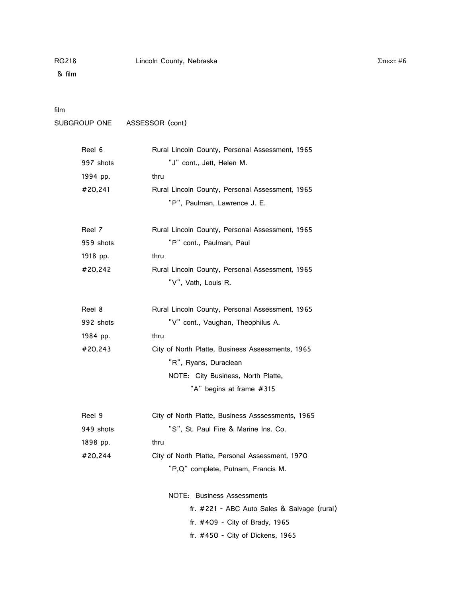# film

```
SUBGROUP ONE ASSESSOR (cont)
```

| Reel 6    | Rural Lincoln County, Personal Assessment, 1965   |
|-----------|---------------------------------------------------|
| 997 shots | "J" cont., Jett, Helen M.                         |
| 1994 pp.  | thru                                              |
| #20.241   | Rural Lincoln County, Personal Assessment, 1965   |
|           | "P", Paulman, Lawrence J. E.                      |
| Reel 7    | Rural Lincoln County, Personal Assessment, 1965   |
| 959 shots | "P" cont., Paulman, Paul                          |
| 1918 pp.  | thru                                              |
| #20,242   | Rural Lincoln County, Personal Assessment, 1965   |
|           | "V", Vath, Louis R.                               |
| Reel 8    | Rural Lincoln County, Personal Assessment, 1965   |
| 992 shots | "V" cont., Vaughan, Theophilus A.                 |
| 1984 pp.  | thru                                              |
| #20,243   | City of North Platte, Business Assessments, 1965  |
|           | "R", Ryans, Duraclean                             |
|           | NOTE: City Business, North Platte,                |
|           | "A" begins at frame #315                          |
| Reel 9    | City of North Platte, Business Asssessments, 1965 |
| 949 shots | "S", St. Paul Fire & Marine Ins. Co.              |
| 1898 pp.  | thru                                              |
| #20,244   | City of North Platte, Personal Assessment, 1970   |
|           | "P,Q" complete, Putnam, Francis M.                |
|           | NOTE: Business Assessments                        |
|           | fr. #221 - ABC Auto Sales & Salvage (rural)       |
|           | fr. #409 - City of Brady, 1965                    |
|           | fr. #450 - City of Dickens, 1965                  |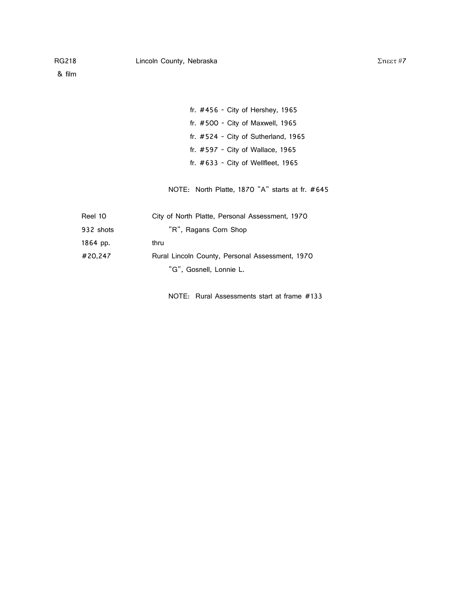| fr. $\#456$ - City of Hershey, 1965   |
|---------------------------------------|
| fr. #500 - City of Maxwell, 1965      |
| fr. $#524 - City of Sutherland, 1965$ |
| fr. $\#597$ - City of Wallace, 1965   |
| fr. $#633 - City$ of Wellfleet, 1965  |

NOTE: North Platte, 1870 "A" starts at fr. #645

| Reel 10   | City of North Platte, Personal Assessment, 1970 |
|-----------|-------------------------------------------------|
| 932 shots | "R", Ragans Corn Shop                           |
| 1864 pp.  | thru                                            |
| #20,247   | Rural Lincoln County, Personal Assessment, 1970 |
|           | "G", Gosnell, Lonnie L.                         |
|           |                                                 |

NOTE: Rural Assessments start at frame #133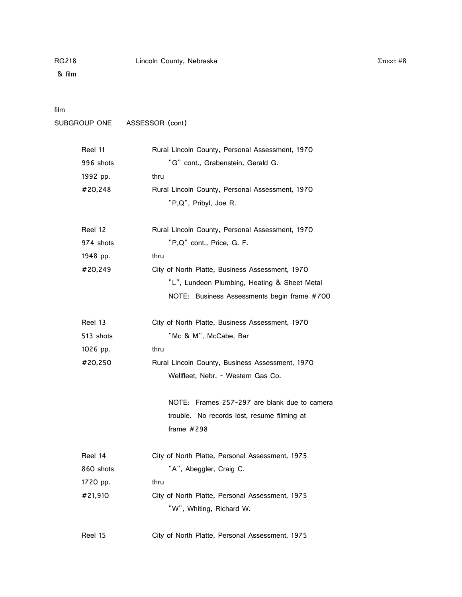# film

```
SUBGROUP ONE ASSESSOR (cont)
```

| Reel 11   | Rural Lincoln County, Personal Assessment, 1970 |
|-----------|-------------------------------------------------|
| 996 shots | "G" cont., Grabenstein, Gerald G.               |
| 1992 pp.  | thru                                            |
| #20,248   | Rural Lincoln County, Personal Assessment, 1970 |
|           | "P,Q", Pribyl, Joe R.                           |
| Reel 12   | Rural Lincoln County, Personal Assessment, 1970 |
| 974 shots | "P,Q" cont., Price, G. F.                       |
| 1948 pp.  | thru                                            |
| #20,249   | City of North Platte, Business Assessment, 1970 |
|           | "L", Lundeen Plumbing, Heating & Sheet Metal    |
|           | NOTE: Business Assessments begin frame #700     |
| Reel 13   | City of North Platte, Business Assessment, 1970 |
| 513 shots | "Mc & M", McCabe, Bar                           |
| 1026 pp.  | thru                                            |
| #20,250   | Rural Lincoln County, Business Assessment, 1970 |
|           | Wellfleet, Nebr. - Western Gas Co.              |
|           | NOTE: Frames 257-297 are blank due to camera    |
|           | trouble. No records lost, resume filming at     |
|           | frame $#298$                                    |
| Reel 14   | City of North Platte, Personal Assessment, 1975 |
| 860 shots | "A", Abeggler, Craig C.                         |
| 1720 pp.  | thru                                            |
| #21,910   | City of North Platte, Personal Assessment, 1975 |
|           | "W", Whiting, Richard W.                        |
| Reel 15   | City of North Platte, Personal Assessment, 1975 |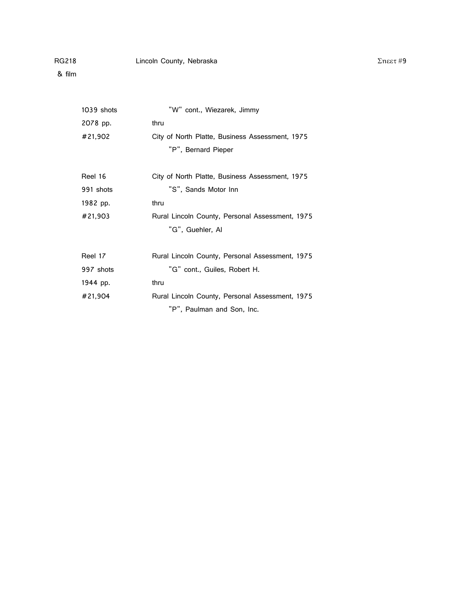| 1039 shots | "W" cont., Wiezarek, Jimmy                      |
|------------|-------------------------------------------------|
| 2078 pp.   | thru                                            |
| #21,902    | City of North Platte, Business Assessment, 1975 |
|            | "P", Bernard Pieper                             |
| Reel 16    | City of North Platte, Business Assessment, 1975 |
| 991 shots  | "S", Sands Motor Inn                            |
| 1982 pp.   | thru                                            |
| #21,903    | Rural Lincoln County, Personal Assessment, 1975 |
|            | "G", Guehler, Al                                |
| Reel 17    | Rural Lincoln County, Personal Assessment, 1975 |
| 997 shots  | "G" cont., Guiles, Robert H.                    |
| 1944 pp.   | thru                                            |
| #21,904    | Rural Lincoln County, Personal Assessment, 1975 |
|            | "P", Paulman and Son, Inc.                      |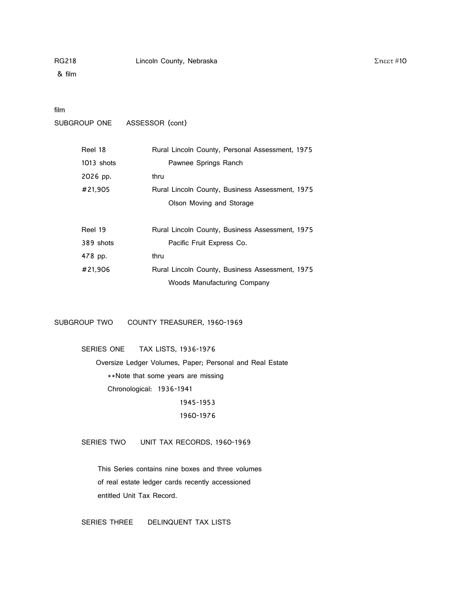#### film

SUBGROUP ONE ASSESSOR (cont)

| Reel 18      | Rural Lincoln County, Personal Assessment, 1975 |
|--------------|-------------------------------------------------|
| $1013$ shots | Pawnee Springs Ranch                            |
| 2026 pp.     | thru                                            |
| #21,905      | Rural Lincoln County, Business Assessment, 1975 |
|              | Olson Moving and Storage                        |
|              |                                                 |
| Reel 19      | Rural Lincoln County, Business Assessment, 1975 |
| 389 shots    | Pacific Fruit Express Co.                       |
| 478 pp.      | thru                                            |
| #21.906      | Rural Lincoln County, Business Assessment, 1975 |
|              | Woods Manufacturing Company                     |

SUBGROUP TWO COUNTY TREASURER, 1960-1969

SERIES ONE TAX LISTS, 1936-1976

 Oversize Ledger Volumes, Paper; Personal and Real Estate \*\*Note that some years are missing Chronological: 1936-1941 1945-1953

1960-1976

SERIES TWO UNIT TAX RECORDS, 1960-1969

This Series contains nine boxes and three volumes of real estate ledger cards recently accessioned entitled Unit Tax Record.

SERIES THREE DELINQUENT TAX LISTS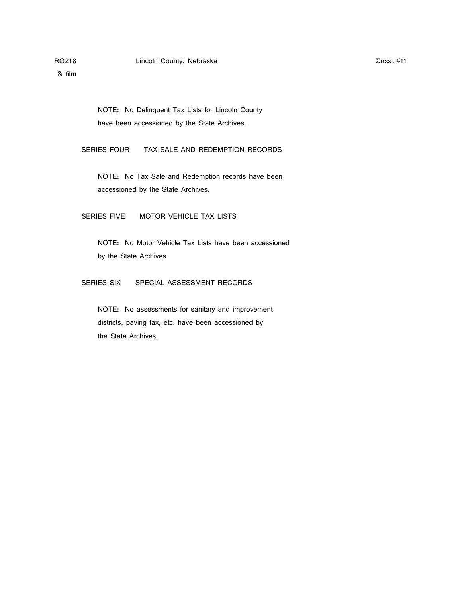NOTE: No Delinquent Tax Lists for Lincoln County have been accessioned by the State Archives.

SERIES FOUR TAX SALE AND REDEMPTION RECORDS

NOTE: No Tax Sale and Redemption records have been accessioned by the State Archives.

SERIES FIVE MOTOR VEHICLE TAX LISTS

NOTE: No Motor Vehicle Tax Lists have been accessioned by the State Archives

SERIES SIX SPECIAL ASSESSMENT RECORDS

NOTE: No assessments for sanitary and improvement districts, paving tax, etc. have been accessioned by the State Archives.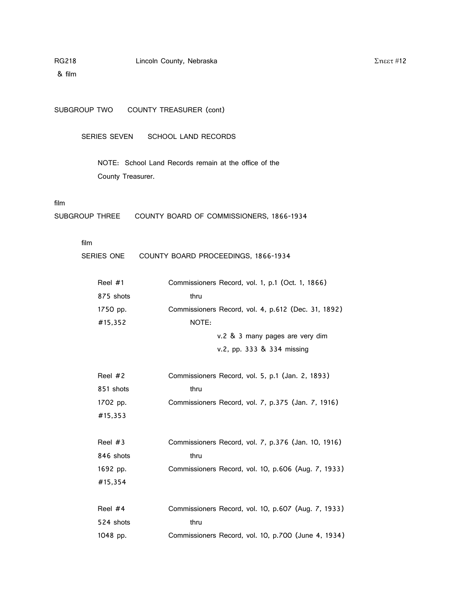& film

SUBGROUP TWO COUNTY TREASURER (cont)

SERIES SEVEN SCHOOL LAND RECORDS

NOTE: School Land Records remain at the office of the County Treasurer.

#### film

SUBGROUP THREE COUNTY BOARD OF COMMISSIONERS, 1866-1934

#### film

| SERIES ONE | COUNTY BOARD PROCEEDINGS, 1866-1934                 |
|------------|-----------------------------------------------------|
| Reel $#1$  | Commissioners Record, vol. 1, p.1 (Oct. 1, 1866)    |
| 875 shots  | thru                                                |
| 1750 pp.   | Commissioners Record, vol. 4, p.612 (Dec. 31, 1892) |
| #15,352    | NOTE:                                               |
|            | v.2 & 3 many pages are very dim                     |
|            | v.2, pp. 333 & 334 missing                          |
| Reel $#2$  | Commissioners Record, vol. 5, p.1 (Jan. 2, 1893)    |
| 851 shots  | thru                                                |
| 1702 pp.   | Commissioners Record, vol. 7, p.375 (Jan. 7, 1916)  |
| #15,353    |                                                     |
| Reel $#3$  | Commissioners Record, vol. 7, p.376 (Jan. 10, 1916) |
| 846 shots  | thru                                                |
| 1692 pp.   | Commissioners Record, vol. 10, p.606 (Aug. 7, 1933) |
| #15,354    |                                                     |
| Reel #4    | Commissioners Record, vol. 10, p.607 (Aug. 7, 1933) |
| 524 shots  | thru                                                |
| 1048 pp.   | Commissioners Record, vol. 10, p.700 (June 4, 1934) |

Σηεετ #12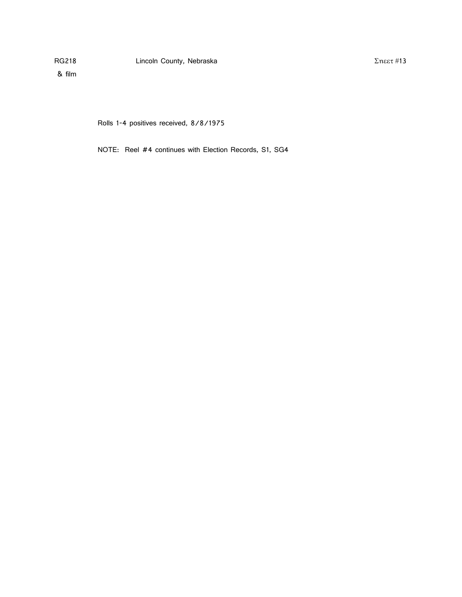$Σ$ ηεετ#13

& film

Rolls 1-4 positives received, 8/8/1975

NOTE: Reel #4 continues with Election Records, S1, SG4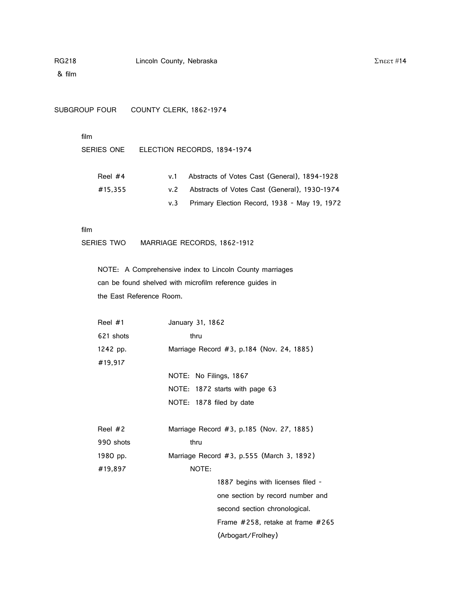& film

SUBGROUP FOUR COUNTY CLERK, 1862-1974

#### film

SERIES ONE ELECTION RECORDS, 1894-1974

| Reel $#4$ | Abstracts of Votes Cast (General), 1894-1928 |
|-----------|----------------------------------------------|
| #15.355   | Abstracts of Votes Cast (General), 1930-1974 |
|           | Primary Election Record, 1938 - May 19, 1972 |

#### film

SERIES TWO MARRIAGE RECORDS, 1862-1912

NOTE: A Comprehensive index to Lincoln County marriages can be found shelved with microfilm reference guides in the East Reference Room.

| Reel $#1$ | January 31, 1862                          |
|-----------|-------------------------------------------|
| 621 shots | thru                                      |
| 1242 pp.  | Marriage Record #3, p.184 (Nov. 24, 1885) |
| #19,917   |                                           |
|           | NOTE: No Filings, 1867                    |
|           | NOTE: 1872 starts with page 63            |
|           | NOTE: 1878 filed by date                  |
|           |                                           |
| Reel $#2$ | Marriage Record #3, p.185 (Nov. 27, 1885) |
| 990 shots | thru                                      |
| 1980 pp.  | Marriage Record #3, p.555 (March 3, 1892) |
| #19,897   | NOTE:                                     |
|           | 1887 begins with licenses filed -         |
|           | one section by record number and          |
|           | second section chronological.             |
|           | Frame #258, retake at frame #265          |
|           | (Arbogart/Frolhey)                        |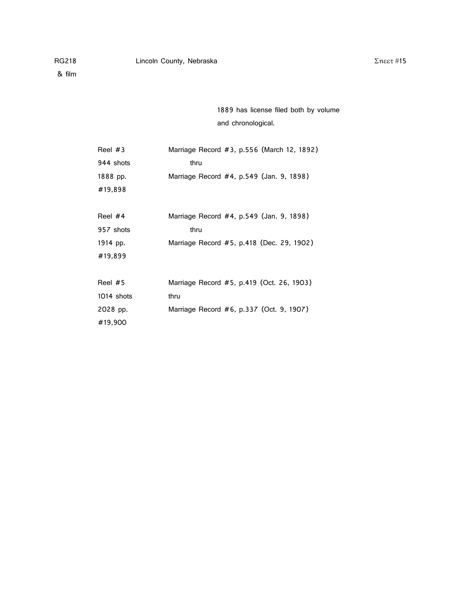1889 has license filed both by volume and chronological.

| Reel #3    | Marriage Record #3, p.556 (March 12, 1892) |  |
|------------|--------------------------------------------|--|
| 944 shots  | thru                                       |  |
| 1888 pp.   | Marriage Record #4, p.549 (Jan. 9, 1898)   |  |
| #19,898    |                                            |  |
|            |                                            |  |
| Reel #4    | Marriage Record #4, p.549 (Jan. 9, 1898)   |  |
| 957 shots  | thru                                       |  |
| 1914 pp.   | Marriage Record #5, p.418 (Dec. 29, 1902)  |  |
| #19,899    |                                            |  |
|            |                                            |  |
| Reel #5    | Marriage Record #5, p.419 (Oct. 26, 1903)  |  |
| 1014 shots | thru                                       |  |
| 2028 pp.   | Marriage Record #6, p.337 (Oct. 9, 1907)   |  |
| #19,900    |                                            |  |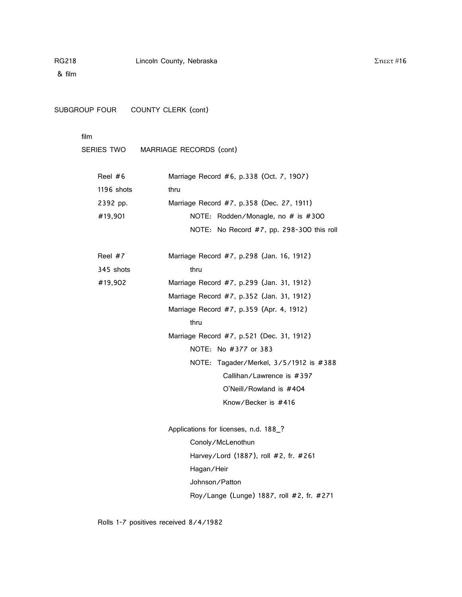SUBGROUP FOUR COUNTY CLERK (cont)

# film

SERIES TWO MARRIAGE RECORDS (cont)

| Reel #6    | Marriage Record #6, p.338 (Oct. 7, 1907)    |  |
|------------|---------------------------------------------|--|
| 1196 shots | thru                                        |  |
| 2392 pp.   | Marriage Record #7, p.358 (Dec. 27, 1911)   |  |
| #19.901    | NOTE: Rodden/Monagle, no # is #300          |  |
|            | NOTE: No Record #7, pp. 298-300 this roll   |  |
| Reel #7    | Marriage Record #7, p.298 (Jan. 16, 1912)   |  |
| 345 shots  | thru                                        |  |
| #19,902    | Marriage Record #7, p.299 (Jan. 31, 1912)   |  |
|            | Marriage Record #7, p.352 (Jan. 31, 1912)   |  |
|            | Marriage Record #7, p.359 (Apr. 4, 1912)    |  |
|            | thru                                        |  |
|            | Marriage Record #7, p.521 (Dec. 31, 1912)   |  |
|            | NOTE: No #377 or 383                        |  |
|            | NOTE: Tagader/Merkel, $3/5/1912$ is $\#388$ |  |
|            | Callihan/Lawrence is #397                   |  |
|            | O'Neill/Rowland is #404                     |  |
|            | Know/Becker is #416                         |  |
|            |                                             |  |

Applications for licenses, n.d. 188\_? Conoly/McLenothun Harvey/Lord (1887), roll #2, fr. #261 Hagan/Heir Johnson/Patton Roy/Lange (Lunge) 1887, roll #2, fr. #271

Rolls 1-7 positives received 8/4/1982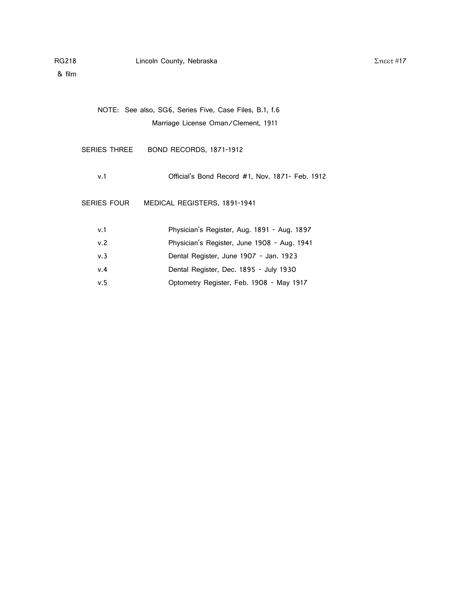| NOTE: See also, SG6, Series Five, Case Files, B.1, f.6 |                                                 |  |
|--------------------------------------------------------|-------------------------------------------------|--|
| Marriage License Oman/Clement, 1911                    |                                                 |  |
|                                                        |                                                 |  |
| SERIES THREE                                           | <b>BOND RECORDS, 1871-1912</b>                  |  |
|                                                        |                                                 |  |
| v.1                                                    | Official's Bond Record #1, Nov. 1871- Feb. 1912 |  |
|                                                        |                                                 |  |
| <b>SERIES FOUR</b>                                     | MEDICAL REGISTERS, 1891-1941                    |  |
|                                                        |                                                 |  |
| v.1                                                    | Physician's Register, Aug. 1891 - Aug. 1897     |  |
| v.2                                                    | Physician's Register, June 1908 - Aug. 1941     |  |
| v.3                                                    | Dental Register, June 1907 - Jan. 1923          |  |
| v.4                                                    | Dental Register, Dec. 1895 - July 1930          |  |
| v.5                                                    | Optometry Register, Feb. 1908 - May 1917        |  |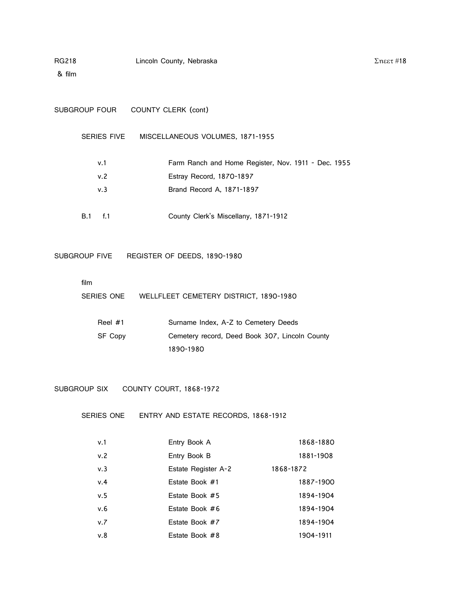& film

| SUBGROUP FOUR      | COUNTY CLERK (cont)                                 |
|--------------------|-----------------------------------------------------|
| <b>SERIES FIVE</b> | MISCELLANEOUS VOLUMES, 1871-1955                    |
| v.1                | Farm Ranch and Home Register, Nov. 1911 - Dec. 1955 |
| v.2                | Estray Record, 1870-1897                            |
| v.3                | Brand Record A, 1871-1897                           |
| f.1<br>B.1         | County Clerk's Miscellany, 1871-1912                |

 $Σ$ ηεετ#18

SUBGROUP FIVE REGISTER OF DEEDS, 1890-1980

film

SERIES ONE WELLFLEET CEMETERY DISTRICT, 1890-1980

| Reel $#1$ | Surname Index, A-Z to Cemetery Deeds           |
|-----------|------------------------------------------------|
| SF Copy   | Cemetery record, Deed Book 307, Lincoln County |
|           | 1890-1980                                      |

SUBGROUP SIX COUNTY COURT, 1868-1972

SERIES ONE ENTRY AND ESTATE RECORDS, 1868-1912

| v.1 | Entry Book A        | 1868-1880 |
|-----|---------------------|-----------|
| v.2 | Entry Book B        | 1881-1908 |
| v.3 | Estate Register A-2 | 1868-1872 |
| v.4 | Estate Book #1      | 1887-1900 |
| v.5 | Estate Book #5      | 1894-1904 |
| v.6 | Estate Book #6      | 1894-1904 |
| v.7 | Estate Book #7      | 1894-1904 |
| v.8 | Estate Book #8      | 1904-1911 |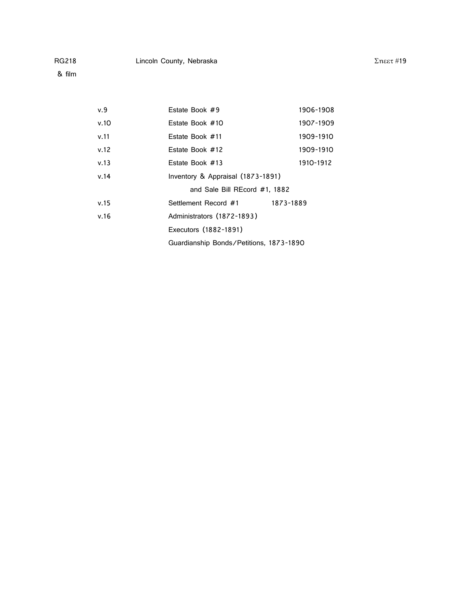& film

| v.9  | Estate Book #9                          | 1906-1908 |
|------|-----------------------------------------|-----------|
| v.10 | Estate Book #10                         | 1907-1909 |
| v.11 | Estate Book #11                         | 1909-1910 |
| v.12 | Estate Book #12                         | 1909-1910 |
| v.13 | Estate Book #13                         | 1910-1912 |
| v.14 | Inventory & Appraisal (1873-1891)       |           |
|      | and Sale Bill REcord #1, 1882           |           |
| v.15 | Settlement Record #1                    | 1873-1889 |
| v.16 | Administrators (1872-1893)              |           |
|      | Executors (1882-1891)                   |           |
|      | Guardianship Bonds/Petitions, 1873-1890 |           |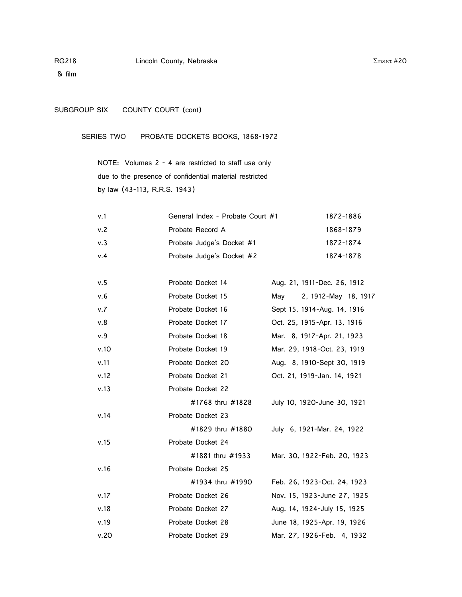# SUBGROUP SIX COUNTY COURT (cont)

SERIES TWO PROBATE DOCKETS BOOKS, 1868-1972

NOTE: Volumes 2 - 4 are restricted to staff use only due to the presence of confidential material restricted by law (43-113, R.R.S. 1943)

| v.1  | General Index - Probate Court #1 | 1872-1886 |
|------|----------------------------------|-----------|
| v.2  | Probate Record A                 | 1868-1879 |
| v. 3 | Probate Judge's Docket #1        | 1872-1874 |
| v.4  | Probate Judge's Docket #2        | 1874-1878 |

| v.5  | Probate Docket 14 | Aug. 21, 1911-Dec. 26, 1912 |
|------|-------------------|-----------------------------|
| v.6  | Probate Docket 15 | 2, 1912-May 18, 1917<br>May |
| v.7  | Probate Docket 16 | Sept 15, 1914-Aug. 14, 1916 |
| v.8  | Probate Docket 17 | Oct. 25, 1915-Apr. 13, 1916 |
| v.9  | Probate Docket 18 | Mar. 8, 1917-Apr. 21, 1923  |
| v.10 | Probate Docket 19 | Mar. 29, 1918-Oct. 23, 1919 |
| v.11 | Probate Docket 20 | Aug. 8, 1910-Sept 30, 1919  |
| v.12 | Probate Docket 21 | Oct. 21, 1919-Jan. 14, 1921 |
| v.13 | Probate Docket 22 |                             |
|      | #1768 thru #1828  | July 10, 1920-June 30, 1921 |
| v.14 | Probate Docket 23 |                             |
|      | #1829 thru #1880  | July 6, 1921-Mar. 24, 1922  |
| v.15 | Probate Docket 24 |                             |
|      | #1881 thru #1933  | Mar. 30, 1922-Feb. 20, 1923 |
| v.16 | Probate Docket 25 |                             |
|      | #1934 thru #1990  | Feb. 26, 1923-Oct. 24, 1923 |
| v.17 | Probate Docket 26 | Nov. 15, 1923-June 27, 1925 |
| v.18 | Probate Docket 27 | Aug. 14, 1924-July 15, 1925 |
| v.19 | Probate Docket 28 | June 18, 1925-Apr. 19, 1926 |
| v.20 | Probate Docket 29 | Mar. 27, 1926-Feb. 4, 1932  |

 $Σ$ ηεετ #20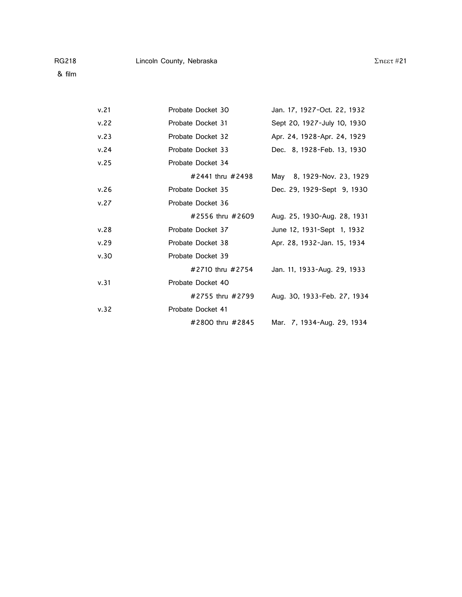| v.21 | Probate Docket 30 | Jan. 17, 1927-Oct. 22, 1932 |
|------|-------------------|-----------------------------|
| v.22 | Probate Docket 31 | Sept 20, 1927-July 10, 1930 |
| v.23 | Probate Docket 32 | Apr. 24, 1928-Apr. 24, 1929 |
| v.24 | Probate Docket 33 | Dec. 8, 1928-Feb. 13, 1930  |
| v.25 | Probate Docket 34 |                             |
|      | #2441 thru #2498  | May 8, 1929-Nov. 23, 1929   |
| v.26 | Probate Docket 35 | Dec. 29, 1929-Sept 9, 1930  |
| v.27 | Probate Docket 36 |                             |
|      | #2556 thru #2609  | Aug. 25, 1930-Aug. 28, 1931 |
| v.28 | Probate Docket 37 | June 12, 1931-Sept 1, 1932  |
| v.29 | Probate Docket 38 | Apr. 28, 1932-Jan. 15, 1934 |
| v.30 | Probate Docket 39 |                             |
|      | #2710 thru #2754  | Jan. 11, 1933-Aug. 29, 1933 |
| v.31 | Probate Docket 40 |                             |
|      | #2755 thru #2799  | Aug. 30, 1933-Feb. 27, 1934 |
| v.32 | Probate Docket 41 |                             |
|      | #2800 thru #2845  | Mar. 7, 1934-Aug. 29, 1934  |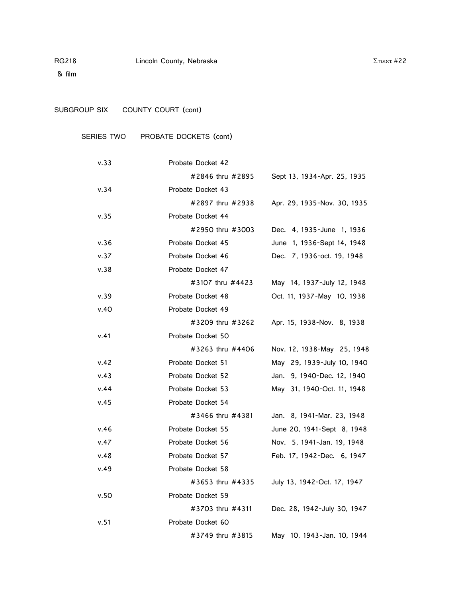& film

# SUBGROUP SIX COUNTY COURT (cont)

# SERIES TWO PROBATE DOCKETS (cont)

| v.33 | Probate Docket 42 |                             |
|------|-------------------|-----------------------------|
|      | #2846 thru #2895  | Sept 13, 1934-Apr. 25, 1935 |
| v.34 | Probate Docket 43 |                             |
|      | #2897 thru #2938  | Apr. 29, 1935-Nov. 30, 1935 |
| v.35 | Probate Docket 44 |                             |
|      | #2950 thru #3003  | Dec. 4, 1935-June 1, 1936   |
| v.36 | Probate Docket 45 | June 1, 1936-Sept 14, 1948  |
| v.37 | Probate Docket 46 | Dec. 7, 1936-oct. 19, 1948  |
| v.38 | Probate Docket 47 |                             |
|      | #3107 thru #4423  | May 14, 1937-July 12, 1948  |
| v.39 | Probate Docket 48 | Oct. 11, 1937-May 10, 1938  |
| v.40 | Probate Docket 49 |                             |
|      | #3209 thru #3262  | Apr. 15, 1938-Nov. 8, 1938  |
| v.41 | Probate Docket 50 |                             |
|      | #3263 thru #4406  | Nov. 12, 1938-May 25, 1948  |
| v.42 | Probate Docket 51 | May 29, 1939-July 10, 1940  |
| v.43 | Probate Docket 52 | Jan. 9, 1940-Dec. 12, 1940  |
| v.44 | Probate Docket 53 | May 31, 1940-Oct. 11, 1948  |
| v.45 | Probate Docket 54 |                             |
|      | #3466 thru #4381  | Jan. 8, 1941-Mar. 23, 1948  |
| v.46 | Probate Docket 55 | June 20, 1941-Sept 8, 1948  |
| v.47 | Probate Docket 56 | Nov. 5, 1941-Jan. 19, 1948  |
| v.48 | Probate Docket 57 | Feb. 17, 1942-Dec. 6, 1947  |
| v.49 | Probate Docket 58 |                             |
|      | #3653 thru #4335  | July 13, 1942-Oct. 17, 1947 |
| v.50 | Probate Docket 59 |                             |
|      | #3703 thru #4311  | Dec. 28, 1942-July 30, 1947 |
| v.51 | Probate Docket 60 |                             |
|      | #3749 thru #3815  | May 10, 1943-Jan. 10, 1944  |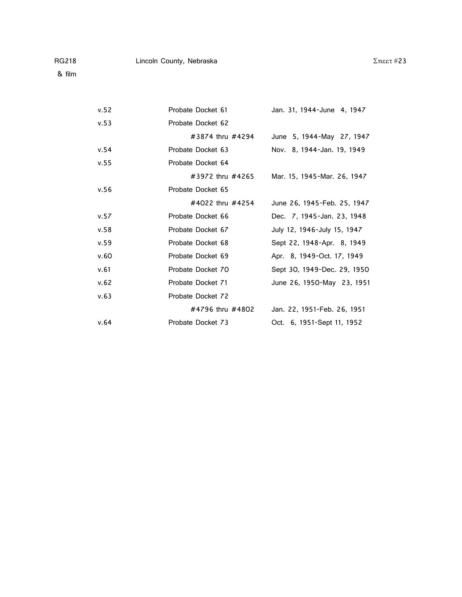| v.52 | Probate Docket 61 | Jan. 31, 1944-June 4, 1947  |
|------|-------------------|-----------------------------|
| v.53 | Probate Docket 62 |                             |
|      | #3874 thru #4294  | June 5, 1944-May 27, 1947   |
| v.54 | Probate Docket 63 | Nov. 8, 1944-Jan. 19, 1949  |
| v.55 | Probate Docket 64 |                             |
|      | #3972 thru #4265  | Mar. 15, 1945-Mar. 26, 1947 |
| v.56 | Probate Docket 65 |                             |
|      | #4022 thru #4254  | June 26, 1945-Feb. 25, 1947 |
| v.57 | Probate Docket 66 | Dec. 7, 1945-Jan. 23, 1948  |
| v.58 | Probate Docket 67 | July 12, 1946-July 15, 1947 |
| v.59 | Probate Docket 68 | Sept 22, 1948-Apr. 8, 1949  |
| v.60 | Probate Docket 69 | Apr. 8, 1949-Oct. 17, 1949  |
| v.61 | Probate Docket 70 | Sept 30, 1949-Dec. 29, 1950 |
| v.62 | Probate Docket 71 | June 26, 1950-May 23, 1951  |
| v.63 | Probate Docket 72 |                             |
|      | #4796 thru #4802  | Jan. 22, 1951-Feb. 26, 1951 |
| v.64 | Probate Docket 73 | Oct. 6, 1951-Sept 11, 1952  |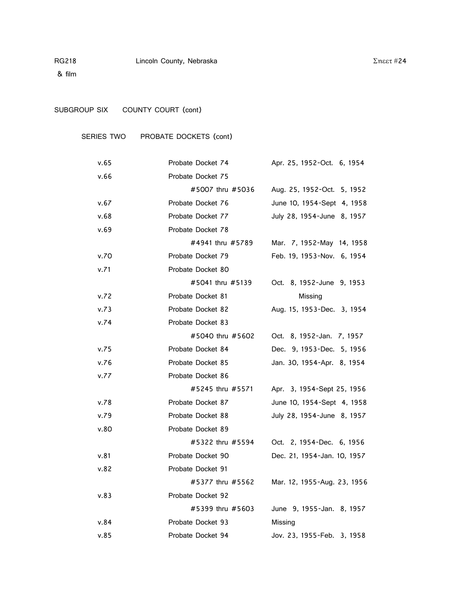& film

# SUBGROUP SIX COUNTY COURT (cont)

# SERIES TWO PROBATE DOCKETS (cont)

| v.65 | Probate Docket 74 | Apr. 25, 1952-Oct. 6, 1954  |
|------|-------------------|-----------------------------|
| v.66 | Probate Docket 75 |                             |
|      | #5007 thru #5036  | Aug. 25, 1952-Oct. 5, 1952  |
| v.67 | Probate Docket 76 | June 10, 1954-Sept 4, 1958  |
| v.68 | Probate Docket 77 | July 28, 1954-June 8, 1957  |
| v.69 | Probate Docket 78 |                             |
|      | #4941 thru #5789  | Mar. 7, 1952-May 14, 1958   |
| v.70 | Probate Docket 79 | Feb. 19, 1953-Nov. 6, 1954  |
| v.71 | Probate Docket 80 |                             |
|      | #5041 thru #5139  | Oct. 8, 1952-June 9, 1953   |
| v.72 | Probate Docket 81 | Missing                     |
| v.73 | Probate Docket 82 | Aug. 15, 1953-Dec. 3, 1954  |
| v.74 | Probate Docket 83 |                             |
|      | #5040 thru #5602  | Oct. 8, 1952-Jan. 7, 1957   |
| v.75 | Probate Docket 84 | Dec. 9, 1953-Dec. 5, 1956   |
| v.76 | Probate Docket 85 | Jan. 30, 1954-Apr. 8, 1954  |
| v.77 | Probate Docket 86 |                             |
|      | #5245 thru #5571  | Apr. 3, 1954-Sept 25, 1956  |
| v.78 | Probate Docket 87 | June 10, 1954-Sept 4, 1958  |
| v.79 | Probate Docket 88 | July 28, 1954-June 8, 1957  |
| v.80 | Probate Docket 89 |                             |
|      | #5322 thru #5594  | Oct. 2, 1954-Dec. 6, 1956   |
| v.81 | Probate Docket 90 | Dec. 21, 1954-Jan. 10, 1957 |
| v.82 | Probate Docket 91 |                             |
|      | #5377 thru #5562  | Mar. 12, 1955-Aug. 23, 1956 |
| v.83 | Probate Docket 92 |                             |
|      | #5399 thru #5603  | June 9, 1955-Jan. 8, 1957   |
| v.84 | Probate Docket 93 | Missing                     |
| v.85 | Probate Docket 94 | Jov. 23, 1955-Feb. 3, 1958  |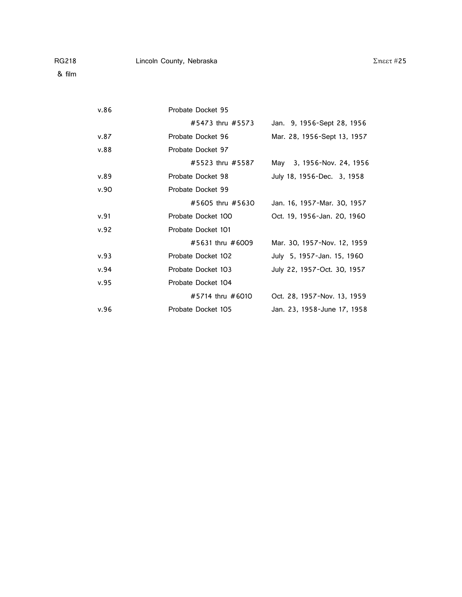| v.86 | Probate Docket 95  |                             |
|------|--------------------|-----------------------------|
|      | #5473 thru #5573   | Jan. 9, 1956-Sept 28, 1956  |
| v.87 | Probate Docket 96  | Mar. 28, 1956-Sept 13, 1957 |
| v.88 | Probate Docket 97  |                             |
|      | #5523 thru #5587   | May 3, 1956-Nov. 24, 1956   |
| v.89 | Probate Docket 98  | July 18, 1956-Dec. 3, 1958  |
| v.90 | Probate Docket 99  |                             |
|      | #5605 thru #5630   | Jan. 16, 1957-Mar. 30, 1957 |
| v.91 | Probate Docket 100 | Oct. 19, 1956-Jan. 20, 1960 |
| v.92 | Probate Docket 101 |                             |
|      | #5631 thru #6009   | Mar. 30, 1957-Nov. 12, 1959 |
| v.93 | Probate Docket 102 | July 5, 1957-Jan. 15, 1960  |
| v.94 | Probate Docket 103 | July 22, 1957-Oct. 30, 1957 |
| v.95 | Probate Docket 104 |                             |
|      | #5714 thru #6010   | Oct. 28, 1957-Nov. 13, 1959 |
| v.96 | Probate Docket 105 | Jan. 23, 1958-June 17, 1958 |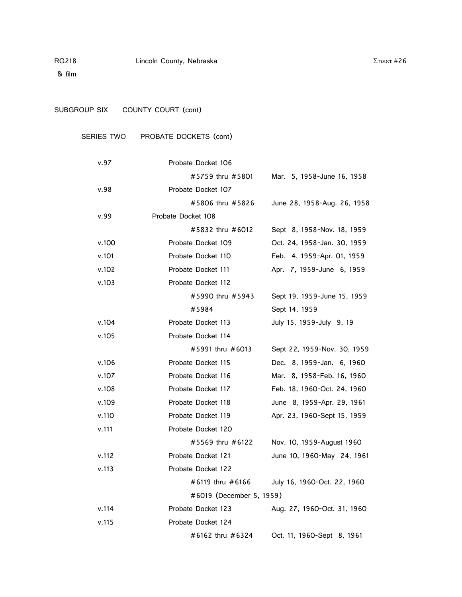& film

# SUBGROUP SIX COUNTY COURT (cont)

# SERIES TWO PROBATE DOCKETS (cont)

| v.97  | Probate Docket 106       |                             |
|-------|--------------------------|-----------------------------|
|       | #5759 thru #5801         | Mar. 5, 1958-June 16, 1958  |
| v.98  | Probate Docket 107       |                             |
|       | #5806 thru #5826         | June 28, 1958-Aug. 26, 1958 |
| v.99  | Probate Docket 108       |                             |
|       | #5832 thru #6012         | Sept 8, 1958-Nov. 18, 1959  |
| v.100 | Probate Docket 109       | Oct. 24, 1958-Jan. 30, 1959 |
| v.101 | Probate Docket 110       | Feb. 4, 1959-Apr. 01, 1959  |
| v.102 | Probate Docket 111       | Apr. 7, 1959-June 6, 1959   |
| v.103 | Probate Docket 112       |                             |
|       | #5990 thru #5943         | Sept 19, 1959-June 15, 1959 |
|       | #5984                    | Sept 14, 1959               |
| v.104 | Probate Docket 113       | July 15, 1959-July 9, 19    |
| v.105 | Probate Docket 114       |                             |
|       | #5991 thru #6013         | Sept 22, 1959-Nov. 30, 1959 |
| v.106 | Probate Docket 115       | Dec. 8, 1959-Jan. 6, 1960   |
| v.107 | Probate Docket 116       | Mar. 8, 1958-Feb. 16, 1960  |
| v.108 | Probate Docket 117       | Feb. 18, 1960-Oct. 24, 1960 |
| v.109 | Probate Docket 118       | June 8, 1959-Apr. 29, 1961  |
| v.110 | Probate Docket 119       | Apr. 23, 1960-Sept 15, 1959 |
| v.111 | Probate Docket 120       |                             |
|       | #5569 thru #6122         | Nov. 10, 1959-August 1960   |
| v.112 | Probate Docket 121       | June 10, 1960-May 24, 1961  |
| v.113 | Probate Docket 122       |                             |
|       | #6119 thru #6166         | July 16, 1960-Oct. 22, 1960 |
|       | #6019 (December 5, 1959) |                             |
| v.114 | Probate Docket 123       | Aug. 27, 1960-Oct. 31, 1960 |
| v.115 | Probate Docket 124       |                             |
|       | #6162 thru #6324         | Oct. 11, 1960-Sept 8, 1961  |

 $Σ$ ηεετ #26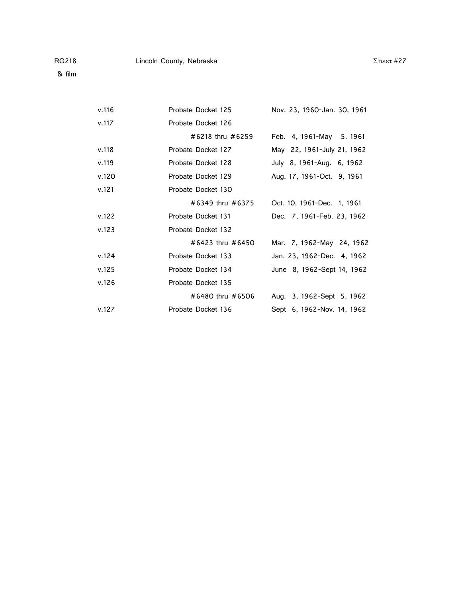& film

| v.116 | Probate Docket 125 | Nov. 23, 1960-Jan. 30, 1961 |
|-------|--------------------|-----------------------------|
| v.117 | Probate Docket 126 |                             |
|       | #6218 thru #6259   | Feb. 4, 1961-May 5, 1961    |
| v.118 | Probate Docket 127 | May 22, 1961-July 21, 1962  |
| v.119 | Probate Docket 128 | July 8, 1961-Aug. 6, 1962   |
| v.120 | Probate Docket 129 | Aug. 17, 1961-Oct. 9, 1961  |
| v.121 | Probate Docket 130 |                             |
|       | #6349 thru #6375   | Oct. 10, 1961-Dec. 1, 1961  |
| v.122 | Probate Docket 131 | Dec. 7, 1961-Feb. 23, 1962  |
| v.123 | Probate Docket 132 |                             |
|       | #6423 thru #6450   | Mar. 7, 1962-May 24, 1962   |
| v.124 | Probate Docket 133 | Jan. 23, 1962-Dec. 4, 1962  |
| v.125 | Probate Docket 134 | June 8, 1962-Sept 14, 1962  |
| v.126 | Probate Docket 135 |                             |
|       | #6480 thru #6506   | Aug. 3, 1962-Sept 5, 1962   |
| v.127 | Probate Docket 136 | Sept 6, 1962-Nov. 14, 1962  |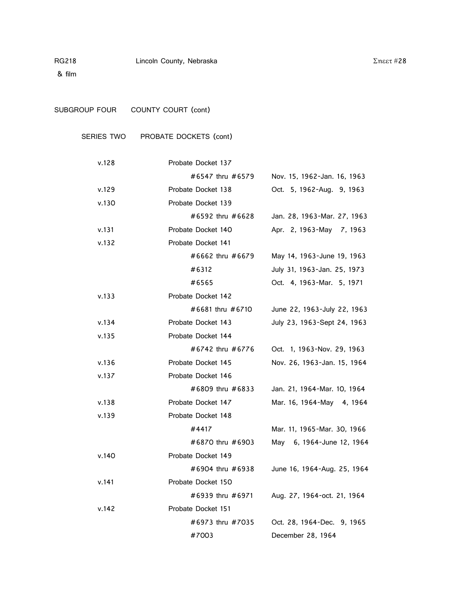& film

SUBGROUP FOUR COUNTY COURT (cont)

# SERIES TWO PROBATE DOCKETS (cont)

| v.128 | Probate Docket 137 |                             |
|-------|--------------------|-----------------------------|
|       | #6547 thru #6579   | Nov. 15, 1962-Jan. 16, 1963 |
| v.129 | Probate Docket 138 | Oct. 5, 1962-Aug. 9, 1963   |
| v.130 | Probate Docket 139 |                             |
|       | #6592 thru #6628   | Jan. 28, 1963-Mar. 27, 1963 |
| v.131 | Probate Docket 140 | Apr. 2, 1963-May 7, 1963    |
| v.132 | Probate Docket 141 |                             |
|       | #6662 thru #6679   | May 14, 1963-June 19, 1963  |
|       | #6312              | July 31, 1963-Jan. 25, 1973 |
|       | #6565              | Oct. 4, 1963-Mar. 5, 1971   |
| v.133 | Probate Docket 142 |                             |
|       | #6681 thru #6710   | June 22, 1963-July 22, 1963 |
| v.134 | Probate Docket 143 | July 23, 1963-Sept 24, 1963 |
| v.135 | Probate Docket 144 |                             |
|       | #6742 thru #6776   | Oct. 1, 1963-Nov. 29, 1963  |
| v.136 | Probate Docket 145 | Nov. 26, 1963-Jan. 15, 1964 |
| v.137 | Probate Docket 146 |                             |
|       | #6809 thru #6833   | Jan. 21, 1964-Mar. 10, 1964 |
| v.138 | Probate Docket 147 | Mar. 16, 1964-May 4, 1964   |
| v.139 | Probate Docket 148 |                             |
|       | #4417              | Mar. 11, 1965-Mar. 30, 1966 |
|       | #6870 thru #6903   | May 6, 1964-June 12, 1964   |
| v.140 | Probate Docket 149 |                             |
|       | #6904 thru #6938   | June 16, 1964-Aug. 25, 1964 |
| v.141 | Probate Docket 150 |                             |
|       | #6939 thru #6971   | Aug. 27, 1964-oct. 21, 1964 |
| v.142 | Probate Docket 151 |                             |
|       | #6973 thru #7035   | Oct. 28, 1964-Dec. 9, 1965  |
|       | #7003              | December 28, 1964           |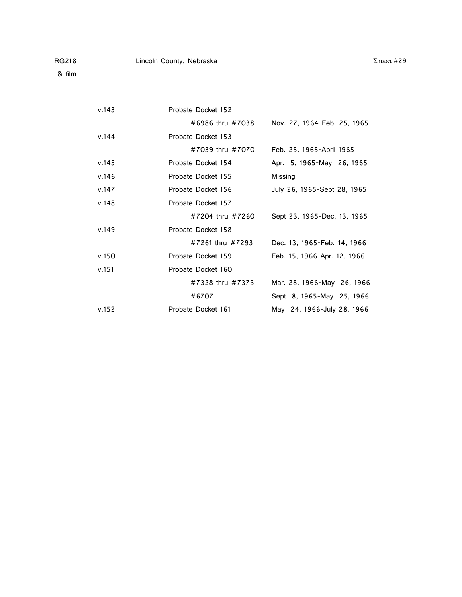v.151 Probate Docket 160

 $v.143$ 

 $v.144$ 

 $v.148$ 

| v.143 | Probate Docket 152 |                             |
|-------|--------------------|-----------------------------|
|       | #6986 thru #7038   | Nov. 27, 1964-Feb. 25, 1965 |
| v.144 | Probate Docket 153 |                             |
|       | #7039 thru #7070   | Feb. 25, 1965-April 1965    |
| v.145 | Probate Docket 154 | Apr. 5, 1965-May 26, 1965   |
| v.146 | Probate Docket 155 | Missing                     |
| v.147 | Probate Docket 156 | July 26, 1965-Sept 28, 1965 |
| v.148 | Probate Docket 157 |                             |
|       | #7204 thru #7260   | Sept 23, 1965-Dec. 13, 1965 |
| v.149 | Probate Docket 158 |                             |
|       | #7261 thru #7293   | Dec. 13, 1965-Feb. 14, 1966 |
| v.150 | Probate Docket 159 | Feb. 15, 1966-Apr. 12, 1966 |

#7328 thru #7373 Mar. 28, 1966-May 26, 1966 #6707 Sept 8, 1965-May 25, 1966 v.152 Probate Docket 161 May 24, 1966-July 28, 1966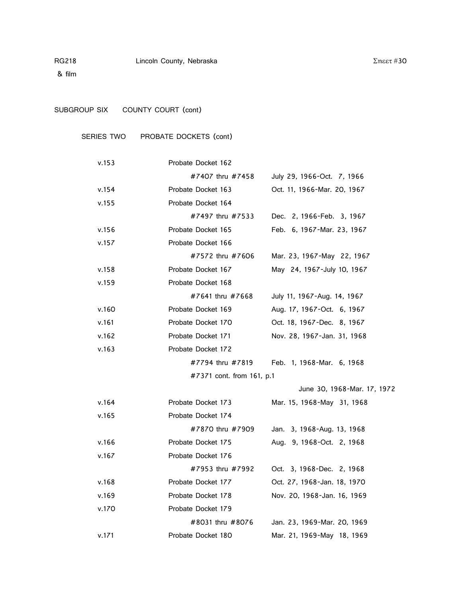& film

# SUBGROUP SIX COUNTY COURT (cont)

# SERIES TWO PROBATE DOCKETS (cont)

| v.153 | Probate Docket 162        |                                            |
|-------|---------------------------|--------------------------------------------|
|       | #7407 thru #7458          | July 29, 1966-Oct. 7, 1966                 |
| v.154 | Probate Docket 163        | Oct. 11, 1966-Mar. 20, 1967                |
| v.155 | Probate Docket 164        |                                            |
|       | #7497 thru #7533          | Dec. 2, 1966-Feb. 3, 1967                  |
| v.156 | Probate Docket 165        | Feb. 6, 1967-Mar. 23, 1967                 |
| v.157 | Probate Docket 166        |                                            |
|       | #7572 thru #7606          | Mar. 23, 1967-May 22, 1967                 |
| v.158 | Probate Docket 167        | May 24, 1967-July 10, 1967                 |
| v.159 | Probate Docket 168        |                                            |
|       | #7641 thru #7668          | July 11, 1967-Aug. 14, 1967                |
| v.160 | Probate Docket 169        | Aug. 17, 1967-Oct. 6, 1967                 |
| v.161 | Probate Docket 170        | Oct. 18, 1967-Dec. 8, 1967                 |
| v.162 | Probate Docket 171        | Nov. 28, 1967-Jan. 31, 1968                |
| v.163 | Probate Docket 172        |                                            |
|       |                           | #7794 thru #7819 Feb. 1, 1968-Mar. 6, 1968 |
|       | #7371 cont. from 161, p.1 |                                            |
|       |                           | June 30, 1968-Mar. 17, 1972                |
| v.164 | Probate Docket 173        | Mar. 15, 1968-May 31, 1968                 |
| v.165 | Probate Docket 174        |                                            |
|       | #7870 thru #7909          | Jan. 3, 1968-Aug. 13, 1968                 |
| v.166 | Probate Docket 175        | Aug. 9, 1968-Oct. 2, 1968                  |
| v.167 | Probate Docket 176        |                                            |
|       | #7953 thru #7992          | Oct. 3, 1968-Dec. 2, 1968                  |
| v.168 | Probate Docket 177        | Oct. 27, 1968-Jan. 18, 1970                |
| v.169 | Probate Docket 178        | Nov. 20, 1968-Jan. 16, 1969                |
| v.170 | Probate Docket 179        |                                            |
|       | #8031 thru #8076          | Jan. 23, 1969-Mar. 20, 1969                |
| v.171 | Probate Docket 180        | Mar. 21, 1969-May 18, 1969                 |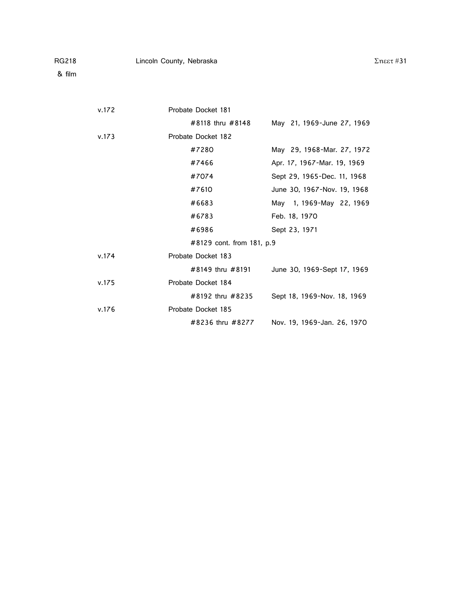| RG218 | Lincoln County, Nebraska |  |
|-------|--------------------------|--|

v.172 Probate Docket 181

|       | #8118 thru #8148          | May 21, 1969-June 27, 1969  |
|-------|---------------------------|-----------------------------|
| v.173 | Probate Docket 182        |                             |
|       | #7280                     | May 29, 1968-Mar. 27, 1972  |
|       | #7466                     | Apr. 17, 1967-Mar. 19, 1969 |
|       | #7074                     | Sept 29, 1965-Dec. 11, 1968 |
|       | #7610                     | June 30, 1967-Nov. 19, 1968 |
|       | #6683                     | May 1, 1969-May 22, 1969    |
|       | #6783                     | Feb. 18, 1970               |
|       | #6986                     | Sept 23, 1971               |
|       | #8129 cont. from 181, p.9 |                             |
| v.174 | Probate Docket 183        |                             |
|       | #8149 thru #8191          | June 30, 1969-Sept 17, 1969 |
| v.175 | Probate Docket 184        |                             |
|       | #8192 thru #8235          | Sept 18, 1969-Nov. 18, 1969 |
| v.176 | Probate Docket 185        |                             |
|       | #8236 thru #8277          | Nov. 19, 1969-Jan. 26, 1970 |

 $Σ$ ηεετ#31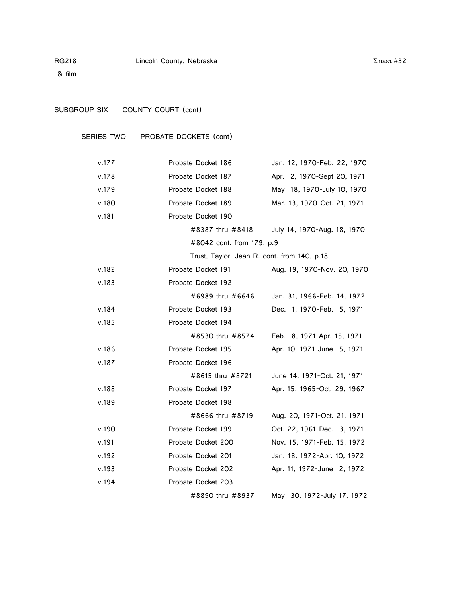& film

# SUBGROUP SIX COUNTY COURT (cont)

SERIES TWO PROBATE DOCKETS (cont)

| v.177 | Probate Docket 186                          | Jan. 12, 1970-Feb. 22, 1970 |
|-------|---------------------------------------------|-----------------------------|
| v.178 | Probate Docket 187                          | Apr. 2, 1970-Sept 20, 1971  |
| v.179 | Probate Docket 188                          | May 18, 1970-July 10, 1970  |
| v.180 | Probate Docket 189                          | Mar. 13, 1970-Oct. 21, 1971 |
| v.181 | Probate Docket 190                          |                             |
|       | #8387 thru #8418                            | July 14, 1970-Aug. 18, 1970 |
|       | #8042 cont. from 179, p.9                   |                             |
|       | Trust, Taylor, Jean R. cont. from 140, p.18 |                             |
| v.182 | Probate Docket 191                          | Aug. 19, 1970-Nov. 20, 1970 |
| v.183 | Probate Docket 192                          |                             |
|       | #6989 thru #6646                            | Jan. 31, 1966-Feb. 14, 1972 |
| v.184 | Probate Docket 193                          | Dec. 1, 1970-Feb. 5, 1971   |
| v.185 | Probate Docket 194                          |                             |
|       | #8530 thru #8574                            | Feb. 8, 1971-Apr. 15, 1971  |
| v.186 | Probate Docket 195                          | Apr. 10, 1971-June 5, 1971  |
| v.187 | Probate Docket 196                          |                             |
|       | #8615 thru #8721                            | June 14, 1971-Oct. 21, 1971 |
| v.188 | Probate Docket 197                          | Apr. 15, 1965-Oct. 29, 1967 |
| v.189 | Probate Docket 198                          |                             |
|       | #8666 thru #8719                            | Aug. 20, 1971-Oct. 21, 1971 |
| v.190 | Probate Docket 199                          | Oct. 22, 1961-Dec. 3, 1971  |
| v.191 | Probate Docket 200                          | Nov. 15, 1971-Feb. 15, 1972 |
| v.192 | Probate Docket 201                          | Jan. 18, 1972-Apr. 10, 1972 |
| v.193 | Probate Docket 202                          | Apr. 11, 1972-June 2, 1972  |
| v.194 | Probate Docket 203                          |                             |
|       | #8890 thru #8937                            | May 30, 1972-July 17, 1972  |

#### $Σ$ ηεετ #32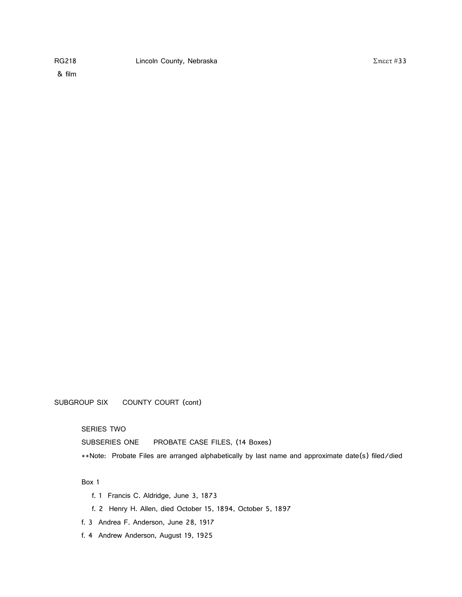SUBGROUP SIX COUNTY COURT (cont)

SERIES TWO

SUBSERIES ONE PROBATE CASE FILES, (14 Boxes)

\*\*Note: Probate Files are arranged alphabetically by last name and approximate date(s) filed/died

Box 1

- f. 1 Francis C. Aldridge, June 3, 1873
- f. 2 Henry H. Allen, died October 15, 1894, October 5, 1897
- f. 3 Andrea F. Anderson, June 28, 1917
- f. 4 Andrew Anderson, August 19, 1925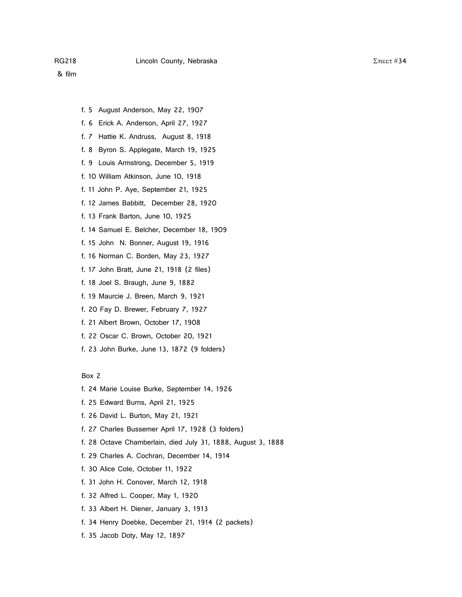- f. 5 August Anderson, May 22, 1907
- f. 6 Erick A. Anderson, April 27, 1927
- f. 7 Hattie K. Andruss, August 8, 1918
- f. 8 Byron S. Applegate, March 19, 1925
- f. 9 Louis Armstrong, December 5, 1919
- f. 10 William Atkinson, June 10, 1918
- f. 11 John P. Aye, September 21, 1925
- f. 12 James Babbitt, December 28, 1920
- f. 13 Frank Barton, June 10, 1925
- f. 14 Samuel E. Belcher, December 18, 1909
- f. 15 John N. Bonner, August 19, 1916
- f. 16 Norman C. Borden, May 23, 1927
- f. 17 John Bratt, June 21, 1918 (2 files)
- f. 18 Joel S. Braugh, June 9, 1882
- f. 19 Maurcie J. Breen, March 9, 1921
- f. 20 Fay D. Brewer, February 7, 1927
- f. 21 Albert Brown, October 17, 1908
- f. 22 Oscar C. Brown, October 20, 1921
- f. 23 John Burke, June 13, 1872 (9 folders)

Box 2

- f. 24 Marie Louise Burke, September 14, 1926
- f. 25 Edward Burns, April 21, 1925
- f. 26 David L. Burton, May 21, 1921
- f. 27 Charles Bussemer April 17, 1928 (3 folders)
- f. 28 Octave Chamberlain, died July 31, 1888, August 3, 1888
- f. 29 Charles A. Cochran, December 14, 1914
- f. 30 Alice Cole, October 11, 1922
- f. 31 John H. Conover, March 12, 1918
- f. 32 Alfred L. Cooper, May 1, 1920
- f. 33 Albert H. Diener, January 3, 1913
- f. 34 Henry Doebke, December 21, 1914 (2 packets)
- f. 35 Jacob Doty, May 12, 1897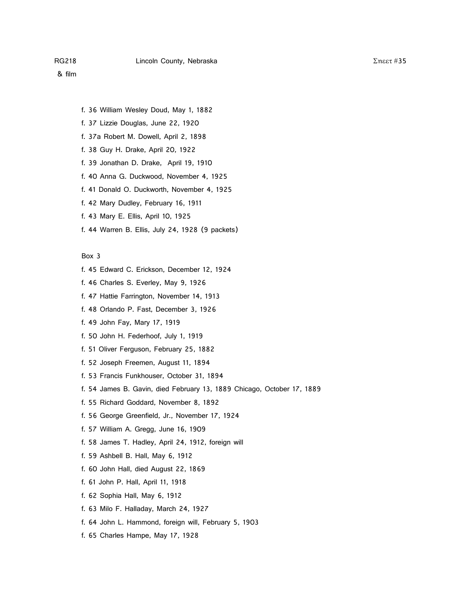- f. 36 William Wesley Doud, May 1, 1882
- f. 37 Lizzie Douglas, June 22, 1920
- f. 37a Robert M. Dowell, April 2, 1898
- f. 38 Guy H. Drake, April 20, 1922
- f. 39 Jonathan D. Drake, April 19, 1910
- f. 40 Anna G. Duckwood, November 4, 1925
- f. 41 Donald O. Duckworth, November 4, 1925
- f. 42 Mary Dudley, February 16, 1911
- f. 43 Mary E. Ellis, April 10, 1925
- f. 44 Warren B. Ellis, July 24, 1928 (9 packets)

- f. 45 Edward C. Erickson, December 12, 1924
- f. 46 Charles S. Everley, May 9, 1926
- f. 47 Hattie Farrington, November 14, 1913
- f. 48 Orlando P. Fast, December 3, 1926
- f. 49 John Fay, Mary 17, 1919
- f. 50 John H. Federhoof, July 1, 1919
- f. 51 Oliver Ferguson, February 25, 1882
- f. 52 Joseph Freemen, August 11, 1894
- f. 53 Francis Funkhouser, October 31, 1894
- f. 54 James B. Gavin, died February 13, 1889 Chicago, October 17, 1889
- f. 55 Richard Goddard, November 8, 1892
- f. 56 George Greenfield, Jr., November 17, 1924
- f. 57 William A. Gregg, June 16, 1909
- f. 58 James T. Hadley, April 24, 1912, foreign will
- f. 59 Ashbell B. Hall, May 6, 1912
- f. 60 John Hall, died August 22, 1869
- f. 61 John P. Hall, April 11, 1918
- f. 62 Sophia Hall, May 6, 1912
- f. 63 Milo F. Halladay, March 24, 1927
- f. 64 John L. Hammond, foreign will, February 5, 1903
- f. 65 Charles Hampe, May 17, 1928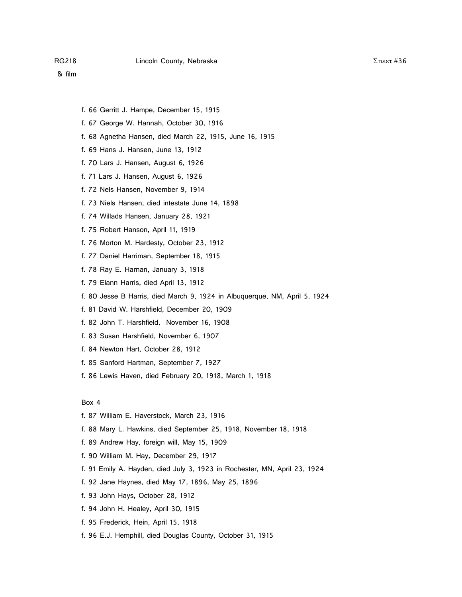- f. 66 Gerritt J. Hampe, December 15, 1915
- f. 67 George W. Hannah, October 30, 1916
- f. 68 Agnetha Hansen, died March 22, 1915, June 16, 1915
- f. 69 Hans J. Hansen, June 13, 1912
- f. 70 Lars J. Hansen, August 6, 1926
- f. 71 Lars J. Hansen, August 6, 1926
- f. 72 Nels Hansen, November 9, 1914
- f. 73 Niels Hansen, died intestate June 14, 1898
- f. 74 Willads Hansen, January 28, 1921
- f. 75 Robert Hanson, April 11, 1919
- f. 76 Morton M. Hardesty, October 23, 1912
- f. 77 Daniel Harriman, September 18, 1915
- f. 78 Ray E. Harnan, January 3, 1918
- f. 79 Elann Harris, died April 13, 1912
- f. 80 Jesse B Harris, died March 9, 1924 in Albuquerque, NM, April 5, 1924
- f. 81 David W. Harshfield, December 20, 1909
- f. 82 John T. Harshfield, November 16, 1908
- f. 83 Susan Harshfield, November 6, 1907
- f. 84 Newton Hart, October 28, 1912
- f. 85 Sanford Hartman, September 7, 1927
- f. 86 Lewis Haven, died February 20, 1918, March 1, 1918

- f. 87 William E. Haverstock, March 23, 1916
- f. 88 Mary L. Hawkins, died September 25, 1918, November 18, 1918
- f. 89 Andrew Hay, foreign will, May 15, 1909
- f. 90 William M. Hay, December 29, 1917
- f. 91 Emily A. Hayden, died July 3, 1923 in Rochester, MN, April 23, 1924
- f. 92 Jane Haynes, died May 17, 1896, May 25, 1896
- f. 93 John Hays, October 28, 1912
- f. 94 John H. Healey, April 30, 1915
- f. 95 Frederick, Hein, April 15, 1918
- f. 96 E.J. Hemphill, died Douglas County, October 31, 1915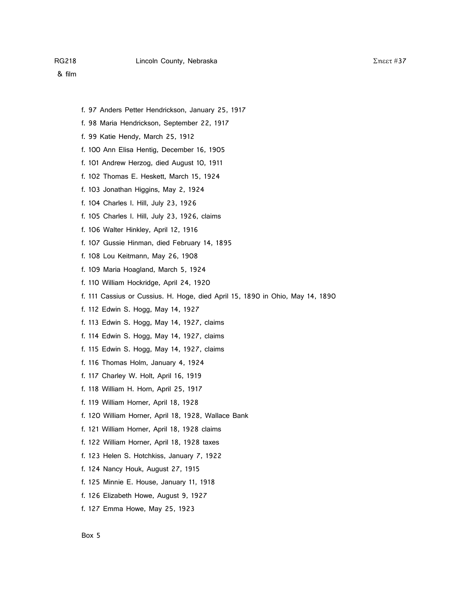- f. 97 Anders Petter Hendrickson, January 25, 1917
- f. 98 Maria Hendrickson, September 22, 1917
- f. 99 Katie Hendy, March 25, 1912
- f. 100 Ann Elisa Hentig, December 16, 1905
- f. 101 Andrew Herzog, died August 10, 1911
- f. 102 Thomas E. Heskett, March 15, 1924
- f. 103 Jonathan Higgins, May 2, 1924
- f. 104 Charles I. Hill, July 23, 1926
- f. 105 Charles I. Hill, July 23, 1926, claims
- f. 106 Walter Hinkley, April 12, 1916
- f. 107 Gussie Hinman, died February 14, 1895
- f. 108 Lou Keitmann, May 26, 1908
- f. 109 Maria Hoagland, March 5, 1924
- f. 110 William Hockridge, April 24, 1920
- f. 111 Cassius or Cussius. H. Hoge, died April 15, 1890 in Ohio, May 14, 1890
- f. 112 Edwin S. Hogg, May 14, 1927
- f. 113 Edwin S. Hogg, May 14, 1927, claims
- f. 114 Edwin S. Hogg, May 14, 1927, claims
- f. 115 Edwin S. Hogg, May 14, 1927, claims
- f. 116 Thomas Holm, January 4, 1924
- f. 117 Charley W. Holt, April 16, 1919
- f. 118 William H. Horn, April 25, 1917
- f. 119 William Horner, April 18, 1928
- f. 120 William Horner, April 18, 1928, Wallace Bank
- f. 121 William Horner, April 18, 1928 claims
- f. 122 William Horner, April 18, 1928 taxes
- f. 123 Helen S. Hotchkiss, January 7, 1922
- f. 124 Nancy Houk, August 27, 1915
- f. 125 Minnie E. House, January 11, 1918
- f. 126 Elizabeth Howe, August 9, 1927
- f. 127 Emma Howe, May 25, 1923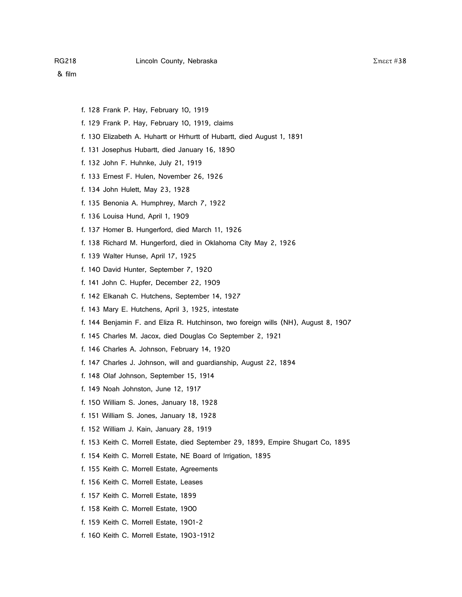- f. 128 Frank P. Hay, February 10, 1919
- f. 129 Frank P. Hay, February 10, 1919, claims
- f. 130 Elizabeth A. Huhartt or Hrhurtt of Hubartt, died August 1, 1891
- f. 131 Josephus Hubartt, died January 16, 1890
- f. 132 John F. Huhnke, July 21, 1919
- f. 133 Ernest F. Hulen, November 26, 1926
- f. 134 John Hulett, May 23, 1928
- f. 135 Benonia A. Humphrey, March 7, 1922
- f. 136 Louisa Hund, April 1, 1909
- f. 137 Homer B. Hungerford, died March 11, 1926
- f. 138 Richard M. Hungerford, died in Oklahoma City May 2, 1926
- f. 139 Walter Hunse, April 17, 1925
- f. 140 David Hunter, September 7, 1920
- f. 141 John C. Hupfer, December 22, 1909
- f. 142 Elkanah C. Hutchens, September 14, 1927
- f. 143 Mary E. Hutchens, April 3, 1925, intestate
- f. 144 Benjamin F. and Eliza R. Hutchinson, two foreign wills (NH), August 8, 1907
- f. 145 Charles M. Jacox, died Douglas Co September 2, 1921
- f. 146 Charles A. Johnson, February 14, 1920
- f. 147 Charles J. Johnson, will and guardianship, August 22, 1894
- f. 148 Olaf Johnson, September 15, 1914
- f. 149 Noah Johnston, June 12, 1917
- f. 150 William S. Jones, January 18, 1928
- f. 151 William S. Jones, January 18, 1928
- f. 152 William J. Kain, January 28, 1919
- f. 153 Keith C. Morrell Estate, died September 29, 1899, Empire Shugart Co, 1895
- f. 154 Keith C. Morrell Estate, NE Board of Irrigation, 1895
- f. 155 Keith C. Morrell Estate, Agreements
- f. 156 Keith C. Morrell Estate, Leases
- f. 157 Keith C. Morrell Estate, 1899
- f. 158 Keith C. Morrell Estate, 1900
- f. 159 Keith C. Morrell Estate, 1901-2
- f. 160 Keith C. Morrell Estate, 1903-1912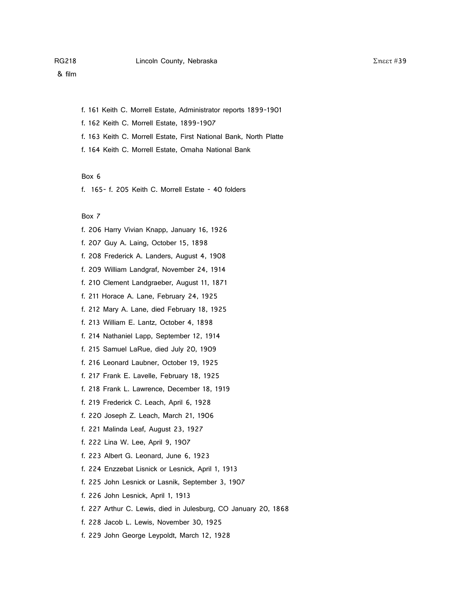f. 161 Keith C. Morrell Estate, Administrator reports 1899-1901

f. 162 Keith C. Morrell Estate, 1899-1907

f. 163 Keith C. Morrell Estate, First National Bank, North Platte

f. 164 Keith C. Morrell Estate, Omaha National Bank

Box 6

f. 165- f. 205 Keith C. Morrell Estate - 40 folders

## Box 7

f. 206 Harry Vivian Knapp, January 16, 1926 f. 207 Guy A. Laing, October 15, 1898 f. 208 Frederick A. Landers, August 4, 1908 f. 209 William Landgraf, November 24, 1914 f. 210 Clement Landgraeber, August 11, 1871 f. 211 Horace A. Lane, February 24, 1925 f. 212 Mary A. Lane, died February 18, 1925 f. 213 William E. Lantz, October 4, 1898 f. 214 Nathaniel Lapp, September 12, 1914 f. 215 Samuel LaRue, died July 20, 1909 f. 216 Leonard Laubner, October 19, 1925 f. 217 Frank E. Lavelle, February 18, 1925 f. 218 Frank L. Lawrence, December 18, 1919 f. 219 Frederick C. Leach, April 6, 1928 f. 220 Joseph Z. Leach, March 21, 1906 f. 221 Malinda Leaf, August 23, 1927 f. 222 Lina W. Lee, April 9, 1907 f. 223 Albert G. Leonard, June 6, 1923 f. 224 Enzzebat Lisnick or Lesnick, April 1, 1913 f. 225 John Lesnick or Lasnik, September 3, 1907 f. 226 John Lesnick, April 1, 1913 f. 227 Arthur C. Lewis, died in Julesburg, CO January 20, 1868 f. 228 Jacob L. Lewis, November 30, 1925 f. 229 John George Leypoldt, March 12, 1928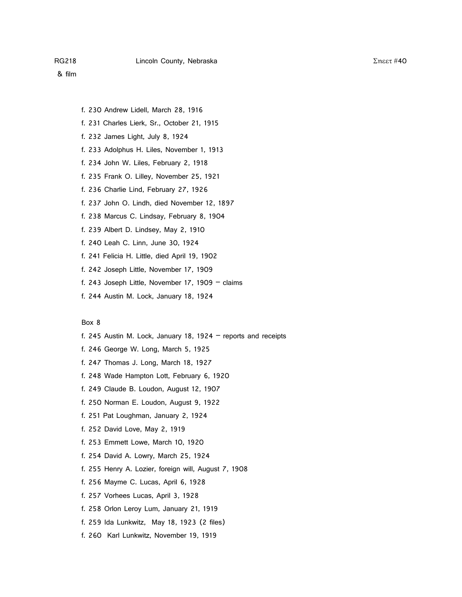- f. 230 Andrew Lidell, March 28, 1916
- f. 231 Charles Lierk, Sr., October 21, 1915
- f. 232 James Light, July 8, 1924
- f. 233 Adolphus H. Liles, November 1, 1913
- f. 234 John W. Liles, February 2, 1918
- f. 235 Frank O. Lilley, November 25, 1921
- f. 236 Charlie Lind, February 27, 1926
- f. 237 John O. Lindh, died November 12, 1897
- f. 238 Marcus C. Lindsay, February 8, 1904
- f. 239 Albert D. Lindsey, May 2, 1910
- f. 240 Leah C. Linn, June 30, 1924
- f. 241 Felicia H. Little, died April 19, 1902
- f. 242 Joseph Little, November 17, 1909
- f. 243 Joseph Little, November 17, 1909  $-$  claims
- f. 244 Austin M. Lock, January 18, 1924

- f. 245 Austin M. Lock, January 18, 1924 reports and receipts
- f. 246 George W. Long, March 5, 1925
- f. 247 Thomas J. Long, March 18, 1927
- f. 248 Wade Hampton Lott, February 6, 1920
- f. 249 Claude B. Loudon, August 12, 1907
- f. 250 Norman E. Loudon, August 9, 1922
- f. 251 Pat Loughman, January 2, 1924
- f. 252 David Love, May 2, 1919
- f. 253 Emmett Lowe, March 10, 1920
- f. 254 David A. Lowry, March 25, 1924
- f. 255 Henry A. Lozier, foreign will, August 7, 1908
- f. 256 Mayme C. Lucas, April 6, 1928
- f. 257 Vorhees Lucas, April 3, 1928
- f. 258 Orlon Leroy Lum, January 21, 1919
- f. 259 Ida Lunkwitz, May 18, 1923 (2 files)
- f. 260 Karl Lunkwitz, November 19, 1919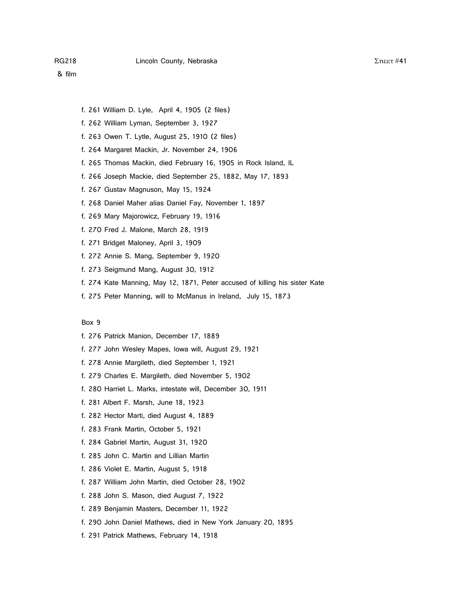- f. 261 William D. Lyle, April 4, 1905 (2 files)
- f. 262 William Lyman, September 3, 1927
- f. 263 Owen T. Lytle, August 25, 1910 (2 files)
- f. 264 Margaret Mackin, Jr. November 24, 1906
- f. 265 Thomas Mackin, died February 16, 1905 in Rock Island, IL
- f. 266 Joseph Mackie, died September 25, 1882, May 17, 1893
- f. 267 Gustav Magnuson, May 15, 1924
- f. 268 Daniel Maher alias Daniel Fay, November 1, 1897
- f. 269 Mary Majorowicz, February 19, 1916
- f. 270 Fred J. Malone, March 28, 1919
- f. 271 Bridget Maloney, April 3, 1909
- f. 272 Annie S. Mang, September 9, 1920
- f. 273 Seigmund Mang, August 30, 1912
- f. 274 Kate Manning, May 12, 1871, Peter accused of killing his sister Kate
- f. 275 Peter Manning, will to McManus in Ireland, July 15, 1873

- f. 276 Patrick Manion, December 17, 1889
- f. 277 John Wesley Mapes, Iowa will, August 29, 1921
- f. 278 Annie Margileth, died September 1, 1921
- f. 279 Charles E. Margileth, died November 5, 1902
- f. 280 Harriet L. Marks, intestate will, December 30, 1911
- f. 281 Albert F. Marsh, June 18, 1923
- f. 282 Hector Marti, died August 4, 1889
- f. 283 Frank Martin, October 5, 1921
- f. 284 Gabriel Martin, August 31, 1920
- f. 285 John C. Martin and Lillian Martin
- f. 286 Violet E. Martin, August 5, 1918
- f. 287 William John Martin, died October 28, 1902
- f. 288 John S. Mason, died August 7, 1922
- f. 289 Benjamin Masters, December 11, 1922
- f. 290 John Daniel Mathews, died in New York January 20, 1895
- f. 291 Patrick Mathews, February 14, 1918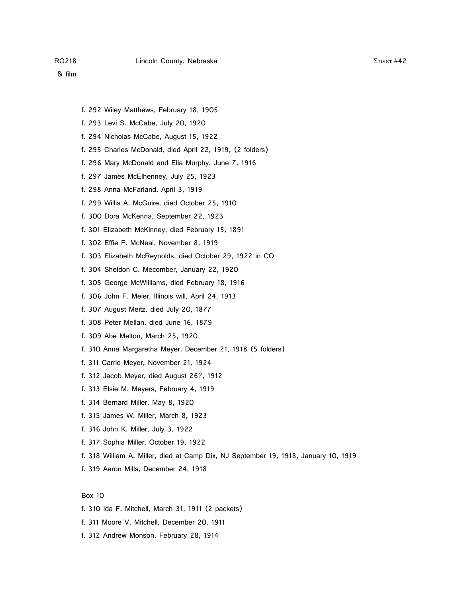- f. 292 Wiley Matthews, February 18, 1905
- f. 293 Levi S. McCabe, July 20, 1920
- f. 294 Nicholas McCabe, August 15, 1922
- f. 295 Charles McDonald, died April 22, 1919, (2 folders)
- f. 296 Mary McDonald and Ella Murphy, June 7, 1916
- f. 297 James McElhenney, July 25, 1923
- f. 298 Anna McFarland, April 3, 1919
- f. 299 Willis A. McGuire, died October 25, 1910
- f. 300 Dora McKenna, September 22, 1923
- f. 301 Elizabeth McKinney, died February 15, 1891
- f. 302 Effie F. McNeal, November 8, 1919
- f. 303 Elizabeth McReynolds, died October 29, 1922 in CO
- f. 304 Sheldon C. Mecomber, January 22, 1920
- f. 305 George McWilliams, died February 18, 1916
- f. 306 John F. Meier, Illinois will, April 24, 1913
- f. 307 August Meitz, died July 20, 1877
- f. 308 Peter Mellan, died June 16, 1879
- f. 309 Abe Melton, March 25, 1920
- f. 310 Anna Margaretha Meyer, December 21, 1918 (5 folders)
- f. 311 Carrie Meyer, November 21, 1924
- f. 312 Jacob Meyer, died August 26?, 1912
- f. 313 Elsie M. Meyers, February 4, 1919
- f. 314 Bernard Miller, May 8, 1920
- f. 315 James W. Miller, March 8, 1923
- f. 316 John K. Miller, July 3, 1922
- f. 317 Sophia Miller, October 19, 1922
- f. 318 William A. Miller, died at Camp Dix, NJ September 19, 1918, January 10, 1919
- f. 319 Aaron Mills, December 24, 1918

- f. 310 Ida F. Mitchell, March 31, 1911 (2 packets)
- f. 311 Moore V. Mitchell, December 20, 1911
- f. 312 Andrew Monson, February 28, 1914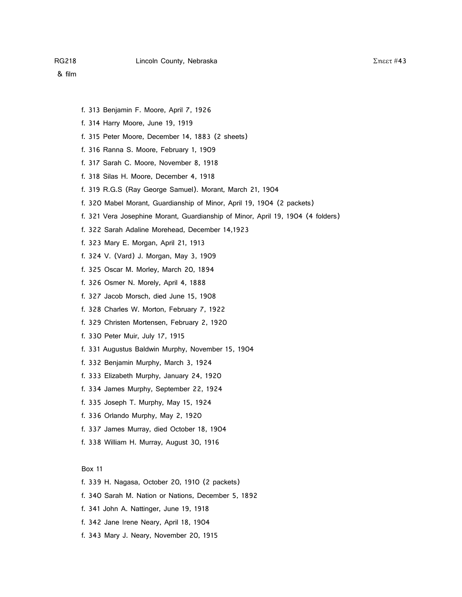- f. 313 Benjamin F. Moore, April 7, 1926
- f. 314 Harry Moore, June 19, 1919
- f. 315 Peter Moore, December 14, 1883 (2 sheets)
- f. 316 Ranna S. Moore, February 1, 1909
- f. 317 Sarah C. Moore, November 8, 1918
- f. 318 Silas H. Moore, December 4, 1918
- f. 319 R.G.S (Ray George Samuel). Morant, March 21, 1904
- f. 320 Mabel Morant, Guardianship of Minor, April 19, 1904 (2 packets)
- f. 321 Vera Josephine Morant, Guardianship of Minor, April 19, 1904 (4 folders)
- f. 322 Sarah Adaline Morehead, December 14,1923
- f. 323 Mary E. Morgan, April 21, 1913
- f. 324 V. (Vard) J. Morgan, May 3, 1909
- f. 325 Oscar M. Morley, March 20, 1894
- f. 326 Osmer N. Morely, April 4, 1888
- f. 327 Jacob Morsch, died June 15, 1908
- f. 328 Charles W. Morton, February 7, 1922
- f. 329 Christen Mortensen, February 2, 1920
- f. 330 Peter Muir, July 17, 1915
- f. 331 Augustus Baldwin Murphy, November 15, 1904
- f. 332 Benjamin Murphy, March 3, 1924
- f. 333 Elizabeth Murphy, January 24, 1920
- f. 334 James Murphy, September 22, 1924
- f. 335 Joseph T. Murphy, May 15, 1924
- f. 336 Orlando Murphy, May 2, 1920
- f. 337 James Murray, died October 18, 1904
- f. 338 William H. Murray, August 30, 1916

- f. 339 H. Nagasa, October 20, 1910 (2 packets)
- f. 340 Sarah M. Nation or Nations, December 5, 1892
- f. 341 John A. Nattinger, June 19, 1918
- f. 342 Jane Irene Neary, April 18, 1904
- f. 343 Mary J. Neary, November 20, 1915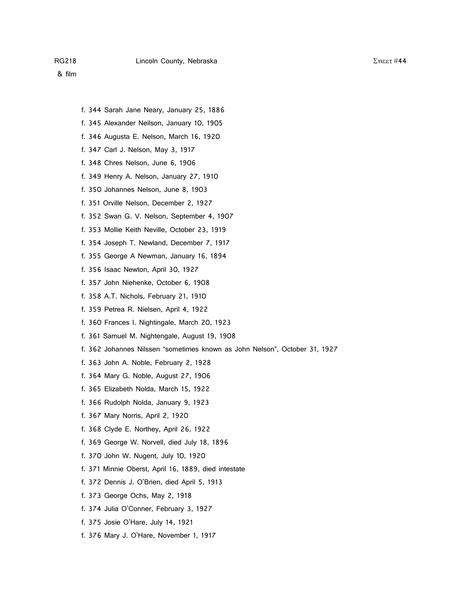- f. 344 Sarah Jane Neary, January 25, 1886
- f. 345 Alexander Neilson, January 10, 1905
- f. 346 Augusta E. Nelson, March 16, 1920
- f. 347 Carl J. Nelson, May 3, 1917
- f. 348 Chres Nelson, June 6, 1906
- f. 349 Henry A. Nelson, January 27, 1910
- f. 350 Johannes Nelson, June 8, 1903
- f. 351 Orville Nelson, December 2, 1927
- f. 352 Swan G. V. Nelson, September 4, 1907
- f. 353 Mollie Keith Neville, October 23, 1919
- f. 354 Joseph T. Newland, December 7, 1917
- f. 355 George A Newman, January 16, 1894
- f. 356 Isaac Newton, April 30, 1927
- f. 357 John Niehenke, October 6, 1908
- f. 358 A.T. Nichols, February 21, 1910
- f. 359 Petrea R. Nielsen, April 4, 1922
- f. 360 Frances I. Nightingale, March 20, 1923
- f. 361 Samuel M. Nightengale, August 19, 1908
- f. 362 Johannes Nilssen "sometimes known as John Nelson", October 31, 1927
- f. 363 John A. Noble, February 2, 1928
- f. 364 Mary G. Noble, August 27, 1906
- f. 365 Elizabeth Nolda, March 15, 1922
- f. 366 Rudolph Nolda, January 9, 1923
- f. 367 Mary Norris, April 2, 1920
- f. 368 Clyde E. Northey, April 26, 1922
- f. 369 George W. Norvell, died July 18, 1896
- f. 370 John W. Nugent, July 10, 1920
- f. 371 Minnie Oberst, April 16, 1889, died intestate
- f. 372 Dennis J. O'Brien, died April 5, 1913
- f. 373 George Ochs, May 2, 1918
- f. 374 Julia O'Conner, February 3, 1927
- f. 375 Josie O'Hare, July 14, 1921
- f. 376 Mary J. O'Hare, November 1, 1917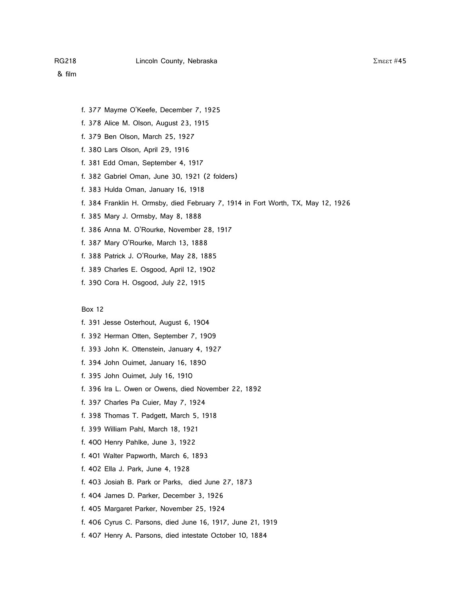- f. 377 Mayme O'Keefe, December 7, 1925
- f. 378 Alice M. Olson, August 23, 1915
- f. 379 Ben Olson, March 25, 1927
- f. 380 Lars Olson, April 29, 1916
- f. 381 Edd Oman, September 4, 1917
- f. 382 Gabriel Oman, June 30, 1921 (2 folders)
- f. 383 Hulda Oman, January 16, 1918
- f. 384 Franklin H. Ormsby, died February 7, 1914 in Fort Worth, TX, May 12, 1926
- f. 385 Mary J. Ormsby, May 8, 1888
- f. 386 Anna M. O'Rourke, November 28, 1917
- f. 387 Mary O'Rourke, March 13, 1888
- f. 388 Patrick J. O'Rourke, May 28, 1885
- f. 389 Charles E. Osgood, April 12, 1902
- f. 390 Cora H. Osgood, July 22, 1915

- f. 391 Jesse Osterhout, August 6, 1904
- f. 392 Herman Otten, September 7, 1909
- f. 393 John K. Ottenstein, January 4, 1927
- f. 394 John Ouimet, January 16, 1890
- f. 395 John Ouimet, July 16, 1910
- f. 396 Ira L. Owen or Owens, died November 22, 1892
- f. 397 Charles Pa Cuier, May 7, 1924
- f. 398 Thomas T. Padgett, March 5, 1918
- f. 399 William Pahl, March 18, 1921
- f. 400 Henry Pahlke, June 3, 1922
- f. 401 Walter Papworth, March 6, 1893
- f. 402 Ella J. Park, June 4, 1928
- f. 403 Josiah B. Park or Parks, died June 27, 1873
- f. 404 James D. Parker, December 3, 1926
- f. 405 Margaret Parker, November 25, 1924
- f. 406 Cyrus C. Parsons, died June 16, 1917, June 21, 1919
- f. 407 Henry A. Parsons, died intestate October 10, 1884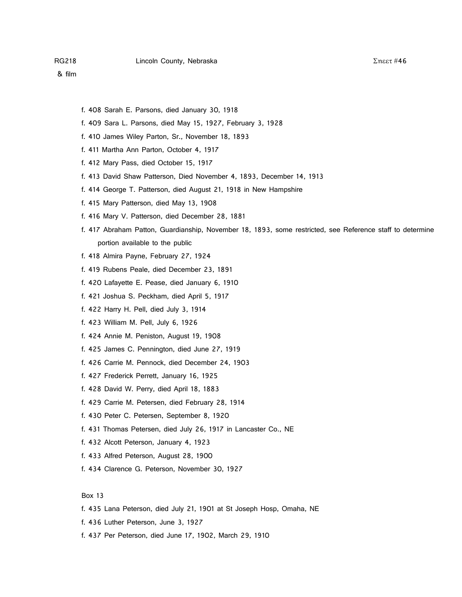- f. 408 Sarah E. Parsons, died January 30, 1918
- f. 409 Sara L. Parsons, died May 15, 1927, February 3, 1928
- f. 410 James Wiley Parton, Sr., November 18, 1893
- f. 411 Martha Ann Parton, October 4, 1917
- f. 412 Mary Pass, died October 15, 1917
- f. 413 David Shaw Patterson, Died November 4, 1893, December 14, 1913
- f. 414 George T. Patterson, died August 21, 1918 in New Hampshire
- f. 415 Mary Patterson, died May 13, 1908
- f. 416 Mary V. Patterson, died December 28, 1881
- f. 417 Abraham Patton, Guardianship, November 18, 1893, some restricted, see Reference staff to determine portion available to the public
- f. 418 Almira Payne, February 27, 1924
- f. 419 Rubens Peale, died December 23, 1891
- f. 420 Lafayette E. Pease, died January 6, 1910
- f. 421 Joshua S. Peckham, died April 5, 1917
- f. 422 Harry H. Pell, died July 3, 1914
- f. 423 William M. Pell, July 6, 1926
- f. 424 Annie M. Peniston, August 19, 1908
- f. 425 James C. Pennington, died June 27, 1919
- f. 426 Carrie M. Pennock, died December 24, 1903
- f. 427 Frederick Perrett, January 16, 1925
- f. 428 David W. Perry, died April 18, 1883
- f. 429 Carrie M. Petersen, died February 28, 1914
- f. 430 Peter C. Petersen, September 8, 1920
- f. 431 Thomas Petersen, died July 26, 1917 in Lancaster Co., NE
- f. 432 Alcott Peterson, January 4, 1923
- f. 433 Alfred Peterson, August 28, 1900
- f. 434 Clarence G. Peterson, November 30, 1927

- f. 435 Lana Peterson, died July 21, 1901 at St Joseph Hosp, Omaha, NE
- f. 436 Luther Peterson, June 3, 1927
- f. 437 Per Peterson, died June 17, 1902, March 29, 1910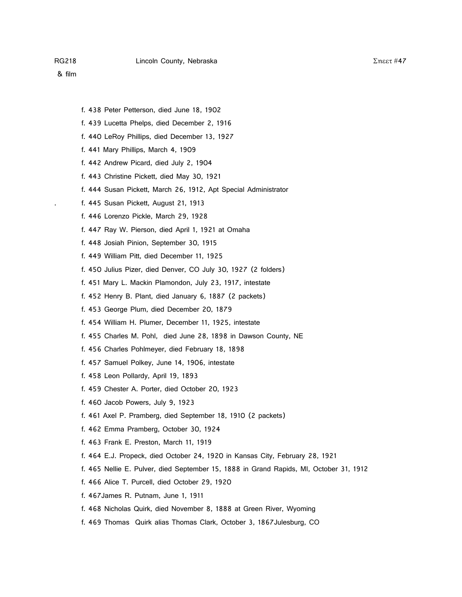- f. 438 Peter Petterson, died June 18, 1902
- f. 439 Lucetta Phelps, died December 2, 1916
- f. 440 LeRoy Phillips, died December 13, 1927
- f. 441 Mary Phillips, March 4, 1909
- f. 442 Andrew Picard, died July 2, 1904
- f. 443 Christine Pickett, died May 30, 1921
- f. 444 Susan Pickett, March 26, 1912, Apt Special Administrator
- . f. 445 Susan Pickett, August 21, 1913
- f. 446 Lorenzo Pickle, March 29, 1928
- f. 447 Ray W. Pierson, died April 1, 1921 at Omaha
- f. 448 Josiah Pinion, September 30, 1915
- f. 449 William Pitt, died December 11, 1925
- f. 450 Julius Pizer, died Denver, CO July 30, 1927 (2 folders)
- f. 451 Mary L. Mackin Plamondon, July 23, 1917, intestate
- f. 452 Henry B. Plant, died January 6, 1887 (2 packets)
- f. 453 George Plum, died December 20, 1879
- f. 454 William H. Plumer, December 11, 1925, intestate
- f. 455 Charles M. Pohl, died June 28, 1898 in Dawson County, NE
- f. 456 Charles Pohlmeyer, died February 18, 1898
- f. 457 Samuel Polkey, June 14, 1906, intestate
- f. 458 Leon Pollardy, April 19, 1893
- f. 459 Chester A. Porter, died October 20, 1923
- f. 460 Jacob Powers, July 9, 1923
- f. 461 Axel P. Pramberg, died September 18, 1910 (2 packets)
- f. 462 Emma Pramberg, October 30, 1924
- f. 463 Frank E. Preston, March 11, 1919
- f. 464 E.J. Propeck, died October 24, 1920 in Kansas City, February 28, 1921
- f. 465 Nellie E. Pulver, died September 15, 1888 in Grand Rapids, MI, October 31, 1912
- f. 466 Alice T. Purcell, died October 29, 1920
- f. 467James R. Putnam, June 1, 1911
- f. 468 Nicholas Quirk, died November 8, 1888 at Green River, Wyoming
- f. 469 Thomas Quirk alias Thomas Clark, October 3, 1867Julesburg, CO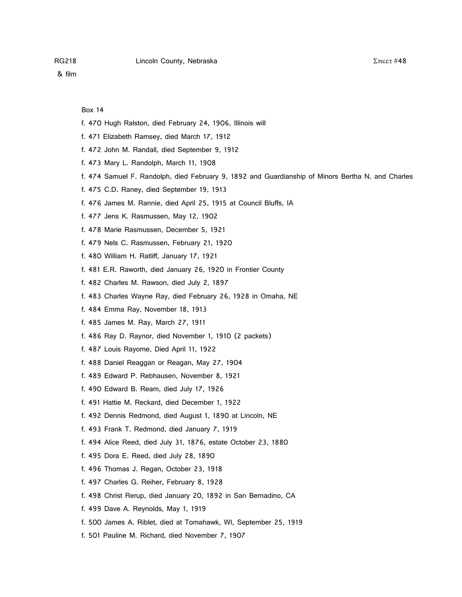- f. 470 Hugh Ralston, died February 24, 1906, Illinois will
- f. 471 Elizabeth Ramsey, died March 17, 1912
- f. 472 John M. Randall, died September 9, 1912
- f. 473 Mary L. Randolph, March 11, 1908
- f. 474 Samuel F. Randolph, died February 9, 1892 and Guardianship of Minors Bertha N. and Charles
- f. 475 C.D. Raney, died September 19, 1913
- f. 476 James M. Rannie, died April 25, 1915 at Council Bluffs, IA
- f. 477 Jens K. Rasmussen, May 12, 1902
- f. 478 Marie Rasmussen, December 5, 1921
- f. 479 Nels C. Rasmussen, February 21, 1920
- f. 480 William H. Ratliff, January 17, 1921
- f. 481 E.R. Raworth, died January 26, 1920 in Frontier County
- f. 482 Charles M. Rawson, died July 2, 1897
- f. 483 Charles Wayne Ray, died February 26, 1928 in Omaha, NE
- f. 484 Emma Ray, November 18, 1913
- f. 485 James M. Ray, March 27, 1911
- f. 486 Ray D. Raynor, died November 1, 1910 (2 packets)
- f. 487 Louis Rayome, Died April 11, 1922
- f. 488 Daniel Reaggan or Reagan, May 27, 1904
- f. 489 Edward P. Rebhausen, November 8, 1921
- f. 490 Edward B. Ream, died July 17, 1926
- f. 491 Hattie M. Reckard, died December 1, 1922
- f. 492 Dennis Redmond, died August 1, 1890 at Lincoln, NE
- f. 493 Frank T. Redmond, died January 7, 1919
- f. 494 Alice Reed, died July 31, 1876, estate October 23, 1880
- f. 495 Dora E. Reed, died July 28, 1890
- f. 496 Thomas J. Regan, October 23, 1918
- f. 497 Charles G. Reiher, February 8, 1928
- f. 498 Christ Rerup, died January 20, 1892 in San Bernadino, CA
- f. 499 Dave A. Reynolds, May 1, 1919
- f. 500 James A. Riblet, died at Tomahawk, WI, September 25, 1919
- f. 501 Pauline M. Richard, died November 7, 1907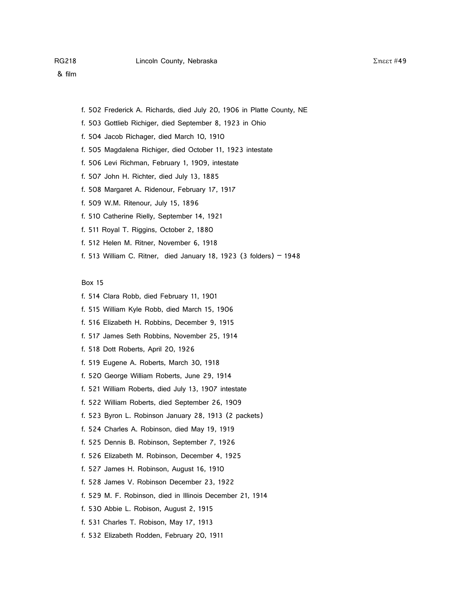- f. 502 Frederick A. Richards, died July 20, 1906 in Platte County, NE
- f. 503 Gottlieb Richiger, died September 8, 1923 in Ohio
- f. 504 Jacob Richager, died March 10, 1910
- f. 505 Magdalena Richiger, died October 11, 1923 intestate
- f. 506 Levi Richman, February 1, 1909, intestate
- f. 507 John H. Richter, died July 13, 1885
- f. 508 Margaret A. Ridenour, February 17, 1917
- f. 509 W.M. Ritenour, July 15, 1896
- f. 510 Catherine Rielly, September 14, 1921
- f. 511 Royal T. Riggins, October 2, 1880
- f. 512 Helen M. Ritner, November 6, 1918
- f. 513 William C. Ritner, died January 18, 1923 (3 folders) 1948

- f. 514 Clara Robb, died February 11, 1901
- f. 515 William Kyle Robb, died March 15, 1906
- f. 516 Elizabeth H. Robbins, December 9, 1915
- f. 517 James Seth Robbins, November 25, 1914
- f. 518 Dott Roberts, April 20, 1926
- f. 519 Eugene A. Roberts, March 30, 1918
- f. 520 George William Roberts, June 29, 1914
- f. 521 William Roberts, died July 13, 1907 intestate
- f. 522 William Roberts, died September 26, 1909
- f. 523 Byron L. Robinson January 28, 1913 (2 packets)
- f. 524 Charles A. Robinson, died May 19, 1919
- f. 525 Dennis B. Robinson, September 7, 1926
- f. 526 Elizabeth M. Robinson, December 4, 1925
- f. 527 James H. Robinson, August 16, 1910
- f. 528 James V. Robinson December 23, 1922
- f. 529 M. F. Robinson, died in Illinois December 21, 1914
- f. 530 Abbie L. Robison, August 2, 1915
- f. 531 Charles T. Robison, May 17, 1913
- f. 532 Elizabeth Rodden, February 20, 1911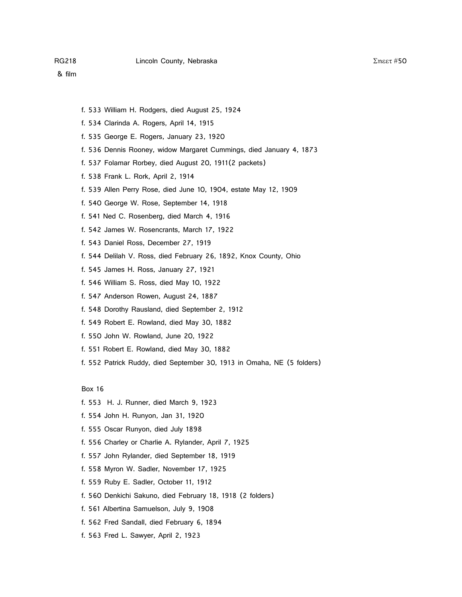- f. 533 William H. Rodgers, died August 25, 1924
- f. 534 Clarinda A. Rogers, April 14, 1915
- f. 535 George E. Rogers, January 23, 1920
- f. 536 Dennis Rooney, widow Margaret Cummings, died January 4, 1873
- f. 537 Folamar Rorbey, died August 20, 1911(2 packets)
- f. 538 Frank L. Rork, April 2, 1914
- f. 539 Allen Perry Rose, died June 10, 1904, estate May 12, 1909
- f. 540 George W. Rose, September 14, 1918
- f. 541 Ned C. Rosenberg, died March 4, 1916
- f. 542 James W. Rosencrants, March 17, 1922
- f. 543 Daniel Ross, December 27, 1919
- f. 544 Delilah V. Ross, died February 26, 1892, Knox County, Ohio
- f. 545 James H. Ross, January 27, 1921
- f. 546 William S. Ross, died May 10, 1922
- f. 547 Anderson Rowen, August 24, 1887
- f. 548 Dorothy Rausland, died September 2, 1912
- f. 549 Robert E. Rowland, died May 30, 1882
- f. 550 John W. Rowland, June 20, 1922
- f. 551 Robert E. Rowland, died May 30, 1882
- f. 552 Patrick Ruddy, died September 30, 1913 in Omaha, NE (5 folders)

- f. 553 H. J. Runner, died March 9, 1923
- f. 554 John H. Runyon, Jan 31, 1920
- f. 555 Oscar Runyon, died July 1898
- f. 556 Charley or Charlie A. Rylander, April 7, 1925
- f. 557 John Rylander, died September 18, 1919
- f. 558 Myron W. Sadler, November 17, 1925
- f. 559 Ruby E. Sadler, October 11, 1912
- f. 560 Denkichi Sakuno, died February 18, 1918 (2 folders)
- f. 561 Albertina Samuelson, July 9, 1908
- f. 562 Fred Sandall, died February 6, 1894
- f. 563 Fred L. Sawyer, April 2, 1923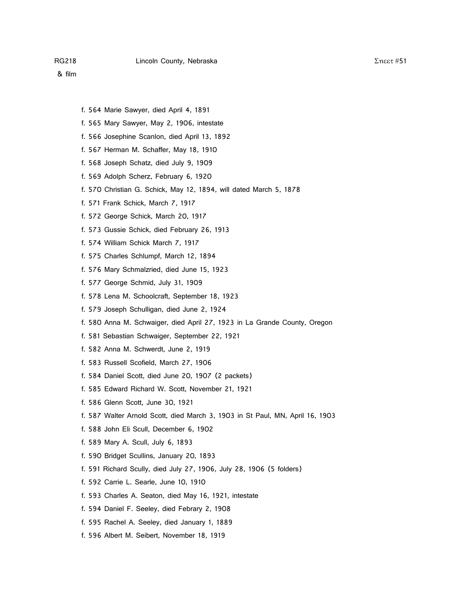- f. 564 Marie Sawyer, died April 4, 1891
- f. 565 Mary Sawyer, May 2, 1906, intestate
- f. 566 Josephine Scanlon, died April 13, 1892
- f. 567 Herman M. Schaffer, May 18, 1910
- f. 568 Joseph Schatz, died July 9, 1909
- f. 569 Adolph Scherz, February 6, 1920
- f. 570 Christian G. Schick, May 12, 1894, will dated March 5, 1878
- f. 571 Frank Schick, March 7, 1917
- f. 572 George Schick, March 20, 1917
- f. 573 Gussie Schick, died February 26, 1913
- f. 574 William Schick March 7, 1917
- f. 575 Charles Schlumpf, March 12, 1894
- f. 576 Mary Schmalzried, died June 15, 1923
- f. 577 George Schmid, July 31, 1909
- f. 578 Lena M. Schoolcraft, September 18, 1923
- f. 579 Joseph Schulligan, died June 2, 1924
- f. 580 Anna M. Schwaiger, died April 27, 1923 in La Grande County, Oregon
- f. 581 Sebastian Schwaiger, September 22, 1921
- f. 582 Anna M. Schwerdt, June 2, 1919
- f. 583 Russell Scofield, March 27, 1906
- f. 584 Daniel Scott, died June 20, 1907 (2 packets)
- f. 585 Edward Richard W. Scott, November 21, 1921
- f. 586 Glenn Scott, June 30, 1921
- f. 587 Walter Arnold Scott, died March 3, 1903 in St Paul, MN, April 16, 1903
- f. 588 John Eli Scull, December 6, 1902
- f. 589 Mary A. Scull, July 6, 1893
- f. 590 Bridget Scullins, January 20, 1893
- f. 591 Richard Scully, died July 27, 1906, July 28, 1906 (5 folders)
- f. 592 Carrie L. Searle, June 10, 1910
- f. 593 Charles A. Seaton, died May 16, 1921, intestate
- f. 594 Daniel F. Seeley, died Febrary 2, 1908
- f. 595 Rachel A. Seeley, died January 1, 1889
- f. 596 Albert M. Seibert, November 18, 1919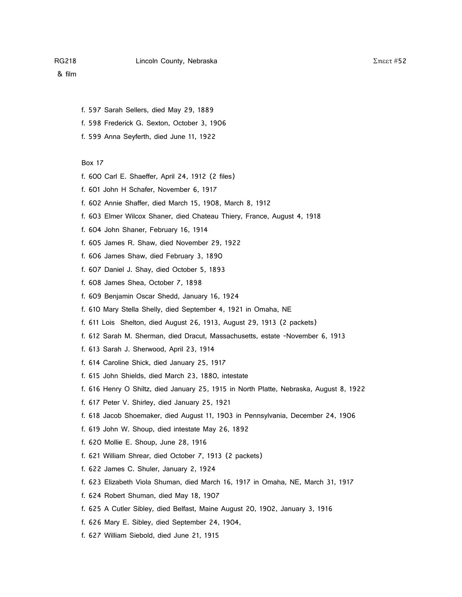- & film
	- f. 597 Sarah Sellers, died May 29, 1889
	- f. 598 Frederick G. Sexton, October 3, 1906
	- f. 599 Anna Seyferth, died June 11, 1922

- f. 600 Carl E. Shaeffer, April 24, 1912 (2 files)
- f. 601 John H Schafer, November 6, 1917
- f. 602 Annie Shaffer, died March 15, 1908, March 8, 1912
- f. 603 Elmer Wilcox Shaner, died Chateau Thiery, France, August 4, 1918
- f. 604 John Shaner, February 16, 1914
- f. 605 James R. Shaw, died November 29, 1922
- f. 606 James Shaw, died February 3, 1890
- f. 607 Daniel J. Shay, died October 5, 1893
- f. 608 James Shea, October 7, 1898
- f. 609 Benjamin Oscar Shedd, January 16, 1924
- f. 610 Mary Stella Shelly, died September 4, 1921 in Omaha, NE
- f. 611 Lois Shelton, died August 26, 1913, August 29, 1913 (2 packets)
- f. 612 Sarah M. Sherman, died Dracut, Massachusetts, estate -November 6, 1913
- f. 613 Sarah J. Sherwood, April 23, 1914
- f. 614 Caroline Shick, died January 25, 1917
- f. 615 John Shields, died March 23, 1880, intestate
- f. 616 Henry O Shiltz, died January 25, 1915 in North Platte, Nebraska, August 8, 1922
- f. 617 Peter V. Shirley, died January 25, 1921
- f. 618 Jacob Shoemaker, died August 11, 1903 in Pennsylvania, December 24, 1906
- f. 619 John W. Shoup, died intestate May 26, 1892
- f. 620 Mollie E. Shoup, June 28, 1916
- f. 621 William Shrear, died October 7, 1913 (2 packets)
- f. 622 James C. Shuler, January 2, 1924
- f. 623 Elizabeth Viola Shuman, died March 16, 1917 in Omaha, NE, March 31, 1917
- f. 624 Robert Shuman, died May 18, 1907
- f. 625 A Cutler Sibley, died Belfast, Maine August 20, 1902, January 3, 1916
- f. 626 Mary E. Sibley, died September 24, 1904,
- f. 627 William Siebold, died June 21, 1915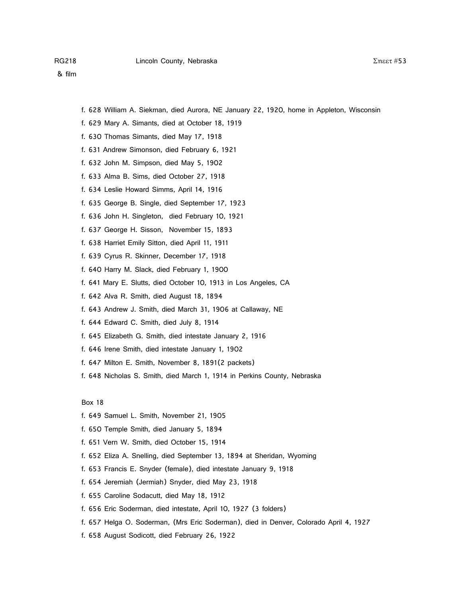- f. 628 William A. Siekman, died Aurora, NE January 22, 1920, home in Appleton, Wisconsin
- f. 629 Mary A. Simants, died at October 18, 1919
- f. 630 Thomas Simants, died May 17, 1918
- f. 631 Andrew Simonson, died February 6, 1921
- f. 632 John M. Simpson, died May 5, 1902
- f. 633 Alma B. Sims, died October 27, 1918
- f. 634 Leslie Howard Simms, April 14, 1916
- f. 635 George B. Single, died September 17, 1923
- f. 636 John H. Singleton, died February 10, 1921
- f. 637 George H. Sisson, November 15, 1893
- f. 638 Harriet Emily Sitton, died April 11, 1911
- f. 639 Cyrus R. Skinner, December 17, 1918
- f. 640 Harry M. Slack, died February 1, 1900
- f. 641 Mary E. Slutts, died October 10, 1913 in Los Angeles, CA
- f. 642 Alva R. Smith, died August 18, 1894
- f. 643 Andrew J. Smith, died March 31, 1906 at Callaway, NE
- f. 644 Edward C. Smith, died July 8, 1914
- f. 645 Elizabeth G. Smith, died intestate January 2, 1916
- f. 646 Irene Smith, died intestate January 1, 1902
- f. 647 Milton E. Smith, November 8, 1891(2 packets)
- f. 648 Nicholas S. Smith, died March 1, 1914 in Perkins County, Nebraska

- f. 649 Samuel L. Smith, November 21, 1905
- f. 650 Temple Smith, died January 5, 1894
- f. 651 Vern W. Smith, died October 15, 1914
- f. 652 Eliza A. Snelling, died September 13, 1894 at Sheridan, Wyoming
- f. 653 Francis E. Snyder (female), died intestate January 9, 1918
- f. 654 Jeremiah (Jermiah) Snyder, died May 23, 1918
- f. 655 Caroline Sodacutt, died May 18, 1912
- f. 656 Eric Soderman, died intestate, April 10, 1927 (3 folders)
- f. 657 Helga O. Soderman, (Mrs Eric Soderman), died in Denver, Colorado April 4, 1927
- f. 658 August Sodicott, died February 26, 1922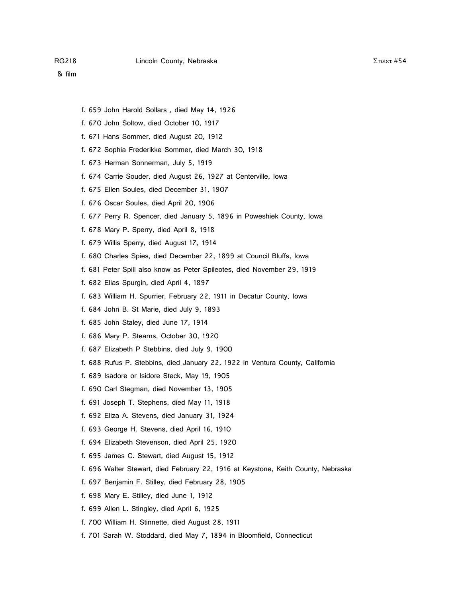- f. 659 John Harold Sollars , died May 14, 1926
- f. 670 John Soltow, died October 10, 1917
- f. 671 Hans Sommer, died August 20, 1912
- f. 672 Sophia Frederikke Sommer, died March 30, 1918
- f. 673 Herman Sonnerman, July 5, 1919
- f. 674 Carrie Souder, died August 26, 1927 at Centerville, Iowa
- f. 675 Ellen Soules, died December 31, 1907
- f. 676 Oscar Soules, died April 20, 1906
- f. 677 Perry R. Spencer, died January 5, 1896 in Poweshiek County, Iowa
- f. 678 Mary P. Sperry, died April 8, 1918
- f. 679 Willis Sperry, died August 17, 1914
- f. 680 Charles Spies, died December 22, 1899 at Council Bluffs, Iowa
- f. 681 Peter Spill also know as Peter Spileotes, died November 29, 1919
- f. 682 Elias Spurgin, died April 4, 1897
- f. 683 William H. Spurrier, February 22, 1911 in Decatur County, Iowa
- f. 684 John B. St Marie, died July 9, 1893
- f. 685 John Staley, died June 17, 1914
- f. 686 Mary P. Stearns, October 30, 1920
- f. 687 Elizabeth P Stebbins, died July 9, 1900
- f. 688 Rufus P. Stebbins, died January 22, 1922 in Ventura County, California
- f. 689 Isadore or Isidore Steck, May 19, 1905
- f. 690 Carl Stegman, died November 13, 1905
- f. 691 Joseph T. Stephens, died May 11, 1918
- f. 692 Eliza A. Stevens, died January 31, 1924
- f. 693 George H. Stevens, died April 16, 1910
- f. 694 Elizabeth Stevenson, died April 25, 1920
- f. 695 James C. Stewart, died August 15, 1912
- f. 696 Walter Stewart, died February 22, 1916 at Keystone, Keith County, Nebraska
- f. 697 Benjamin F. Stilley, died February 28, 1905
- f. 698 Mary E. Stilley, died June 1, 1912
- f. 699 Allen L. Stingley, died April 6, 1925
- f. 700 William H. Stinnette, died August 28, 1911
- f. 701 Sarah W. Stoddard, died May 7, 1894 in Bloomfield, Connecticut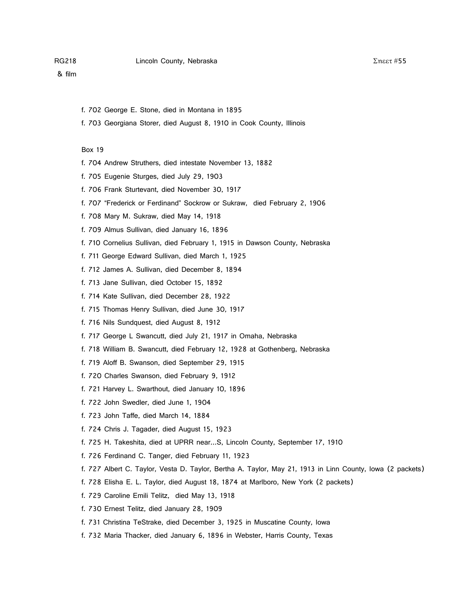& film

- f. 702 George E. Stone, died in Montana in 1895
- f. 703 Georgiana Storer, died August 8, 1910 in Cook County, Illinois

- f. 704 Andrew Struthers, died intestate November 13, 1882
- f. 705 Eugenie Sturges, died July 29, 1903
- f. 706 Frank Sturtevant, died November 30, 1917
- f. 707 "Frederick or Ferdinand" Sockrow or Sukraw, died February 2, 1906
- f. 708 Mary M. Sukraw, died May 14, 1918
- f. 709 Almus Sullivan, died January 16, 1896
- f. 710 Cornelius Sullivan, died February 1, 1915 in Dawson County, Nebraska
- f. 711 George Edward Sullivan, died March 1, 1925
- f. 712 James A. Sullivan, died December 8, 1894
- f. 713 Jane Sullivan, died October 15, 1892
- f. 714 Kate Sullivan, died December 28, 1922
- f. 715 Thomas Henry Sullivan, died June 30, 1917
- f. 716 Nils Sundquest, died August 8, 1912
- f. 717 George L Swancutt, died July 21, 1917 in Omaha, Nebraska
- f. 718 William B. Swancutt, died February 12, 1928 at Gothenberg, Nebraska
- f. 719 Aloff B. Swanson, died September 29, 1915
- f. 720 Charles Swanson, died February 9, 1912
- f. 721 Harvey L. Swarthout, died January 10, 1896
- f. 722 John Swedler, died June 1, 1904
- f. 723 John Taffe, died March 14, 1884
- f. 724 Chris J. Tagader, died August 15, 1923
- f. 725 H. Takeshita, died at UPRR near...S, Lincoln County, September 17, 1910
- f. 726 Ferdinand C. Tanger, died February 11, 1923
- f. 727 Albert C. Taylor, Vesta D. Taylor, Bertha A. Taylor, May 21, 1913 in Linn County, Iowa (2 packets)
- f. 728 Elisha E. L. Taylor, died August 18, 1874 at Marlboro, New York (2 packets)
- f. 729 Caroline Emili Telitz, died May 13, 1918
- f. 730 Ernest Telitz, died January 28, 1909
- f. 731 Christina TeStrake, died December 3, 1925 in Muscatine County, Iowa
- f. 732 Maria Thacker, died January 6, 1896 in Webster, Harris County, Texas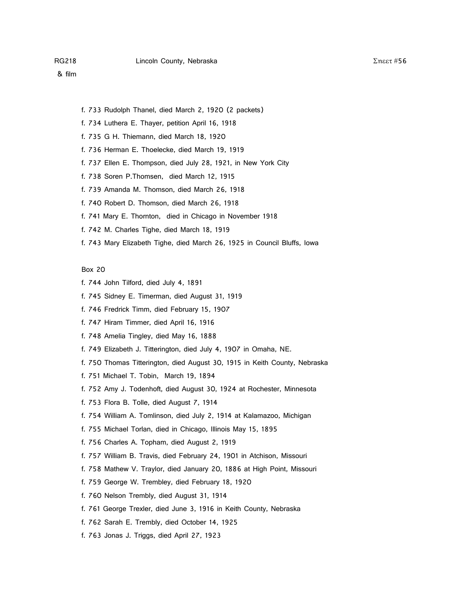- f. 733 Rudolph Thanel, died March 2, 1920 (2 packets)
- f. 734 Luthera E. Thayer, petition April 16, 1918
- f. 735 G H. Thiemann, died March 18, 1920
- f. 736 Herman E. Thoelecke, died March 19, 1919
- f. 737 Ellen E. Thompson, died July 28, 1921, in New York City
- f. 738 Soren P.Thomsen, died March 12, 1915
- f. 739 Amanda M. Thomson, died March 26, 1918
- f. 740 Robert D. Thomson, died March 26, 1918
- f. 741 Mary E. Thornton, died in Chicago in November 1918
- f. 742 M. Charles Tighe, died March 18, 1919
- f. 743 Mary Elizabeth Tighe, died March 26, 1925 in Council Bluffs, Iowa

- f. 744 John Tilford, died July 4, 1891
- f. 745 Sidney E. Timerman, died August 31, 1919
- f. 746 Fredrick Timm, died February 15, 1907
- f. 747 Hiram Timmer, died April 16, 1916
- f. 748 Amelia Tingley, died May 16, 1888
- f. 749 Elizabeth J. Titterington, died July 4, 1907 in Omaha, NE.
- f. 750 Thomas Titterington, died August 30, 1915 in Keith County, Nebraska
- f. 751 Michael T. Tobin, March 19, 1894
- f. 752 Amy J. Todenhoft, died August 30, 1924 at Rochester, Minnesota
- f. 753 Flora B. Tolle, died August 7, 1914
- f. 754 William A. Tomlinson, died July 2, 1914 at Kalamazoo, Michigan
- f. 755 Michael Torlan, died in Chicago, Illinois May 15, 1895
- f. 756 Charles A. Topham, died August 2, 1919
- f. 757 William B. Travis, died February 24, 1901 in Atchison, Missouri
- f. 758 Mathew V. Traylor, died January 20, 1886 at High Point, Missouri
- f. 759 George W. Trembley, died February 18, 1920
- f. 760 Nelson Trembly, died August 31, 1914
- f. 761 George Trexler, died June 3, 1916 in Keith County, Nebraska
- f. 762 Sarah E. Trembly, died October 14, 1925
- f. 763 Jonas J. Triggs, died April 27, 1923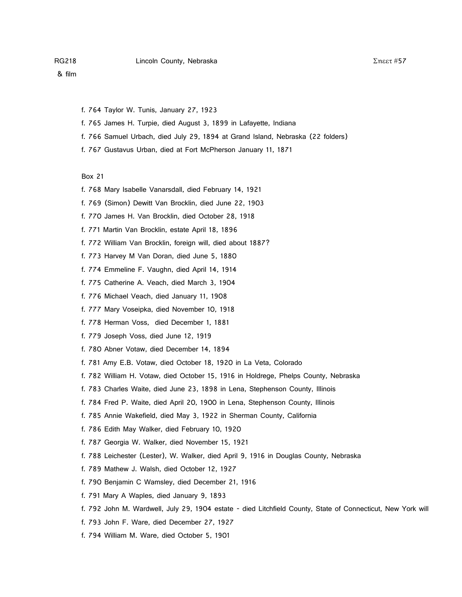- f. 764 Taylor W. Tunis, January 27, 1923
- f. 765 James H. Turpie, died August 3, 1899 in Lafayette, Indiana
- f. 766 Samuel Urbach, died July 29, 1894 at Grand Island, Nebraska (22 folders)
- f. 767 Gustavus Urban, died at Fort McPherson January 11, 1871

- f. 768 Mary Isabelle Vanarsdall, died February 14, 1921
- f. 769 (Simon) Dewitt Van Brocklin, died June 22, 1903
- f. 770 James H. Van Brocklin, died October 28, 1918
- f. 771 Martin Van Brocklin, estate April 18, 1896
- f. 772 William Van Brocklin, foreign will, died about 1887?
- f. 773 Harvey M Van Doran, died June 5, 1880
- f. 774 Emmeline F. Vaughn, died April 14, 1914
- f. 775 Catherine A. Veach, died March 3, 1904
- f. 776 Michael Veach, died January 11, 1908
- f. 777 Mary Voseipka, died November 10, 1918
- f. 778 Herman Voss, died December 1, 1881
- f. 779 Joseph Voss, died June 12, 1919
- f. 780 Abner Votaw, died December 14, 1894
- f. 781 Amy E.B. Votaw, died October 18, 1920 in La Veta, Colorado
- f. 782 William H. Votaw, died October 15, 1916 in Holdrege, Phelps County, Nebraska
- f. 783 Charles Waite, died June 23, 1898 in Lena, Stephenson County, Illinois
- f. 784 Fred P. Waite, died April 20, 1900 in Lena, Stephenson County, Illinois
- f. 785 Annie Wakefield, died May 3, 1922 in Sherman County, California
- f. 786 Edith May Walker, died February 10, 1920
- f. 787 Georgia W. Walker, died November 15, 1921
- f. 788 Leichester (Lester), W. Walker, died April 9, 1916 in Douglas County, Nebraska
- f. 789 Mathew J. Walsh, died October 12, 1927
- f. 790 Benjamin C Wamsley, died December 21, 1916
- f. 791 Mary A Waples, died January 9, 1893
- f. 792 John M. Wardwell, July 29, 1904 estate died Litchfield County, State of Connecticut, New York will
- f. 793 John F. Ware, died December 27, 1927
- f. 794 William M. Ware, died October 5, 1901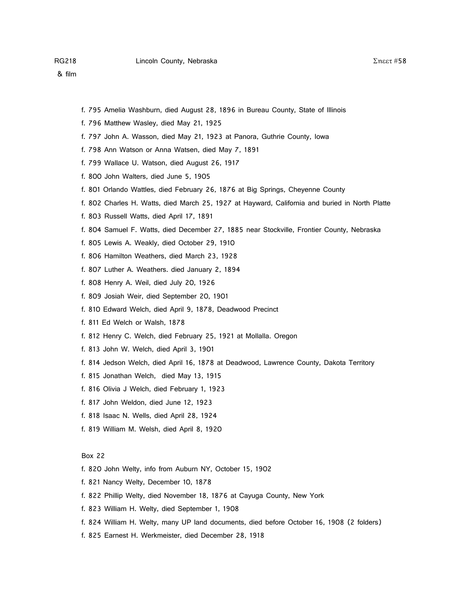- f. 795 Amelia Washburn, died August 28, 1896 in Bureau County, State of Illinois
- f. 796 Matthew Wasley, died May 21, 1925
- f. 797 John A. Wasson, died May 21, 1923 at Panora, Guthrie County, Iowa
- f. 798 Ann Watson or Anna Watsen, died May 7, 1891
- f. 799 Wallace U. Watson, died August 26, 1917
- f. 800 John Walters, died June 5, 1905
- f. 801 Orlando Wattles, died February 26, 1876 at Big Springs, Cheyenne County
- f. 802 Charles H. Watts, died March 25, 1927 at Hayward, California and buried in North Platte
- f. 803 Russell Watts, died April 17, 1891
- f. 804 Samuel F. Watts, died December 27, 1885 near Stockville, Frontier County, Nebraska
- f. 805 Lewis A. Weakly, died October 29, 1910
- f. 806 Hamilton Weathers, died March 23, 1928
- f. 807 Luther A. Weathers. died January 2, 1894
- f. 808 Henry A. Weil, died July 20, 1926
- f. 809 Josiah Weir, died September 20, 1901
- f. 810 Edward Welch, died April 9, 1878, Deadwood Precinct
- f. 811 Ed Welch or Walsh, 1878
- f. 812 Henry C. Welch, died February 25, 1921 at Mollalla. Oregon
- f. 813 John W. Welch, died April 3, 1901
- f. 814 Jedson Welch, died April 16, 1878 at Deadwood, Lawrence County, Dakota Territory
- f. 815 Jonathan Welch, died May 13, 1915
- f. 816 Olivia J Welch, died February 1, 1923
- f. 817 John Weldon, died June 12, 1923
- f. 818 Isaac N. Wells, died April 28, 1924
- f. 819 William M. Welsh, died April 8, 1920

- f. 820 John Welty, info from Auburn NY, October 15, 1902
- f. 821 Nancy Welty, December 10, 1878
- f. 822 Phillip Welty, died November 18, 1876 at Cayuga County, New York
- f. 823 William H. Welty, died September 1, 1908
- f. 824 William H. Welty, many UP land documents, died before October 16, 1908 (2 folders)
- f. 825 Earnest H. Werkmeister, died December 28, 1918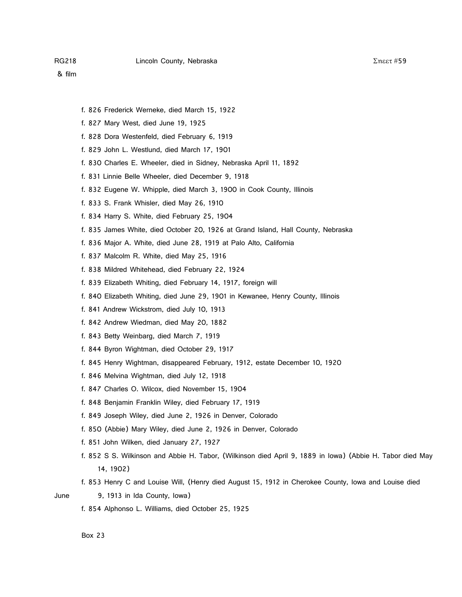- f. 826 Frederick Werneke, died March 15, 1922
- f. 827 Mary West, died June 19, 1925
- f. 828 Dora Westenfeld, died February 6, 1919
- f. 829 John L. Westlund, died March 17, 1901
- f. 830 Charles E. Wheeler, died in Sidney, Nebraska April 11, 1892
- f. 831 Linnie Belle Wheeler, died December 9, 1918
- f. 832 Eugene W. Whipple, died March 3, 1900 in Cook County, Illinois
- f. 833 S. Frank Whisler, died May 26, 1910
- f. 834 Harry S. White, died February 25, 1904
- f. 835 James White, died October 20, 1926 at Grand Island, Hall County, Nebraska
- f. 836 Major A. White, died June 28, 1919 at Palo Alto, California
- f. 837 Malcolm R. White, died May 25, 1916
- f. 838 Mildred Whitehead, died February 22, 1924
- f. 839 Elizabeth Whiting, died February 14, 1917, foreign will
- f. 840 Elizabeth Whiting, died June 29, 1901 in Kewanee, Henry County, Illinois
- f. 841 Andrew Wickstrom, died July 10, 1913
- f. 842 Andrew Wiedman, died May 20, 1882
- f. 843 Betty Weinbarg, died March 7, 1919
- f. 844 Byron Wightman, died October 29, 1917
- f. 845 Henry Wightman, disappeared February, 1912, estate December 10, 1920
- f. 846 Melvina Wightman, died July 12, 1918
- f. 847 Charles O. Wilcox, died November 15, 1904
- f. 848 Benjamin Franklin Wiley, died February 17, 1919
- f. 849 Joseph Wiley, died June 2, 1926 in Denver, Colorado
- f. 850 (Abbie) Mary Wiley, died June 2, 1926 in Denver, Colorado
- f. 851 John Wilken, died January 27, 1927
- f. 852 S S. Wilkinson and Abbie H. Tabor, (Wilkinson died April 9, 1889 in Iowa) (Abbie H. Tabor died May 14, 1902)
- f. 853 Henry C and Louise Will, (Henry died August 15, 1912 in Cherokee County, Iowa and Louise died

- June 9, 1913 in Ida County, Iowa)
	- f. 854 Alphonso L. Williams, died October 25, 1925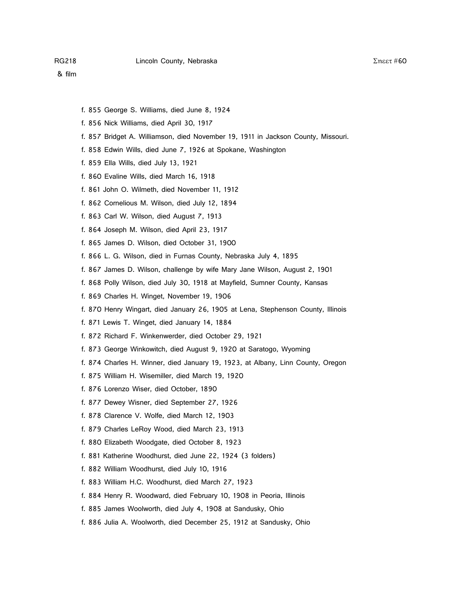- f. 855 George S. Williams, died June 8, 1924
- f. 856 Nick Williams, died April 30, 1917
- f. 857 Bridget A. Williamson, died November 19, 1911 in Jackson County, Missouri.
- f. 858 Edwin Wills, died June 7, 1926 at Spokane, Washington
- f. 859 Ella Wills, died July 13, 1921
- f. 860 Evaline Wills, died March 16, 1918
- f. 861 John O. Wilmeth, died November 11, 1912
- f. 862 Cornelious M. Wilson, died July 12, 1894
- f. 863 Carl W. Wilson, died August 7, 1913
- f. 864 Joseph M. Wilson, died April 23, 1917
- f. 865 James D. Wilson, died October 31, 1900
- f. 866 L. G. Wilson, died in Furnas County, Nebraska July 4, 1895
- f. 867 James D. Wilson, challenge by wife Mary Jane Wilson, August 2, 1901
- f. 868 Polly Wilson, died July 30, 1918 at Mayfield, Sumner County, Kansas
- f. 869 Charles H. Winget, November 19, 1906
- f. 870 Henry Wingart, died January 26, 1905 at Lena, Stephenson County, Illinois
- f. 871 Lewis T. Winget, died January 14, 1884
- f. 872 Richard F. Winkenwerder, died October 29, 1921
- f. 873 George Winkowitch, died August 9, 1920 at Saratogo, Wyoming
- f. 874 Charles H. Winner, died January 19, 1923, at Albany, Linn County, Oregon
- f. 875 William H. Wisemiller, died March 19, 1920
- f. 876 Lorenzo Wiser, died October, 1890
- f. 877 Dewey Wisner, died September 27, 1926
- f. 878 Clarence V. Wolfe, died March 12, 1903
- f. 879 Charles LeRoy Wood, died March 23, 1913
- f. 880 Elizabeth Woodgate, died October 8, 1923
- f. 881 Katherine Woodhurst, died June 22, 1924 (3 folders)
- f. 882 William Woodhurst, died July 10, 1916
- f. 883 William H.C. Woodhurst, died March 27, 1923
- f. 884 Henry R. Woodward, died February 10, 1908 in Peoria, Illinois
- f. 885 James Woolworth, died July 4, 1908 at Sandusky, Ohio
- f. 886 Julia A. Woolworth, died December 25, 1912 at Sandusky, Ohio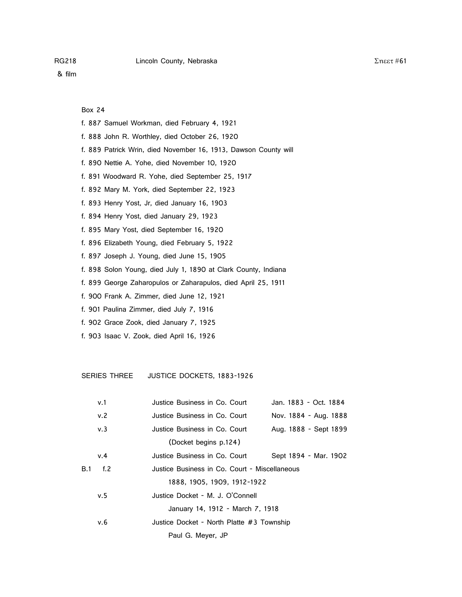Box 24

- f. 887 Samuel Workman, died February 4, 1921
- f. 888 John R. Worthley, died October 26, 1920
- f. 889 Patrick Wrin, died November 16, 1913, Dawson County will
- f. 890 Nettie A. Yohe, died November 10, 1920
- f. 891 Woodward R. Yohe, died September 25, 1917
- f. 892 Mary M. York, died September 22, 1923
- f. 893 Henry Yost, Jr, died January 16, 1903
- f. 894 Henry Yost, died January 29, 1923
- f. 895 Mary Yost, died September 16, 1920
- f. 896 Elizabeth Young, died February 5, 1922
- f. 897 Joseph J. Young, died June 15, 1905
- f. 898 Solon Young, died July 1, 1890 at Clark County, Indiana
- f. 899 George Zaharopulos or Zaharapulos, died April 25, 1911
- f. 900 Frank A. Zimmer, died June 12, 1921
- f. 901 Paulina Zimmer, died July 7, 1916
- f. 902 Grace Zook, died January 7, 1925
- f. 903 Isaac V. Zook, died April 16, 1926

SERIES THREE JUSTICE DOCKETS, 1883-1926

|            | v.1    | Justice Business in Co. Court                 | Jan. 1883 - Oct. 1884 |
|------------|--------|-----------------------------------------------|-----------------------|
|            | v.2    | Justice Business in Co. Court                 | Nov. 1884 - Aug. 1888 |
|            | v.3    | Justice Business in Co. Court                 | Aug. 1888 - Sept 1899 |
|            |        | (Docket begins p.124)                         |                       |
|            | v.4    | Justice Business in Co. Court                 | Sept 1894 - Mar. 1902 |
| <b>B.1</b> | f. $2$ | Justice Business in Co. Court - Miscellaneous |                       |
|            |        | 1888, 1905, 1909, 1912-1922                   |                       |
|            | v.5    | Justice Docket - M. J. O'Connell              |                       |
|            |        | January 14, 1912 - March 7, 1918              |                       |
|            | v.6    | Justice Docket - North Platte #3 Township     |                       |
|            |        | Paul G. Meyer, JP                             |                       |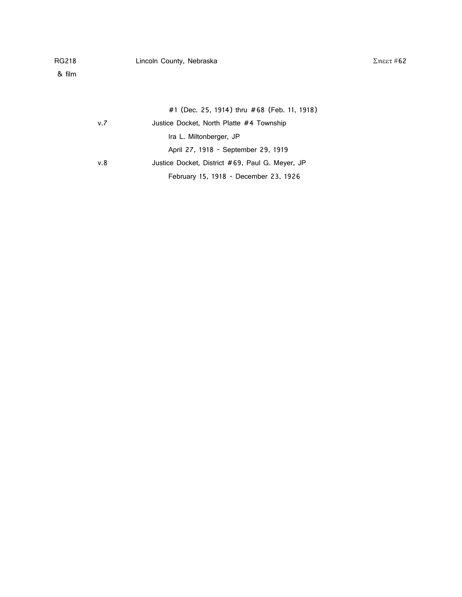|     | #1 (Dec. 25, 1914) thru #68 (Feb. 11, 1918)     |
|-----|-------------------------------------------------|
| v.7 | Justice Docket, North Platte #4 Township        |
|     | Ira L. Miltonberger, JP                         |
|     | April 27, 1918 - September 29, 1919             |
| v.8 | Justice Docket, District #69, Paul G. Meyer, JP |
|     | February 15, 1918 - December 23, 1926           |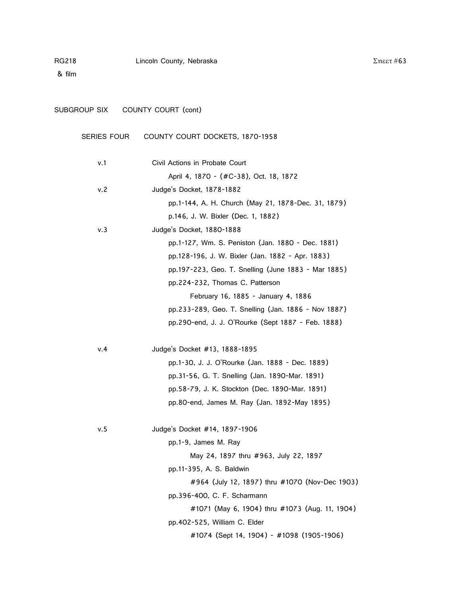& film

| SUBGROUP SIX       | COUNTY COURT (cont)                                 |
|--------------------|-----------------------------------------------------|
| <b>SERIES FOUR</b> | COUNTY COURT DOCKETS, 1870-1958                     |
| v.1                | Civil Actions in Probate Court                      |
|                    | April 4, 1870 - (#C-38), Oct. 18, 1872              |
| v.2                | Judge's Docket, 1878-1882                           |
|                    | pp.1-144, A. H. Church (May 21, 1878-Dec. 31, 1879) |
|                    | p.146, J. W. Bixler (Dec. 1, 1882)                  |
| v.3                | Judge's Docket, 1880-1888                           |
|                    | pp.1-127, Wm. S. Peniston (Jan. 1880 - Dec. 1881)   |
|                    | pp.128-196, J. W. Bixler (Jan. 1882 - Apr. 1883)    |
|                    | pp.197-223, Geo. T. Snelling (June 1883 - Mar 1885) |
|                    | pp.224-232, Thomas C. Patterson                     |
|                    | February 16, 1885 - January 4, 1886                 |
|                    | pp.233-289, Geo. T. Snelling (Jan. 1886 - Nov 1887) |
|                    | pp.290-end, J. J. O'Rourke (Sept 1887 - Feb. 1888)  |
|                    |                                                     |

| v.4 | Judge's Docket #13, 1888-1895                   |
|-----|-------------------------------------------------|
|     | pp.1-30, J. J. O'Rourke (Jan. 1888 - Dec. 1889) |
|     | pp.31-56, G. T. Snelling (Jan. 1890-Mar. 1891)  |
|     | pp.58-79, J. K. Stockton (Dec. 1890-Mar. 1891)  |
|     | pp.80-end, James M. Ray (Jan. 1892-May 1895)    |
|     |                                                 |

| v.5 | Judge's Docket #14, 1897-1906                  |
|-----|------------------------------------------------|
|     | pp.1-9, James M. Ray                           |
|     | May 24, 1897 thru #963, July 22, 1897          |
|     | pp.11-395, A. S. Baldwin                       |
|     | #964 (July 12, 1897) thru #1070 (Nov-Dec 1903) |
|     | pp.396-400, C. F. Scharmann                    |
|     | #1071 (May 6, 1904) thru #1073 (Aug. 11, 1904) |
|     | pp.402-525, William C. Elder                   |
|     | #1074 (Sept 14, 1904) - #1098 (1905-1906)      |

Σηεετ #63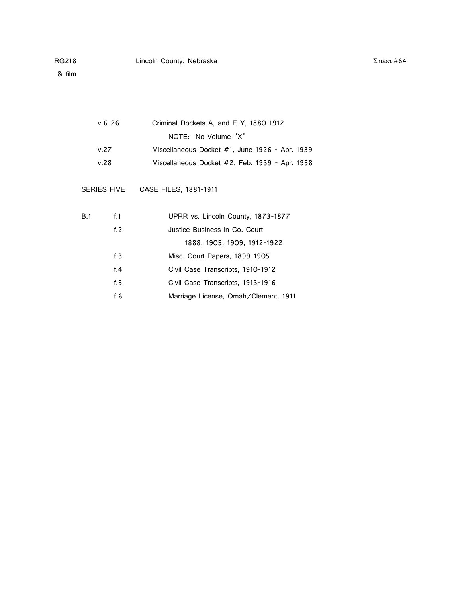| v.6-26 | Criminal Dockets A, and E-Y, 1880-1912           |
|--------|--------------------------------------------------|
|        | NOTE: No Volume "X"                              |
| v 27   | Miscellaneous Docket $#1$ , lune 1926 - Apr 1939 |

| V.C ( | $NISCHI and POUS DOCKEL + 1, Julie 1926 - ADI. 1939$ |  |  |  |
|-------|------------------------------------------------------|--|--|--|
| v.28  | Miscellaneous Docket #2, Feb. 1939 - Apr. 1958       |  |  |  |

SERIES FIVE CASE FILES, 1881-1911

| B.1 | $f_{\cdot}1$ | UPRR vs. Lincoln County, 1873-1877   |
|-----|--------------|--------------------------------------|
|     | f. $2$       | Justice Business in Co. Court        |
|     |              | 1888, 1905, 1909, 1912-1922          |
|     | f.3          | Misc. Court Papers, 1899-1905        |
|     | f.4          | Civil Case Transcripts, 1910-1912    |
|     | f.5          | Civil Case Transcripts, 1913-1916    |
|     | f.6          | Marriage License, Omah/Clement, 1911 |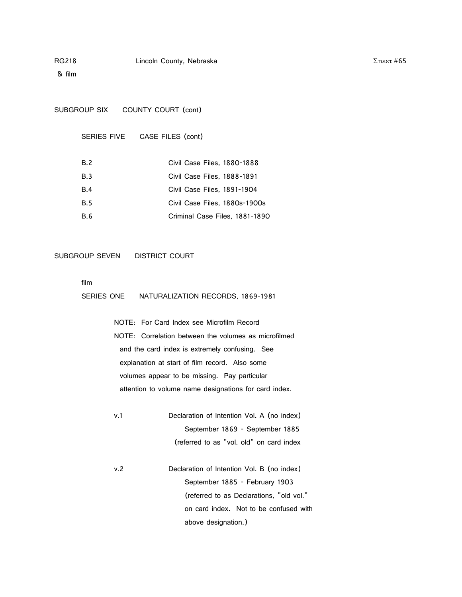& film

SUBGROUP SIX COUNTY COURT (cont)

SERIES FIVE CASE FILES (cont)

| B.2        | Civil Case Files, 1880-1888    |
|------------|--------------------------------|
| B.3        | Civil Case Files, 1888-1891    |
| B.4        | Civil Case Files, 1891-1904    |
| <b>B.5</b> | Civil Case Files, 1880s-1900s  |
| B.6        | Criminal Case Files, 1881-1890 |

#### SUBGROUP SEVEN DISTRICT COURT

film

SERIES ONE NATURALIZATION RECORDS, 1869-1981

NOTE: For Card Index see Microfilm Record NOTE: Correlation between the volumes as microfilmed and the card index is extremely confusing. See explanation at start of film record. Also some volumes appear to be missing. Pay particular attention to volume name designations for card index.

- v.1 Declaration of Intention Vol. A (no index) September 1869 - September 1885 (referred to as "vol. old" on card index
- v.2 Declaration of Intention Vol. B (no index) September 1885 - February 1903 (referred to as Declarations, "old vol." on card index. Not to be confused with above designation.)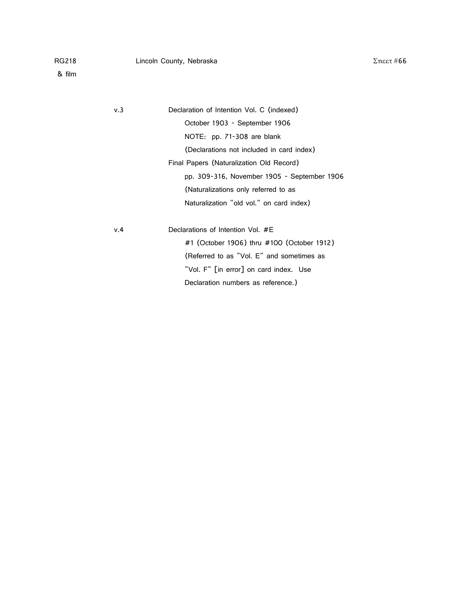| v.3 | Declaration of Intention Vol. C (indexed)   |
|-----|---------------------------------------------|
|     | October 1903 - September 1906               |
|     | NOTE: pp. 71-308 are blank                  |
|     | (Declarations not included in card index)   |
|     | Final Papers (Naturalization Old Record)    |
|     | pp. 309-316, November 1905 - September 1906 |
|     | (Naturalizations only referred to as        |
|     | Naturalization "old vol." on card index)    |
| v.4 | Declarations of Intention Vol. #E           |
|     |                                             |
|     | #1 (October 1906) thru #100 (October 1912)  |
|     | (Referred to as "Vol. E" and sometimes as   |
|     | "Vol. F" [in error] on card index. Use      |
|     |                                             |

Declaration numbers as reference.)

 $Σ$ ηεετ#66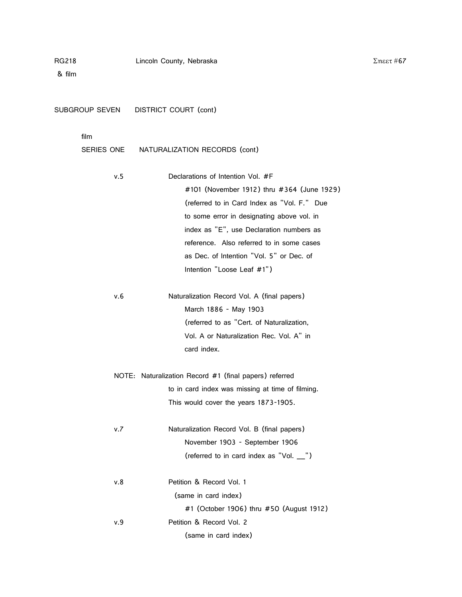| SUBGROUP SEVEN     | <b>DISTRICT COURT (cont)</b>                           |
|--------------------|--------------------------------------------------------|
| film<br>SERIES ONE | NATURALIZATION RECORDS (cont)                          |
|                    |                                                        |
| v.5                | Declarations of Intention Vol. #F                      |
|                    | #101 (November 1912) thru #364 (June 1929)             |
|                    | (referred to in Card Index as "Vol. F." Due            |
|                    | to some error in designating above vol. in             |
|                    | index as "E", use Declaration numbers as               |
|                    | reference. Also referred to in some cases              |
|                    | as Dec. of Intention "Vol. 5" or Dec. of               |
|                    | Intention "Loose Leaf #1")                             |
| v.6                | Naturalization Record Vol. A (final papers)            |
|                    | March 1886 - May 1903                                  |
|                    | (referred to as "Cert. of Naturalization,              |
|                    | Vol. A or Naturalization Rec. Vol. A" in               |
|                    | card index.                                            |
|                    | NOTE: Naturalization Record #1 (final papers) referred |
|                    | to in card index was missing at time of filming.       |
|                    | This would cover the years 1873-1905.                  |
| v.7                | Naturalization Record Vol. B (final papers)            |
|                    | November 1903 - September 1906                         |
|                    | (referred to in card index as "Vol. _")                |
| v.8                | Petition & Record Vol. 1                               |
|                    | (same in card index)                                   |
|                    | #1 (October 1906) thru #50 (August 1912)               |
| v.9                | Petition & Record Vol. 2                               |
|                    | (same in card index)                                   |
|                    |                                                        |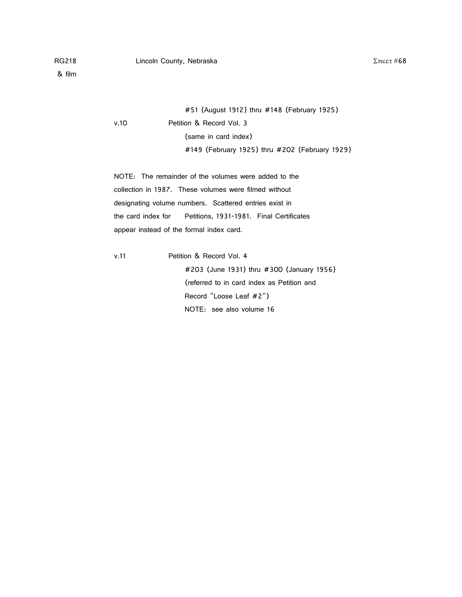#51 (August 1912) thru #148 (February 1925) v.10 Petition & Record Vol. 3 (same in card index) #149 (February 1925) thru #202 (February 1929)

NOTE: The remainder of the volumes were added to the collection in 1987. These volumes were filmed without designating volume numbers. Scattered entries exist in the card index for Petitions, 1931-1981. Final Certificates appear instead of the formal index card.

v.11 Petition & Record Vol. 4

#203 (June 1931) thru #300 (January 1956) (referred to in card index as Petition and Record "Loose Leaf #2") NOTE: see also volume 16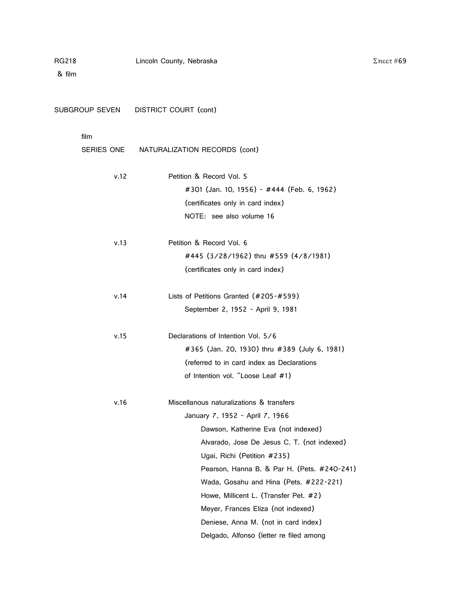& film

| SUBGROUP SEVEN     | DISTRICT COURT (cont)                                                                                                                                                                                                                                                                                                                                                                                                                                       |
|--------------------|-------------------------------------------------------------------------------------------------------------------------------------------------------------------------------------------------------------------------------------------------------------------------------------------------------------------------------------------------------------------------------------------------------------------------------------------------------------|
| film<br>SERIES ONE | NATURALIZATION RECORDS (cont)                                                                                                                                                                                                                                                                                                                                                                                                                               |
| v.12               | Petition & Record Vol. 5<br>#301 (Jan. 10, 1956) - #444 (Feb. 6, 1962)<br>(certificates only in card index)<br>NOTE: see also volume 16                                                                                                                                                                                                                                                                                                                     |
| v.13               | Petition & Record Vol. 6<br>#445 (3/28/1962) thru #559 (4/8/1981)<br>(certificates only in card index)                                                                                                                                                                                                                                                                                                                                                      |
| v.14               | Lists of Petitions Granted (#205-#599)<br>September 2, 1952 - April 9, 1981                                                                                                                                                                                                                                                                                                                                                                                 |
| v.15               | Declarations of Intention Vol. 5/6<br>#365 (Jan. 20, 1930) thru #389 (July 6, 1981)<br>(referred to in card index as Declarations<br>of Intention vol. "Loose Leaf #1)                                                                                                                                                                                                                                                                                      |
| v.16               | Miscellanous naturalizations & transfers<br>January 7, 1952 - April 7, 1966<br>Dawson, Katherine Eva (not indexed)<br>Alvarado, Jose De Jesus C. T. (not indexed)<br>Ugai, Richi (Petition #235)<br>Pearson, Hanna B. & Par H. (Pets. #240-241)<br>Wada, Gosahu and Hina (Pets. #222-221)<br>Howe, Millicent L. (Transfer Pet. #2)<br>Meyer, Frances Eliza (not indexed)<br>Deniese, Anna M. (not in card index)<br>Delgado, Alfonso (letter re filed among |

 $Σ$ ηεετ#69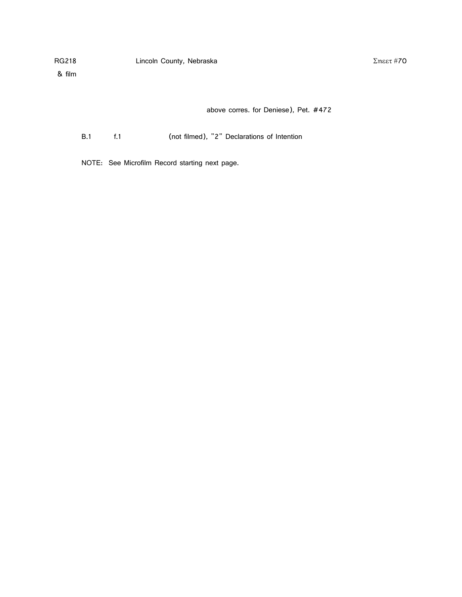& film

above corres. for Deniese), Pet. #472

B.1 f.1 (not filmed), "2" Declarations of Intention

NOTE: See Microfilm Record starting next page.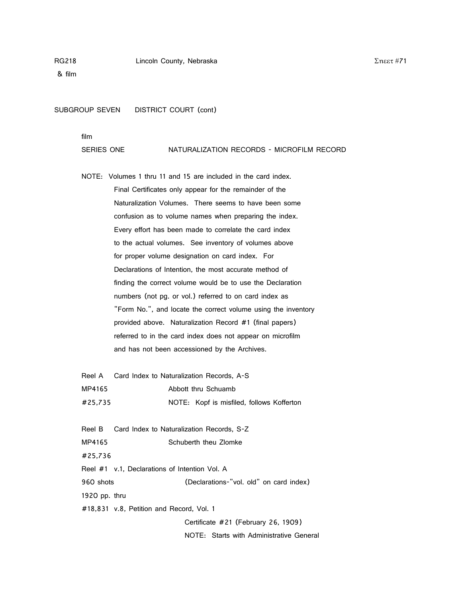& film

SUBGROUP SEVEN DISTRICT COURT (cont)

film

#### SERIES ONE NATURALIZATION RECORDS - MICROFILM RECORD

NOTE: Volumes 1 thru 11 and 15 are included in the card index. Final Certificates only appear for the remainder of the Naturalization Volumes. There seems to have been some confusion as to volume names when preparing the index. Every effort has been made to correlate the card index to the actual volumes. See inventory of volumes above for proper volume designation on card index. For Declarations of Intention, the most accurate method of finding the correct volume would be to use the Declaration numbers (not pg. or vol.) referred to on card index as "Form No.", and locate the correct volume using the inventory provided above. Naturalization Record #1 (final papers) referred to in the card index does not appear on microfilm and has not been accessioned by the Archives.

| Reel A  | Card Index to Naturalization Records, A-S |
|---------|-------------------------------------------|
| MP4165  | Abbott thru Schuamb                       |
| #25.735 | NOTE: Kopf is misfiled, follows Kofferton |

Reel B Card Index to Naturalization Records, S-Z MP4165 Schuberth theu Zlomke #25,736 Reel #1 v.1, Declarations of Intention Vol. A 960 shots (Declarations-"vol. old" on card index) 1920 pp. thru #18,831 v.8, Petition and Record, Vol. 1 Certificate #21 (February 26, 1909)

NOTE: Starts with Administrative General

 $Σ$ ηεετ#71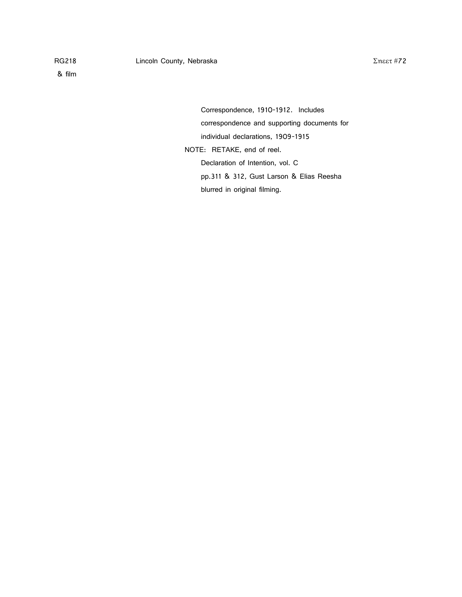& film

Correspondence, 1910-1912. Includes correspondence and supporting documents for individual declarations, 1909-1915 NOTE: RETAKE, end of reel. Declaration of Intention, vol. C pp.311 & 312, Gust Larson & Elias Reesha blurred in original filming.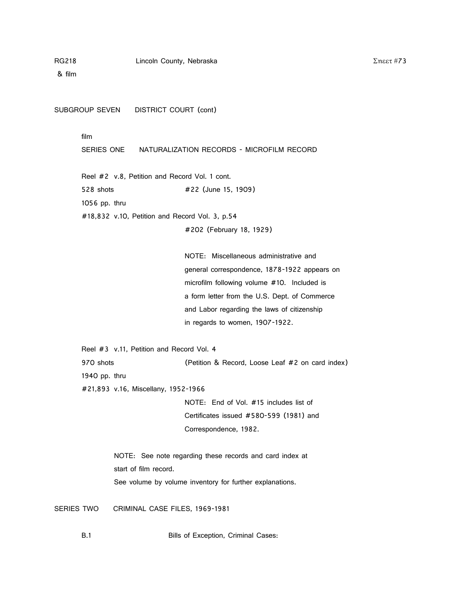#### RG218 Lincoln County, Nebraska

& film

SUBGROUP SEVEN DISTRICT COURT (cont)

## film

SERIES ONE NATURALIZATION RECORDS - MICROFILM RECORD

Reel #2 v.8, Petition and Record Vol. 1 cont.

528 shots #22 (June 15, 1909)

1056 pp. thru

#18,832 v.10, Petition and Record Vol. 3, p.54

#202 (February 18, 1929)

NOTE: Miscellaneous administrative and general correspondence, 1878-1922 appears on microfilm following volume #10. Included is a form letter from the U.S. Dept. of Commerce and Labor regarding the laws of citizenship in regards to women, 1907-1922.

Reel #3 v.11, Petition and Record Vol. 4 970 shots (Petition & Record, Loose Leaf #2 on card index) 1940 pp. thru

#21,893 v.16, Miscellany, 1952-1966

NOTE: End of Vol. #15 includes list of Certificates issued #580-599 (1981) and Correspondence, 1982.

NOTE: See note regarding these records and card index at start of film record. See volume by volume inventory for further explanations.

SERIES TWO CRIMINAL CASE FILES, 1969-1981

B.1 Bills of Exception, Criminal Cases: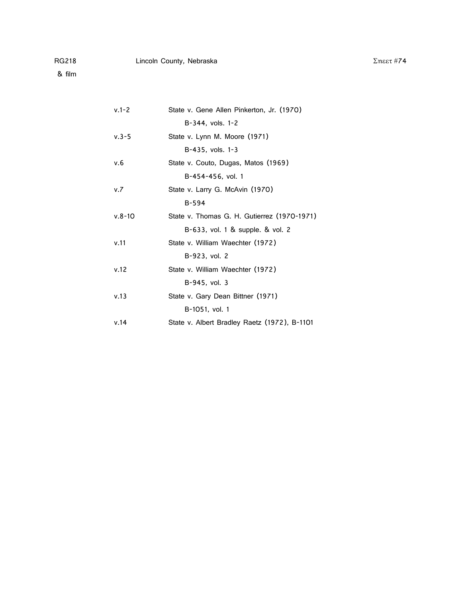| $v.1 - 2$  | State v. Gene Allen Pinkerton, Jr. (1970)    |
|------------|----------------------------------------------|
|            | B-344, vols. 1-2                             |
| $v.3 - 5$  | State v. Lynn M. Moore (1971)                |
|            | $B-435$ , vols. $1-3$                        |
| v.6        | State v. Couto, Dugas, Matos (1969)          |
|            | B-454-456, vol. 1                            |
| v.7        | State v. Larry G. McAvin (1970)              |
|            | $B-594$                                      |
| $v.8 - 10$ | State v. Thomas G. H. Gutierrez (1970-1971)  |
|            | B-633, vol. 1 & supple. & vol. 2             |
| v.11       | State v. William Waechter (1972)             |
|            | B-923, vol. 2                                |
| v.12       | State v. William Waechter (1972)             |
|            | B-945, vol. 3                                |
| v.13       | State v. Gary Dean Bittner (1971)            |
|            | B-1051, vol. 1                               |
| v.14       | State v. Albert Bradley Raetz (1972), B-1101 |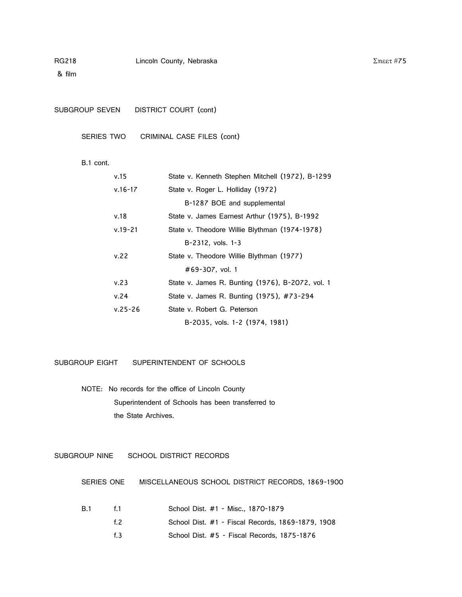### RG218 Lincoln County, Nebraska

& film

SUBGROUP SEVEN DISTRICT COURT (cont)

SERIES TWO CRIMINAL CASE FILES (cont)

### B.1 cont.

| v.15        | State v. Kenneth Stephen Mitchell (1972), B-1299 |
|-------------|--------------------------------------------------|
| $v.16 - 17$ | State v. Roger L. Holliday (1972)                |
|             | B-1287 BOE and supplemental                      |
| v.18        | State v. James Earnest Arthur (1975), B-1992     |
| $v.19 - 21$ | State v. Theodore Willie Blythman (1974-1978)    |
|             | $B-2312$ , vols. $1-3$                           |
| v.22        | State v. Theodore Willie Blythman (1977)         |
|             | #69-307. vol. 1                                  |
| v.23        | State v. James R. Bunting (1976), B-2072, vol. 1 |
| v.24        | State v. James R. Bunting (1975), #73-294        |
| $v.25 - 26$ | State v. Robert G. Peterson                      |
|             | B-2035, vols. 1-2 (1974, 1981)                   |
|             |                                                  |

SUBGROUP EIGHT SUPERINTENDENT OF SCHOOLS

NOTE: No records for the office of Lincoln County Superintendent of Schools has been transferred to the State Archives.

SUBGROUP NINE SCHOOL DISTRICT RECORDS

SERIES ONE MISCELLANEOUS SCHOOL DISTRICT RECORDS, 1869-1900

| B.1 | f 1. | School Dist. #1 - Misc., 1870-1879                |
|-----|------|---------------------------------------------------|
|     | f 2  | School Dist. #1 - Fiscal Records, 1869-1879, 1908 |
|     | f R  | School Dist. #5 - Fiscal Records, 1875-1876       |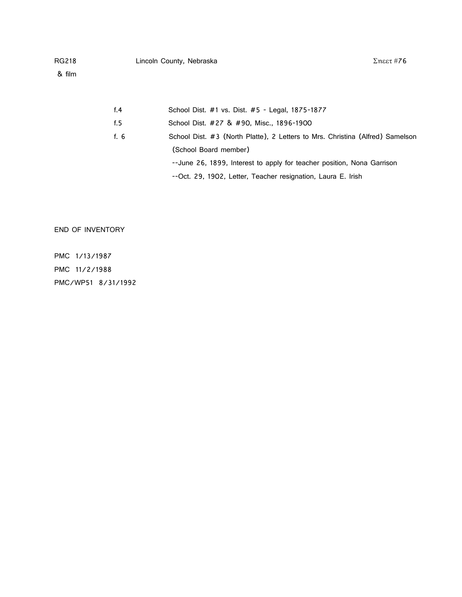## RG218 Lincoln County, Nebraska

& film

| f.4  | School Dist. #1 vs. Dist. #5 - Legal, 1875-1877                               |
|------|-------------------------------------------------------------------------------|
| f. 5 | School Dist. #27 & #90, Misc., 1896-1900                                      |
| f. 6 | School Dist. #3 (North Platte), 2 Letters to Mrs. Christina (Alfred) Samelson |
|      | (School Board member)                                                         |
|      | --June 26, 1899, Interest to apply for teacher position, Nona Garrison        |
|      | --Oct. 29, 1902, Letter, Teacher resignation, Laura E. Irish                  |

END OF INVENTORY

PMC 1/13/1987 PMC 11/2/1988 PMC/WP51 8/31/1992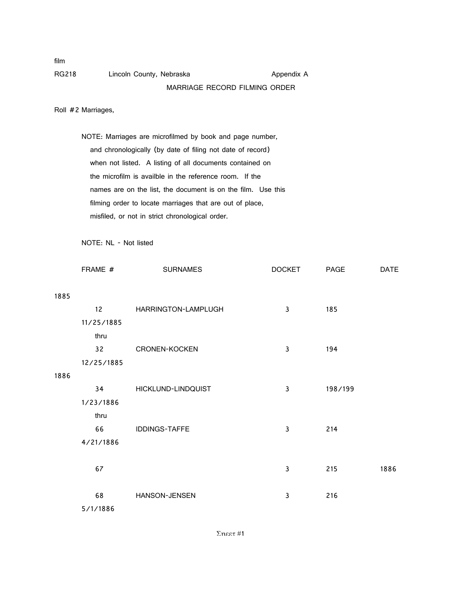film

RG218 Lincoln County, Nebraska Appendix A

# MARRIAGE RECORD FILMING ORDER

Roll #2 Marriages,

NOTE: Marriages are microfilmed by book and page number, and chronologically (by date of filing not date of record) when not listed. A listing of all documents contained on the microfilm is availble in the reference room. If the names are on the list, the document is on the film. Use this filming order to locate marriages that are out of place, misfiled, or not in strict chronological order.

NOTE: NL - Not listed

|      | FRAME #         | <b>SURNAMES</b>      | <b>DOCKET</b> | PAGE    | <b>DATE</b> |
|------|-----------------|----------------------|---------------|---------|-------------|
| 1885 |                 |                      |               |         |             |
|      | 12 <sup>2</sup> | HARRINGTON-LAMPLUGH  | $\mathsf 3$   | 185     |             |
|      | 11/25/1885      |                      |               |         |             |
|      | thru            |                      |               |         |             |
|      | 32              | <b>CRONEN-KOCKEN</b> | $\mathsf 3$   | 194     |             |
|      | 12/25/1885      |                      |               |         |             |
| 1886 |                 |                      |               |         |             |
|      | 34              | HICKLUND-LINDQUIST   | $\mathsf 3$   | 198/199 |             |
|      | 1/23/1886       |                      |               |         |             |
|      | thru            |                      |               |         |             |
|      | 66              | IDDINGS-TAFFE        | $\mathsf 3$   | 214     |             |
|      | 4/21/1886       |                      |               |         |             |
|      | 67              |                      | $\mathsf 3$   | 215     | 1886        |
|      | 68              | HANSON-JENSEN        | 3             | 216     |             |
|      | 5/1/1886        |                      |               |         |             |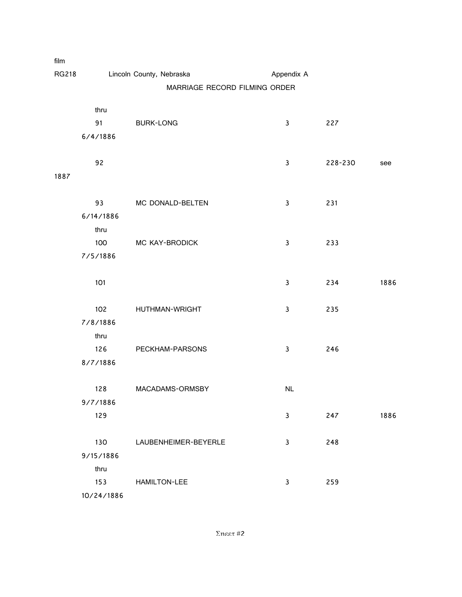| film         |                               |                          |              |         |      |
|--------------|-------------------------------|--------------------------|--------------|---------|------|
| <b>RG218</b> |                               | Lincoln County, Nebraska | Appendix A   |         |      |
|              | MARRIAGE RECORD FILMING ORDER |                          |              |         |      |
|              | thru                          |                          |              |         |      |
|              | 91                            | <b>BURK-LONG</b>         | $\mathbf{3}$ | 227     |      |
|              | 6/4/1886                      |                          |              |         |      |
|              |                               |                          |              |         |      |
|              | 92                            |                          | $\mathbf{3}$ | 228-230 | see  |
| 1887         |                               |                          |              |         |      |
|              |                               |                          |              |         |      |
|              | 93                            | MC DONALD-BELTEN         | $\mathbf{3}$ | 231     |      |
|              | 6/14/1886                     |                          |              |         |      |
|              | thru                          |                          |              |         |      |
|              | 100                           | MC KAY-BRODICK           | $\mathbf{3}$ | 233     |      |
|              | 7/5/1886                      |                          |              |         |      |
|              |                               |                          |              |         |      |
|              | 101                           |                          | 3            | 234     | 1886 |
|              |                               |                          |              |         |      |
|              | 102                           | <b>HUTHMAN-WRIGHT</b>    | 3            | 235     |      |
|              | 7/8/1886                      |                          |              |         |      |
|              | thru<br>126                   | PECKHAM-PARSONS          | $\mathbf{3}$ | 246     |      |
|              | 8/7/1886                      |                          |              |         |      |
|              |                               |                          |              |         |      |
|              | 128                           | MACADAMS-ORMSBY          | NL           |         |      |
|              | 9/7/1886                      |                          |              |         |      |
|              | 129                           |                          | $\mathbf{3}$ | 247     | 1886 |
|              |                               |                          |              |         |      |
|              | 130                           | LAUBENHEIMER-BEYERLE     | $\mathbf{3}$ | 248     |      |
|              | 9/15/1886                     |                          |              |         |      |
|              | thru                          |                          |              |         |      |
|              | 153                           | HAMILTON-LEE             | $\mathbf{3}$ | 259     |      |
|              | 10/24/1886                    |                          |              |         |      |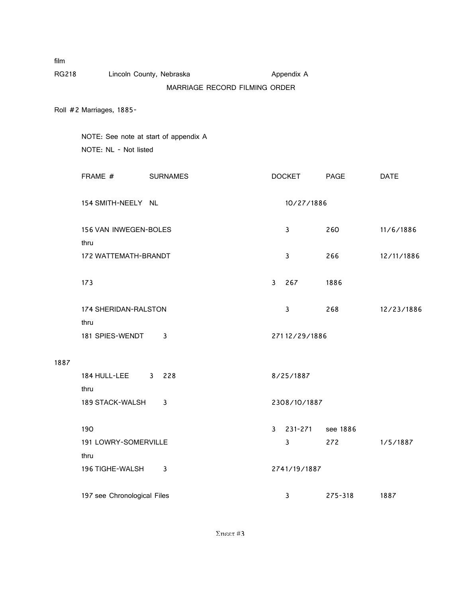| film         |                                       |                               |              |               |          |             |
|--------------|---------------------------------------|-------------------------------|--------------|---------------|----------|-------------|
| <b>RG218</b> |                                       | Lincoln County, Nebraska      |              | Appendix A    |          |             |
|              |                                       | MARRIAGE RECORD FILMING ORDER |              |               |          |             |
|              | Roll #2 Marriages, 1885-              |                               |              |               |          |             |
|              | NOTE: See note at start of appendix A |                               |              |               |          |             |
|              | NOTE: NL - Not listed                 |                               |              |               |          |             |
|              | FRAME #                               | <b>SURNAMES</b>               |              | <b>DOCKET</b> | PAGE     | <b>DATE</b> |
|              | 154 SMITH-NEELY NL                    |                               |              | 10/27/1886    |          |             |
|              | 156 VAN INWEGEN-BOLES                 |                               |              | 3             | 260      | 11/6/1886   |
|              | thru                                  |                               |              |               |          |             |
|              | 172 WATTEMATH-BRANDT                  |                               |              | 3             | 266      | 12/11/1886  |
|              | 173                                   |                               | 3            | 267           | 1886     |             |
|              | 174 SHERIDAN-RALSTON                  |                               |              | 3             | 268      | 12/23/1886  |
|              | thru                                  |                               |              |               |          |             |
|              | 181 SPIES-WENDT                       | 3                             |              | 27112/29/1886 |          |             |
| 1887         |                                       |                               |              |               |          |             |
|              | 184 HULL-LEE<br>thru                  | 3 228                         |              | 8/25/1887     |          |             |
|              | 189 STACK-WALSH                       | 3                             |              | 2308/10/1887  |          |             |
|              | 190                                   |                               | $\mathbf{3}$ | 231-271       | see 1886 |             |
|              | 191 LOWRY-SOMERVILLE                  |                               |              | 3             | 272      | 1/5/1887    |
|              | thru                                  |                               |              |               |          |             |
|              | 196 TIGHE-WALSH                       | 3                             |              | 2741/19/1887  |          |             |
|              | 197 see Chronological Files           |                               |              | 3             | 275-318  | 1887        |
|              |                                       |                               |              |               |          |             |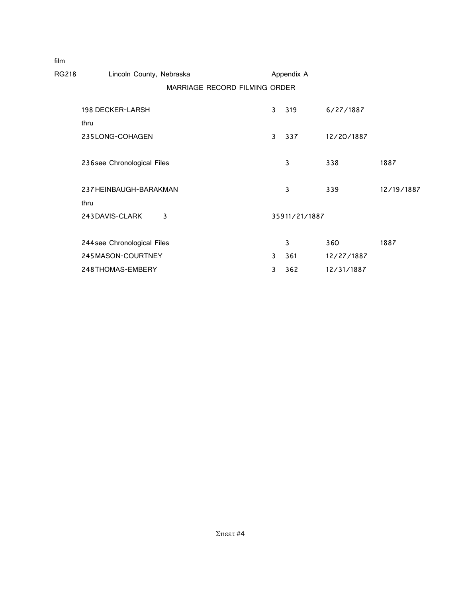| ,,,,,, |                                |                               |              |               |            |            |
|--------|--------------------------------|-------------------------------|--------------|---------------|------------|------------|
| RG218  | Lincoln County, Nebraska       |                               |              | Appendix A    |            |            |
|        |                                | MARRIAGE RECORD FILMING ORDER |              |               |            |            |
|        | 198 DECKER-LARSH<br>thru       |                               | 3            | 319           | 6/27/1887  |            |
|        | 235LONG-COHAGEN                |                               | 3            | 337           | 12/20/1887 |            |
|        | 236 see Chronological Files    |                               |              | 3             | 338        | 1887       |
|        | 237 HEINBAUGH-BARAKMAN<br>thru |                               |              | 3             | 339        | 12/19/1887 |
|        | 243 DAVIS-CLARK                | 3                             |              | 35911/21/1887 |            |            |
|        | 244 see Chronological Files    |                               |              | 3             | 360        | 1887       |
|        | 245MASON-COURTNEY              |                               | $\mathbf{3}$ | 361           | 12/27/1887 |            |
|        | 248THOMAS-EMBERY               |                               | 3            | 362           | 12/31/1887 |            |

film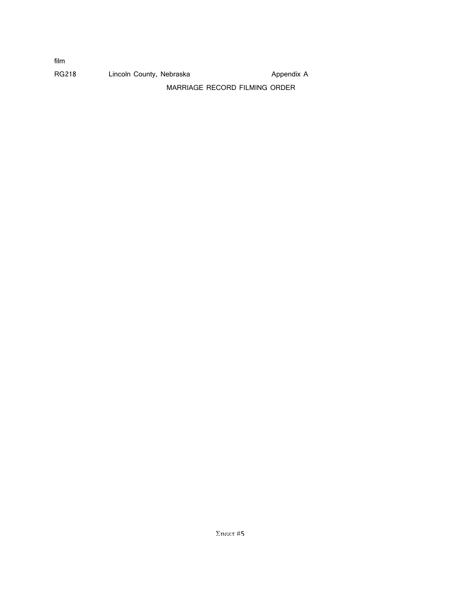| film  |                          |                               |            |
|-------|--------------------------|-------------------------------|------------|
| RG218 | Lincoln County, Nebraska |                               | Appendix A |
|       |                          | MARRIAGE RECORD FILMING ORDER |            |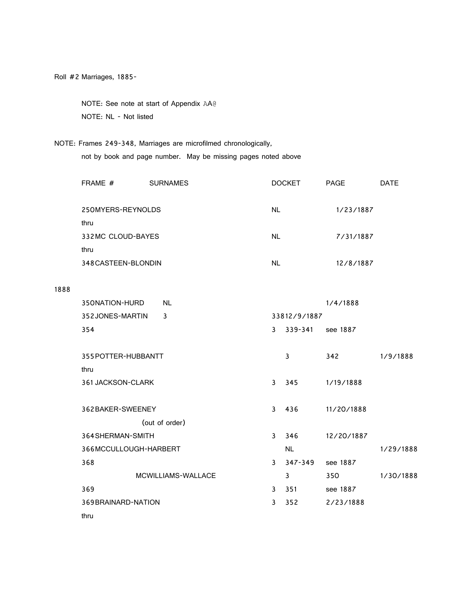NOTE: See note at start of Appendix AA@ NOTE: NL - Not listed

NOTE: Frames 249-348, Marriages are microfilmed chronologically, not by book and page number. May be missing pages noted above

| FRAME #             | <b>SURNAMES</b> | <b>DOCKET</b> | <b>PAGE</b> | DATE |
|---------------------|-----------------|---------------|-------------|------|
| 250MYERS-REYNOLDS   |                 | NL.           | 1/23/1887   |      |
| thru                |                 |               |             |      |
| 332MC CLOUD-BAYES   |                 | <b>NL</b>     | 7/31/1887   |      |
| thru                |                 |               |             |      |
| 348 CASTEEN-BLONDIN |                 | <b>NL</b>     | 12/8/1887   |      |

1888

| 350NATION-HURD        | <b>NL</b>          |              |              | 1/4/1888   |           |
|-----------------------|--------------------|--------------|--------------|------------|-----------|
| 352JONES-MARTIN       | $\mathbf{3}$       |              | 33812/9/1887 |            |           |
| 354                   |                    | 3            | $339 - 341$  | see 1887   |           |
|                       |                    |              |              |            |           |
| 355 POTTER-HUBBANTT   |                    |              | 3            | 342        | 1/9/1888  |
| thru                  |                    |              |              |            |           |
| 361 JACKSON-CLARK     |                    | $\mathbf{3}$ | 345          | 1/19/1888  |           |
|                       |                    |              |              |            |           |
| 362 BAKER-SWEENEY     |                    | 3            | 436          | 11/20/1888 |           |
|                       | (out of order)     |              |              |            |           |
| 364 SHERMAN-SMITH     |                    | 3            | 346          | 12/20/1887 |           |
| 366MCCULLOUGH-HARBERT |                    |              | <b>NL</b>    |            | 1/29/1888 |
| 368                   |                    | 3            | 347-349      | see 1887   |           |
|                       | MCWILLIAMS-WALLACE |              | 3            | 350        | 1/30/1888 |
| 369                   |                    | 3            | 351          | see 1887   |           |
| 369 BRAINARD-NATION   |                    | 3            | 352          | 2/23/1888  |           |
| thru                  |                    |              |              |            |           |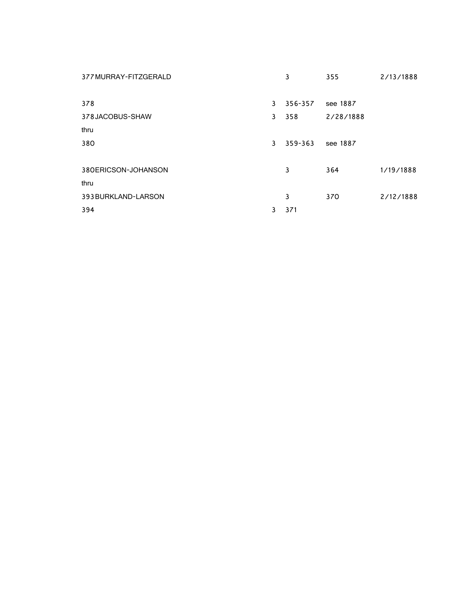| 377 MURRAY-FITZGERALD |   | 3       | 355       | 2/13/1888 |
|-----------------------|---|---------|-----------|-----------|
|                       |   |         |           |           |
| 378                   | 3 | 356-357 | see 1887  |           |
| 378JACOBUS-SHAW       | 3 | 358     | 2/28/1888 |           |
| thru                  |   |         |           |           |
| 380                   | 3 | 359-363 | see 1887  |           |
|                       |   |         |           |           |
| 380ERICSON-JOHANSON   |   | 3       | 364       | 1/19/1888 |
| thru                  |   |         |           |           |
| 393 BURKLAND-LARSON   |   | 3       | 370       | 2/12/1888 |
| 394                   | 3 | 371     |           |           |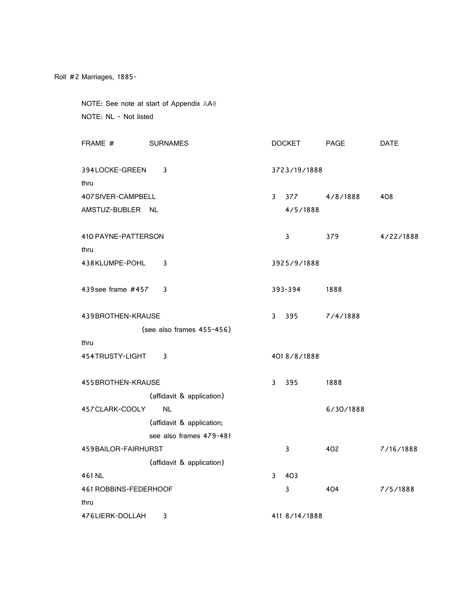NOTE: See note at start of Appendix AA@ NOTE: NL - Not listed

| FRAME #                | <b>SURNAMES</b>           |              | <b>DOCKET</b> | <b>PAGE</b> | <b>DATE</b> |
|------------------------|---------------------------|--------------|---------------|-------------|-------------|
| 394LOCKE-GREEN<br>thru | 3                         |              | 3723/19/1888  |             |             |
| 407SIVER-CAMPBELL      |                           | $\mathbf{3}$ | 377           | 4/8/1888    | 408         |
| AMSTUZ-BUBLER NL       |                           |              | 4/5/1888      |             |             |
| 410 PAYNE-PATTERSON    |                           |              | 3             | 379         | 4/22/1888   |
| thru                   |                           |              |               |             |             |
| 438KLUMPE-POHL         | 3                         |              | 3925/9/1888   |             |             |
| 439 see frame #457     | 3                         |              | 393-394       | 1888        |             |
|                        |                           |              |               |             |             |
| 439BROTHEN-KRAUSE      |                           | 3            | 395           | 7/4/1888    |             |
|                        | (see also frames 455-456) |              |               |             |             |
| thru                   |                           |              |               |             |             |
| 454TRUSTY-LIGHT        | 3                         |              | 4018/8/1888   |             |             |
| 455 BROTHEN-KRAUSE     |                           | 3            | 395           | 1888        |             |
|                        | (affidavit & application) |              |               |             |             |
| 457 CLARK-COOLY        | <b>NL</b>                 |              |               | 6/30/1888   |             |
|                        | (affidavit & application; |              |               |             |             |
|                        | see also frames 479-481   |              |               |             |             |
| 459 BAILOR-FAIRHURST   |                           |              | 3             | 402         | 7/16/1888   |
|                        | (affidavit & application) |              |               |             |             |
| 461 NL                 |                           | 3            | 403           |             |             |
| 461 ROBBINS-FEDERHOOF  |                           |              | 3             | 404         | 7/5/1888    |
| thru                   |                           |              |               |             |             |
| 476LIERK-DOLLAH        | 3                         |              | 411 8/14/1888 |             |             |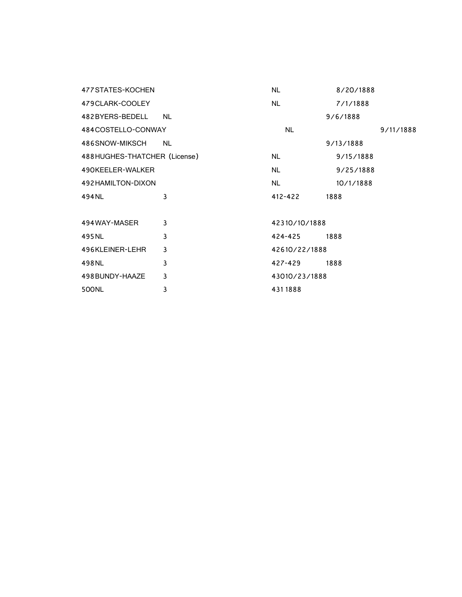| 477 STATES-KOCHEN            |           | <b>NL</b>     | 8/20/1888 |
|------------------------------|-----------|---------------|-----------|
| 479CLARK-COOLEY              |           | <b>NL</b>     | 7/1/1888  |
| 482BYERS-BEDELL              | NL.       |               | 9/6/1888  |
| 484COSTELLO-CONWAY           |           | <b>NL</b>     | 9/11/1888 |
| 486SNOW-MIKSCH               | <b>NL</b> |               | 9/13/1888 |
| 488HUGHES-THATCHER (License) |           | NL.           | 9/15/1888 |
| 490KEELER-WALKER             |           | <b>NL</b>     | 9/25/1888 |
| 492 HAMILTON-DIXON           |           | <b>NL</b>     | 10/1/1888 |
| 494NL                        | 3         | 412-422       | 1888      |
|                              |           |               |           |
| 494 WAY-MASER                | 3         | 42310/10/1888 |           |
| 495 NL                       | 3         | 424-425       | 1888      |
| 496KLEINER-LEHR              | 3         | 42610/22/1888 |           |
| 498NL                        | 3         | 427-429       | 1888      |
| 498 BUNDY-HAAZE              | 3         | 43010/23/1888 |           |
| 500NL                        | 3         | 4311888       |           |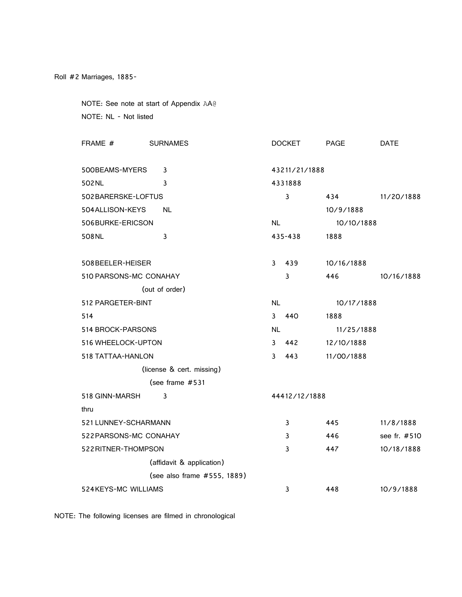NOTE: See note at start of Appendix AA@ NOTE: NL - Not listed

| FRAME #                | <b>SURNAMES</b>             |               | <b>DOCKET</b> | <b>PAGE</b> | <b>DATE</b>  |  |
|------------------------|-----------------------------|---------------|---------------|-------------|--------------|--|
|                        |                             |               |               |             |              |  |
| 500BEAMS-MYERS         | 3                           | 43211/21/1888 |               |             |              |  |
| 502 NL                 | 3                           |               | 4331888       |             |              |  |
| 502BARERSKE-LOFTUS     |                             |               | 3             | 434         | 11/20/1888   |  |
| 504 ALLISON-KEYS       | <b>NL</b>                   |               |               | 10/9/1888   |              |  |
| 506BURKE-ERICSON       |                             | <b>NL</b>     |               | 10/10/1888  |              |  |
| 508 NL                 | 3                           |               | 435-438       | 1888        |              |  |
|                        |                             | 3             |               |             |              |  |
| 508BEELER-HEISER       |                             |               | 439           | 10/16/1888  |              |  |
| 510 PARSONS-MC CONAHAY |                             |               | 3             | 446         | 10/16/1888   |  |
|                        | (out of order)              |               |               |             |              |  |
| 512 PARGETER-BINT      |                             | <b>NL</b>     |               | 10/17/1888  |              |  |
| 514                    |                             | 3             | 440           | 1888        |              |  |
| 514 BROCK-PARSONS      |                             | NL.           |               | 11/25/1888  |              |  |
| 516 WHEELOCK-UPTON     |                             | 3             | 442           | 12/10/1888  |              |  |
| 518 TATTAA-HANLON      |                             | 3             | 443           | 11/00/1888  |              |  |
|                        | (license & cert. missing)   |               |               |             |              |  |
|                        | (see frame #531             |               |               |             |              |  |
| 518 GINN-MARSH         | 3                           |               | 44412/12/1888 |             |              |  |
| thru                   |                             |               |               |             |              |  |
| 521 LUNNEY-SCHARMANN   |                             |               | 3             | 445         | 11/8/1888    |  |
| 522 PARSONS-MC CONAHAY |                             |               | 3             | 446         | see fr. #510 |  |
| 522 RITNER-THOMPSON    |                             |               | 3             | 447         | 10/18/1888   |  |
|                        | (affidavit & application)   |               |               |             |              |  |
|                        | (see also frame #555, 1889) |               |               |             |              |  |
| 524 KEYS-MC WILLIAMS   |                             |               | 3             | 448         | 10/9/1888    |  |

NOTE: The following licenses are filmed in chronological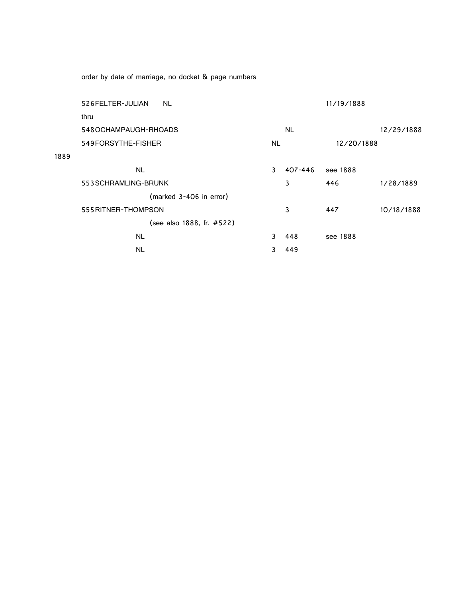order by date of marriage, no docket & page numbers

1889

| 526 FELTER-JULIAN     | NL.                       |     |           | 11/19/1888 |            |
|-----------------------|---------------------------|-----|-----------|------------|------------|
| thru                  |                           |     |           |            |            |
| 548 OCHAMPAUGH-RHOADS |                           |     | <b>NL</b> |            | 12/29/1888 |
| 549FORSYTHE-FISHER    |                           | NL. |           | 12/20/1888 |            |
|                       |                           |     |           |            |            |
| <b>NL</b>             |                           | 3   | 407-446   | see 1888   |            |
| 553 SCHRAMLING-BRUNK  |                           |     | 3         | 446        | 1/28/1889  |
|                       | (marked 3-406 in error)   |     |           |            |            |
| 555 RITNER-THOMPSON   |                           |     | 3         | 447        | 10/18/1888 |
|                       | (see also 1888, fr. #522) |     |           |            |            |
| <b>NL</b>             |                           | 3   | 448       | see 1888   |            |
| NL                    |                           | 3.  | 449       |            |            |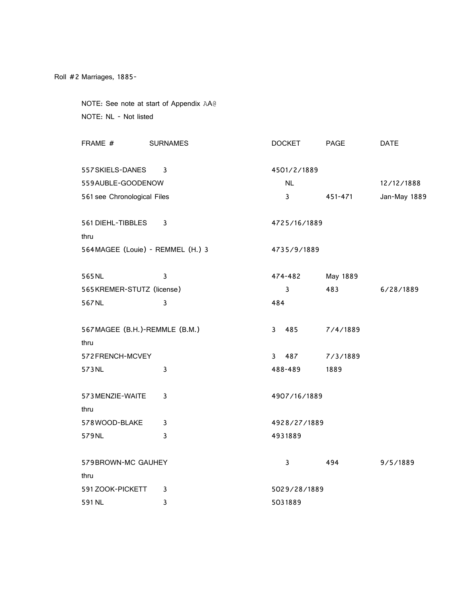NOTE: See note at start of Appendix AA@ NOTE: NL - Not listed

| FRAME #                          | <b>SURNAMES</b> | <b>DOCKET</b>       | <b>PAGE</b> | <b>DATE</b>  |
|----------------------------------|-----------------|---------------------|-------------|--------------|
| 557 SKIELS-DANES                 | 3               | 4501/2/1889         |             |              |
|                                  |                 |                     |             |              |
| 559AUBLE-GOODENOW                |                 | <b>NL</b>           |             | 12/12/1888   |
| 561 see Chronological Files      |                 | $\mathbf{3}$        | 451-471     | Jan-May 1889 |
|                                  |                 |                     |             |              |
| 561 DIEHL-TIBBLES                | 3               | 4725/16/1889        |             |              |
| thru                             |                 |                     |             |              |
| 564MAGEE (Louie) - REMMEL (H.) 3 |                 | 4735/9/1889         |             |              |
| 565NL                            | $\mathbf{3}$    | 474-482             | May 1889    |              |
| 565KREMER-STUTZ (license)        |                 | 3                   | 483         | 6/28/1889    |
| 567NL                            | 3               | 484                 |             |              |
|                                  |                 |                     |             |              |
| 567 MAGEE (B.H.)-REMMLE (B.M.)   |                 | $\mathbf{3}$<br>485 | 7/4/1889    |              |
| thru                             |                 |                     |             |              |
| 572FRENCH-MCVEY                  |                 | $\mathbf{3}$<br>487 | 7/3/1889    |              |
| 573NL                            | 3               | 488-489             | 1889        |              |
|                                  |                 |                     |             |              |
| 573 MENZIE-WAITE                 | 3               | 4907/16/1889        |             |              |
| thru                             |                 |                     |             |              |
| 578WOOD-BLAKE                    | 3               | 4928/27/1889        |             |              |
| 579NL                            | 3               | 4931889             |             |              |
|                                  |                 |                     |             |              |
| 579 BROWN-MC GAUHEY              |                 | 3                   | 494         | 9/5/1889     |
| thru                             |                 |                     |             |              |
| 591 ZOOK-PICKETT                 | 3               | 5029/28/1889        |             |              |
| 591 NL                           | 3               | 5031889             |             |              |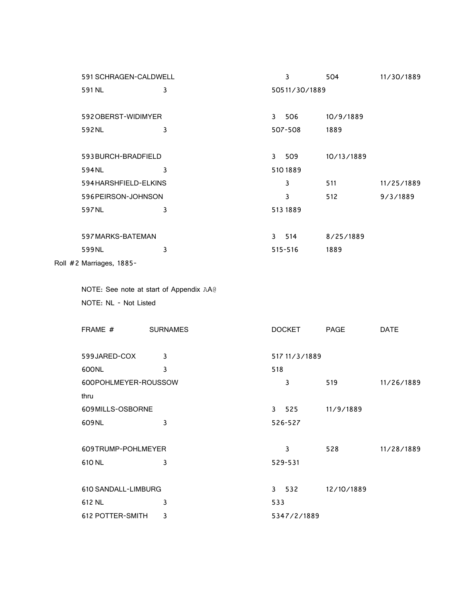|  | 591 SCHRAGEN-CALDWELL                                            |   |     | 3             | 504        | 11/30/1889  |
|--|------------------------------------------------------------------|---|-----|---------------|------------|-------------|
|  | 591 NL<br>3                                                      |   |     | 50511/30/1889 |            |             |
|  |                                                                  |   |     |               |            |             |
|  | 592 OBERST-WIDIMYER                                              |   |     | 3 506         | 10/9/1889  |             |
|  | 592NL                                                            | 3 |     | 507-508       | 1889       |             |
|  |                                                                  |   |     |               |            |             |
|  | 593BURCH-BRADFIELD                                               |   |     | 3 509         | 10/13/1889 |             |
|  | 594NL                                                            | 3 |     | 5101889       |            |             |
|  | 594 HARSHFIELD-ELKINS                                            |   |     | $\mathbf{3}$  | 511        | 11/25/1889  |
|  | 596PEIRSON-JOHNSON                                               |   |     | $\mathbf{3}$  | 512        | 9/3/1889    |
|  | 597NL                                                            | 3 |     | 513 1889      |            |             |
|  |                                                                  |   |     |               |            |             |
|  | 597 MARKS-BATEMAN                                                |   |     | 3 514         | 8/25/1889  |             |
|  | 599NL                                                            | 3 |     | 515-516       | 1889       |             |
|  | Roll #2 Marriages, 1885-                                         |   |     |               |            |             |
|  |                                                                  |   |     |               |            |             |
|  | NOTE: See note at start of Appendix AA@<br>NOTE: NL - Not Listed |   |     |               |            |             |
|  |                                                                  |   |     |               |            |             |
|  |                                                                  |   |     |               |            |             |
|  | FRAME # SURNAMES                                                 |   |     | <b>DOCKET</b> | PAGE       | <b>DATE</b> |
|  |                                                                  |   |     |               |            |             |
|  | 599JARED-COX                                                     | 3 |     | 517 11/3/1889 |            |             |
|  | 600NL                                                            | 3 | 518 |               |            |             |
|  | 600POHLMEYER-ROUSSOW                                             |   |     | 3             | 519        | 11/26/1889  |
|  | thru                                                             |   |     |               |            |             |
|  | 609MILLS-OSBORNE                                                 |   |     | 3 525         | 11/9/1889  |             |
|  | 609NL                                                            | 3 |     | 526-527       |            |             |
|  |                                                                  |   |     |               |            |             |
|  | 609TRUMP-POHLMEYER                                               |   |     | $\mathbf{3}$  | 528        | 11/28/1889  |
|  | 610 NL                                                           | 3 |     | 529-531       |            |             |
|  |                                                                  |   |     |               |            |             |
|  | 610 SANDALL-LIMBURG                                              |   |     | 3 532         | 12/10/1889 |             |
|  | 612 NL                                                           | 3 | 533 |               |            |             |
|  | <b>612 POTTER-SMITH</b>                                          | 3 |     | 5347/2/1889   |            |             |